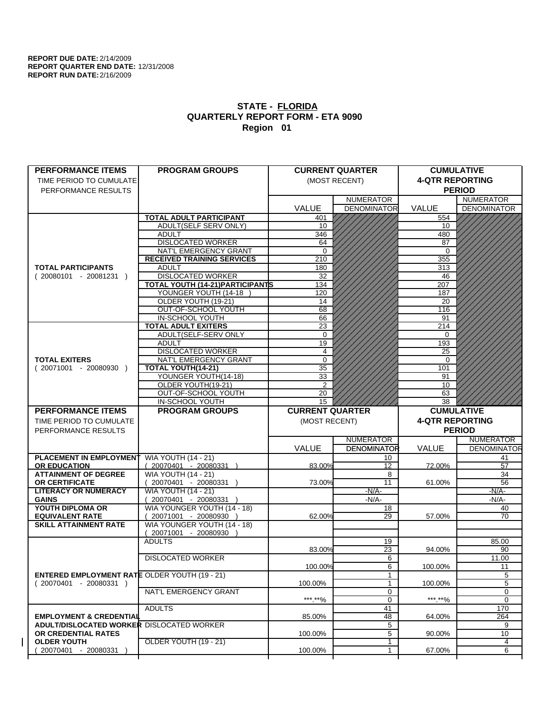$\overline{1}$ 

| <b>PERFORMANCE ITEMS</b>                             | <b>PROGRAM GROUPS</b>                   |                        | <b>CURRENT QUARTER</b> | <b>CUMULATIVE</b>      |                    |
|------------------------------------------------------|-----------------------------------------|------------------------|------------------------|------------------------|--------------------|
| TIME PERIOD TO CUMULATE                              |                                         |                        | (MOST RECENT)          | <b>4-QTR REPORTING</b> |                    |
| PERFORMANCE RESULTS                                  |                                         |                        |                        |                        | <b>PERIOD</b>      |
|                                                      |                                         |                        | <b>NUMERATOR</b>       |                        | <b>NUMERATOR</b>   |
|                                                      |                                         | <b>VALUE</b>           | <b>DENOMINATOR</b>     | VALUE                  | <b>DENOMINATOR</b> |
|                                                      | <b>TOTAL ADULT PARTICIPANT</b>          | 401                    |                        | 554                    |                    |
|                                                      | <b>ADULT(SELF SERV ONLY)</b>            | 10                     |                        | 10                     |                    |
|                                                      | <b>ADULT</b>                            | 346                    |                        | 480                    |                    |
|                                                      | <b>DISLOCATED WORKER</b>                | 64                     |                        | 87                     |                    |
|                                                      | NAT'L EMERGENCY GRANT                   | $\mathbf 0$            |                        | $\mathbf 0$            |                    |
|                                                      | <b>RECEIVED TRAINING SERVICES</b>       | 210                    |                        | 355                    |                    |
| <b>TOTAL PARTICIPANTS</b>                            | <b>ADULT</b>                            | 180                    |                        | 313                    |                    |
| $(20080101 - 20081231)$                              | <b>DISLOCATED WORKER</b>                | 32                     |                        | 46                     |                    |
|                                                      | <b>TOTAL YOUTH (14-21) PARTICIPANTS</b> | 134                    |                        | 207                    |                    |
|                                                      | YOUNGER YOUTH (14-18                    | 120                    |                        | 187                    |                    |
|                                                      | OLDER YOUTH (19-21)                     | 14                     |                        | 20                     |                    |
|                                                      | OUT-OF-SCHOOL YOUTH                     | 68                     |                        | 116                    |                    |
|                                                      | IN-SCHOOL YOUTH                         | 66                     |                        | 91                     |                    |
|                                                      | <b>TOTAL ADULT EXITERS</b>              | 23                     |                        | 214                    |                    |
|                                                      | ADULT(SELF-SERV ONLY                    | $\Omega$               |                        | 0                      |                    |
|                                                      | <b>ADULT</b>                            | 19                     |                        | 193                    |                    |
|                                                      | <b>DISLOCATED WORKER</b>                | 4                      |                        | 25                     |                    |
| <b>TOTAL EXITERS</b>                                 | NAT'L EMERGENCY GRANT                   | $\mathbf 0$            |                        | 0                      |                    |
| $(20071001 - 20080930)$                              | TOTAL YOUTH(14-21)                      | 35                     |                        | 101                    |                    |
|                                                      | YOUNGER YOUTH(14-18)                    | 33                     |                        | 91                     |                    |
|                                                      | OLDER YOUTH(19-21)                      | 2                      |                        | 10                     |                    |
|                                                      | OUT-OF-SCHOOL YOUTH                     | 20                     |                        | 63                     |                    |
|                                                      | IN-SCHOOL YOUTH                         | 15                     |                        | 38                     |                    |
| <b>PERFORMANCE ITEMS</b>                             | <b>PROGRAM GROUPS</b>                   | <b>CURRENT QUARTER</b> |                        | <b>CUMULATIVE</b>      |                    |
| TIME PERIOD TO CUMULATE                              |                                         | (MOST RECENT)          |                        | <b>4-QTR REPORTING</b> |                    |
| PERFORMANCE RESULTS                                  |                                         |                        |                        |                        | <b>PERIOD</b>      |
|                                                      |                                         |                        | <b>NUMERATOR</b>       |                        | <b>NUMERATOR</b>   |
|                                                      |                                         | <b>VALUE</b>           | <b>DENOMINATOR</b>     | VALUE                  | <b>DENOMINATOR</b> |
| <b>PLACEMENT IN EMPLOYMENT</b>                       | <b>WIA YOUTH (14 - 21)</b>              |                        | 10                     |                        | 41                 |
| <b>OR EDUCATION</b>                                  | 20070401 - 20080331                     | 83.00%                 | 12                     | 72.00%                 | 57                 |
| <b>ATTAINMENT OF DEGREE</b>                          | <b>WIA YOUTH (14 - 21)</b>              |                        | 8                      |                        | 34                 |
| OR CERTIFICATE                                       | $(20070401 - 20080331)$                 | 73.00%                 | 11                     | 61.00%                 | 56                 |
| <b>LITERACY OR NUMERACY</b>                          | <b>WIA YOUTH (14 - 21)</b>              |                        | $-N/A$ -               |                        | $-N/A-$            |
| <b>GAINS</b>                                         | $(20070401 - 20080331)$                 |                        | -N/A-                  |                        | -N/A-              |
| YOUTH DIPLOMA OR                                     | WIA YOUNGER YOUTH (14 - 18)             |                        | 18                     |                        | 40                 |
| <b>EQUIVALENT RATE</b>                               | 20071001 - 20080930 )                   | 62.00%                 | 29                     | 57.00%                 | 70                 |
| <b>SKILL ATTAINMENT RATE</b>                         | WIA YOUNGER YOUTH (14 - 18)             |                        |                        |                        |                    |
|                                                      | $(20071001 - 20080930)$                 |                        |                        |                        |                    |
|                                                      | <b>ADULTS</b>                           |                        | 19                     |                        | 85.00              |
|                                                      |                                         |                        |                        |                        | 90                 |
|                                                      |                                         | 83.00%                 | 23                     | 94.00%                 |                    |
|                                                      | <b>DISLOCATED WORKER</b>                |                        | 6                      |                        | 11.00              |
|                                                      |                                         | 100.00%                | $6\overline{}$         | 100.00%                | 11                 |
| <b>ENTERED EMPLOYMENT RATE OLDER YOUTH (19 - 21)</b> |                                         |                        | $\mathbf{1}$           |                        | 5                  |
| $(20070401 - 20080331)$                              |                                         | 100.00%                | 1                      | 100.00%                | 5                  |
|                                                      | NAT'L EMERGENCY GRANT                   |                        | 0                      |                        | 0                  |
|                                                      |                                         | ***.**%                | $\mathbf 0$            | ***.**%                | 0                  |
|                                                      | <b>ADULTS</b>                           |                        | 41                     |                        | 170                |
| <b>EMPLOYMENT &amp; CREDENTIAL</b>                   |                                         | 85.00%                 | 48                     | 64.00%                 | 264                |
| <b>ADULT/DISLOCATED WORKER</b>                       | <b>DISLOCATED WORKER</b>                |                        | 5                      |                        | 9                  |
| OR CREDENTIAL RATES                                  |                                         | 100.00%                | 5                      | 90.00%                 | 10                 |
| <b>OLDER YOUTH</b><br>20070401 - 20080331            | <b>OLDER YOUTH (19 - 21)</b>            | 100.00%                | 1<br>1                 | 67.00%                 | 4<br>6             |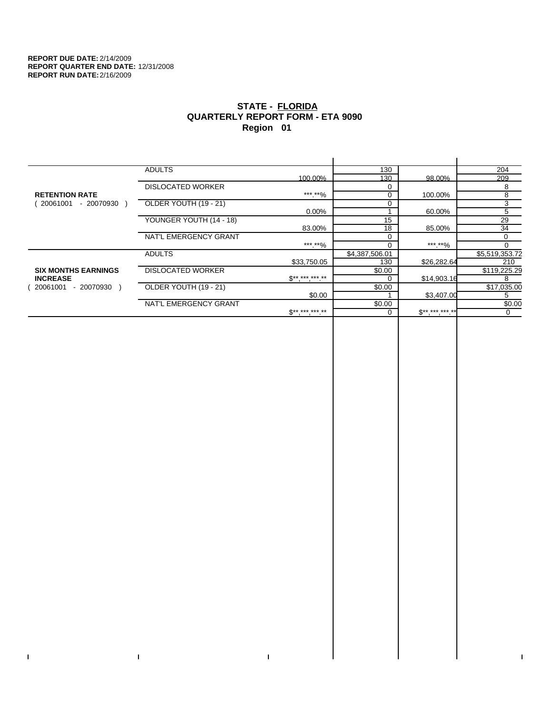$\mathbf I$ 

 $\bar{\Gamma}$ 

# **STATE - FLORIDA QUARTERLY REPORT FORM - ETA 9090 Region 01**

|                            | <b>ADULTS</b>                |                          | 130            |                   | 204            |
|----------------------------|------------------------------|--------------------------|----------------|-------------------|----------------|
|                            |                              | 100.00%                  | 130            | 98.00%            | 209            |
|                            | <b>DISLOCATED WORKER</b>     |                          |                |                   | 8              |
| <b>RETENTION RATE</b>      |                              | *** **%                  | 0              | 100.00%           | 8              |
| 20061001<br>- 20070930     | <b>OLDER YOUTH (19 - 21)</b> |                          | 0              |                   | 3              |
|                            |                              | $0.00\%$                 |                | 60.00%            | 5              |
|                            | YOUNGER YOUTH (14 - 18)      |                          | 15             |                   | 29             |
|                            |                              | 83.00%                   | 18             | 85.00%            | 34             |
|                            | NAT'L EMERGENCY GRANT        |                          | 0              |                   | 0              |
|                            |                              | ***.**%                  | $\Omega$       | *** **%           | 0              |
|                            | <b>ADULTS</b>                |                          | \$4,387,506.01 |                   | \$5,519,353.72 |
|                            |                              | \$33,750.05              | 130            | \$26,282.64       | 210            |
| <b>SIX MONTHS EARNINGS</b> | <b>DISLOCATED WORKER</b>     |                          | \$0.00         |                   | \$119,225.29   |
| <b>INCREASE</b>            |                              | $S^{******}$             |                | \$14,903.16       | 8              |
| 20061001<br>- 20070930 )   | OLDER YOUTH (19 - 21)        |                          | \$0.00         |                   | \$17,035.00    |
|                            |                              | \$0.00                   |                | \$3,407.00        | 5              |
|                            | NAT'L EMERGENCY GRANT        |                          | \$0.00         |                   | \$0.00         |
|                            |                              | $\mathbb{S}^{*********}$ |                | $$***$ *** *** ** | 0              |
|                            |                              |                          |                |                   |                |

 $\bar{\Gamma}$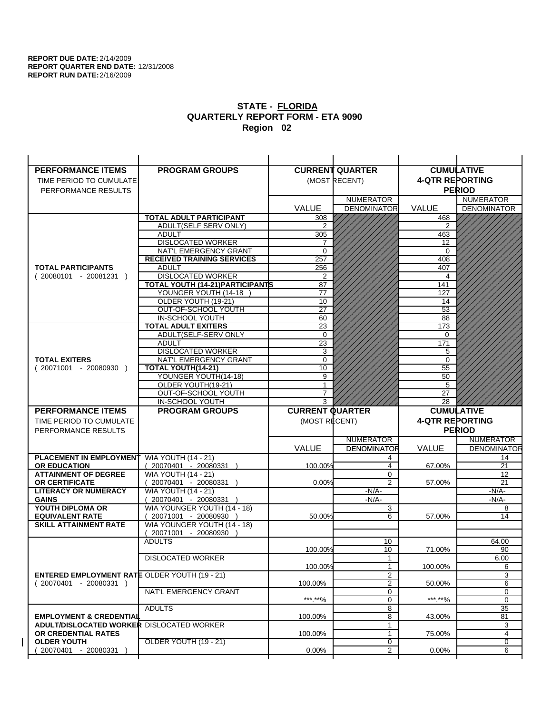| <b>PERFORMANCE ITEMS</b>                             | <b>PROGRAM GROUPS</b>                         |                        | <b>CURRENT QUARTER</b>       |                        | <b>CUMULATIVE</b>  |
|------------------------------------------------------|-----------------------------------------------|------------------------|------------------------------|------------------------|--------------------|
| TIME PERIOD TO CUMULATE                              |                                               |                        | (MOST RECENT)                | <b>4-QTR REPORTING</b> |                    |
| PERFORMANCE RESULTS                                  |                                               |                        |                              |                        | <b>PERIOD</b>      |
|                                                      |                                               |                        | <b>NUMERATOR</b>             |                        | <b>NUMERATOR</b>   |
|                                                      |                                               | <b>VALUE</b>           | <b>DENOMINATOR</b>           | VALUE                  | <b>DENOMINATOR</b> |
|                                                      | <b>TOTAL ADULT PARTICIPANT</b>                | 308                    |                              | 468                    |                    |
|                                                      | <b>ADULT(SELF SERV ONLY)</b>                  | 2                      |                              | 2                      |                    |
|                                                      | <b>ADULT</b>                                  | 305                    |                              | 463                    |                    |
|                                                      | <b>DISLOCATED WORKER</b>                      | 7                      |                              | 12                     |                    |
|                                                      | NAT'L EMERGENCY GRANT                         | $\Omega$               |                              | $\mathbf 0$            |                    |
|                                                      | <b>RECEIVED TRAINING SERVICES</b>             | 257                    |                              | 408                    |                    |
| <b>TOTAL PARTICIPANTS</b>                            | <b>ADULT</b>                                  | 256                    |                              | 407                    |                    |
| $(20080101 - 20081231)$                              | <b>DISLOCATED WORKER</b>                      | 2                      |                              | $\overline{4}$         |                    |
|                                                      | <b>TOTAL YOUTH (14-21) PARTICIPANTS</b>       | 87                     |                              | 141                    |                    |
|                                                      | YOUNGER YOUTH (14-18                          | 77                     |                              | 127                    |                    |
|                                                      | OLDER YOUTH (19-21)                           | 10                     |                              | 14                     |                    |
|                                                      | OUT-OF-SCHOOL YOUTH                           | $\overline{27}$        |                              | $\overline{53}$        |                    |
|                                                      | IN-SCHOOL YOUTH<br><b>TOTAL ADULT EXITERS</b> | 60<br>23               |                              | 88<br>173              |                    |
|                                                      | ADULT(SELF-SERV ONLY                          | $\mathbf 0$            |                              | 0                      |                    |
|                                                      | <b>ADULT</b>                                  | 23                     |                              | 171                    |                    |
|                                                      | <b>DISLOCATED WORKER</b>                      | 3                      |                              | 5                      |                    |
| <b>TOTAL EXITERS</b>                                 | NAT'L EMERGENCY GRANT                         | 0                      |                              | $\mathbf 0$            |                    |
| $(20071001 - 20080930)$                              | TOTAL YOUTH(14-21)                            | 10                     |                              | 55                     |                    |
|                                                      | YOUNGER YOUTH(14-18)                          | 9                      |                              | 50                     |                    |
|                                                      | OLDER YOUTH(19-21)                            | 1                      |                              | 5                      |                    |
|                                                      | OUT-OF-SCHOOL YOUTH                           |                        |                              | 27                     |                    |
|                                                      | IN-SCHOOL YOUTH                               | 3                      |                              | 28                     |                    |
|                                                      |                                               |                        |                              |                        |                    |
| <b>PERFORMANCE ITEMS</b>                             | <b>PROGRAM GROUPS</b>                         | <b>CURRENT QUARTER</b> |                              |                        | <b>CUMULATIVE</b>  |
| TIME PERIOD TO CUMULATE                              |                                               | (MOST RECENT)          |                              | <b>4-QTR REPORTING</b> |                    |
| PERFORMANCE RESULTS                                  |                                               |                        |                              |                        | <b>PERIOD</b>      |
|                                                      |                                               |                        | <b>NUMERATOR</b>             |                        | <b>NUMERATOR</b>   |
|                                                      |                                               | <b>VALUE</b>           | <b>DENOMINATOR</b>           | <b>VALUE</b>           | <b>DENOMINATOR</b> |
| <b>PLACEMENT IN EMPLOYMENT</b>                       | <b>WIA YOUTH (14 - 21)</b>                    |                        | 4                            |                        | 14                 |
| <b>OR EDUCATION</b>                                  | $(20070401 - 20080331)$                       | 100.00%                | $\overline{4}$               | 67.00%                 | 21                 |
| <b>ATTAINMENT OF DEGREE</b>                          | <b>WIA YOUTH (14 - 21)</b>                    |                        | 0                            |                        | 12                 |
| <b>OR CERTIFICATE</b>                                | $(20070401 - 20080331)$                       | 0.00%                  | 2                            | 57.00%                 | 21                 |
| <b>LITERACY OR NUMERACY</b>                          | <b>WIA YOUTH (14 - 21)</b>                    |                        | $-N/A-$                      |                        | -N/A-              |
| <b>GAINS</b>                                         | 20070401 - 20080331                           |                        | $-N/A-$                      |                        | $-N/A-$            |
| YOUTH DIPLOMA OR                                     | WIA YOUNGER YOUTH (14 - 18)                   |                        | 3                            |                        | 8                  |
| <b>EQUIVALENT RATE</b>                               | 20071001 - 20080930 )                         | 50.00%                 | 6                            | 57.00%                 | 14                 |
| <b>SKILL ATTAINMENT RATE</b>                         | WIA YOUNGER YOUTH (14 - 18)                   |                        |                              |                        |                    |
|                                                      | (20071001 - 20080930                          |                        |                              |                        |                    |
|                                                      | <b>ADULTS</b>                                 |                        | 10<br>10                     |                        | 64.00              |
|                                                      |                                               | 100.00%                |                              | 71.00%                 | 90                 |
|                                                      | <b>DISLOCATED WORKER</b>                      | 100.00%                | $\mathbf{1}$<br>$\mathbf{1}$ | 100.00%                | 6.00<br>6          |
| <b>ENTERED EMPLOYMENT RATE OLDER YOUTH (19 - 21)</b> |                                               |                        | $\overline{2}$               |                        | 3                  |
| $(20070401 - 20080331)$                              |                                               | 100.00%                | $\overline{2}$               | 50.00%                 | 6                  |
|                                                      | NAT'L EMERGENCY GRANT                         |                        | 0                            |                        | 0                  |
|                                                      |                                               | ***.**%                | 0                            | *** **%                | 0                  |
|                                                      | <b>ADULTS</b>                                 |                        | 8                            |                        | 35                 |
| <b>EMPLOYMENT &amp; CREDENTIAL</b>                   |                                               | 100.00%                | 8                            | 43.00%                 | 81                 |
| <b>ADULT/DISLOCATED WORKER DISLOCATED WORKER</b>     |                                               |                        | 1                            |                        | 3                  |
| OR CREDENTIAL RATES                                  |                                               | 100.00%                | $\mathbf{1}$                 | 75.00%                 | 4                  |
| <b>OLDER YOUTH</b><br>20070401 - 20080331            | <b>OLDER YOUTH (19 - 21)</b>                  | 0.00%                  | 0<br>$\overline{2}$          | $0.00\%$               | 0<br>6             |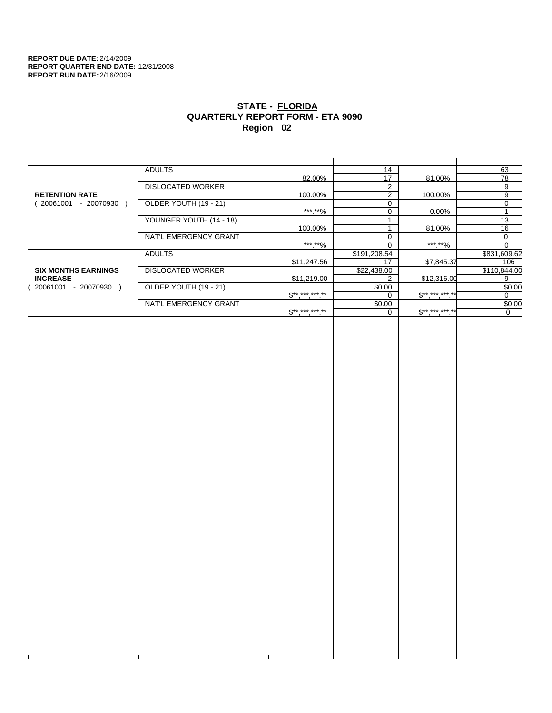$\bar{\mathbf{I}}$ 

 $\mathbf{I}$ 

# **STATE - FLORIDA QUARTERLY REPORT FORM - ETA 9090 Region 02**

|                            | <b>ADULTS</b>            |                              | 14           |             | 63           |
|----------------------------|--------------------------|------------------------------|--------------|-------------|--------------|
|                            |                          | 82.00%                       | 17           | 81.00%      | 78           |
|                            | <b>DISLOCATED WORKER</b> |                              | 2            |             | 9            |
| <b>RETENTION RATE</b>      |                          | 100.00%                      | 2            | 100.00%     | 9            |
| 20061001<br>- 20070930     | OLDER YOUTH (19 - 21)    |                              |              |             | 0            |
|                            |                          | ***.**%                      |              | 0.00%       |              |
|                            | YOUNGER YOUTH (14 - 18)  |                              |              |             | 13           |
|                            |                          | 100.00%                      |              | 81.00%      | 16           |
|                            | NAT'L EMERGENCY GRANT    |                              |              |             | 0            |
|                            |                          | ***.**%                      |              | *** **%     | 0            |
|                            | <b>ADULTS</b>            |                              | \$191,208.54 |             | \$831,609.62 |
|                            |                          | \$11,247.56                  | 17           | \$7,845.37  | 106          |
| <b>SIX MONTHS EARNINGS</b> | <b>DISLOCATED WORKER</b> |                              | \$22,438.00  |             | \$110,844.00 |
| <b>INCREASE</b>            |                          | \$11,219.00                  |              | \$12,316.00 | 9            |
| - 20070930<br>20061001     | OLDER YOUTH (19 - 21)    |                              | \$0.00       |             | \$0.00       |
|                            |                          | $\mathbb{S}^{**}$ *** *** ** |              | $S********$ | 0            |
|                            | NAT'L EMERGENCY GRANT    |                              | \$0.00       |             | \$0.00       |
|                            |                          | $S^{**}$ *** *** **          |              | $$********$ | 0            |
|                            |                          |                              |              |             |              |

 $\bar{\Gamma}$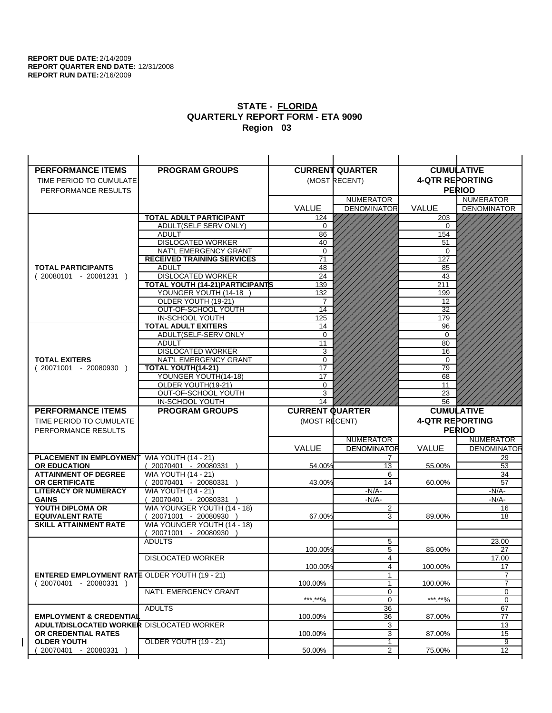$\overline{1}$ 

| <b>PERFORMANCE ITEMS</b>                                                        | <b>PROGRAM GROUPS</b>                                 |                        | <b>CURRENT QUARTER</b> |                        | <b>CUMULATIVE</b>  |
|---------------------------------------------------------------------------------|-------------------------------------------------------|------------------------|------------------------|------------------------|--------------------|
| TIME PERIOD TO CUMULATE                                                         |                                                       |                        | (MOST RECENT)          | <b>4-QTR REPORTING</b> |                    |
| PERFORMANCE RESULTS                                                             |                                                       |                        |                        |                        | <b>PERIOD</b>      |
|                                                                                 |                                                       |                        | <b>NUMERATOR</b>       |                        | <b>NUMERATOR</b>   |
|                                                                                 |                                                       | <b>VALUE</b>           | <b>DENOMINATOR</b>     | VALUE                  | <b>DENOMINATOR</b> |
|                                                                                 | <b>TOTAL ADULT PARTICIPANT</b>                        | 124                    |                        | 203                    |                    |
|                                                                                 | <b>ADULT(SELF SERV ONLY)</b>                          | 0                      |                        | 0                      |                    |
|                                                                                 | <b>ADULT</b>                                          | 86                     |                        | 154                    |                    |
|                                                                                 | <b>DISLOCATED WORKER</b>                              | 40                     |                        | 51                     |                    |
|                                                                                 | NAT'L EMERGENCY GRANT                                 | $\mathbf 0$            |                        | $\Omega$               |                    |
|                                                                                 | <b>RECEIVED TRAINING SERVICES</b>                     | 71                     |                        | 127                    |                    |
| <b>TOTAL PARTICIPANTS</b>                                                       | <b>ADULT</b>                                          | 48                     |                        | 85                     |                    |
| $(20080101 - 20081231)$                                                         | <b>DISLOCATED WORKER</b>                              | 24                     |                        | 43                     |                    |
|                                                                                 | TOTAL YOUTH (14-21) PARTICIPANTS                      | 139                    |                        | $\overline{211}$       |                    |
|                                                                                 | YOUNGER YOUTH (14-18<br>OLDER YOUTH (19-21)           | 132<br>7               |                        | 199<br>12              |                    |
|                                                                                 | OUT-OF-SCHOOL YOUTH                                   | 14                     |                        | $\overline{32}$        |                    |
|                                                                                 | IN-SCHOOL YOUTH                                       | 125                    |                        | 179                    |                    |
|                                                                                 | <b>TOTAL ADULT EXITERS</b>                            | 14                     |                        | 96                     |                    |
|                                                                                 | ADULT(SELF-SERV ONLY                                  | $\Omega$               |                        | 0                      |                    |
|                                                                                 | <b>ADULT</b>                                          | 11                     |                        | 80                     |                    |
|                                                                                 | <b>DISLOCATED WORKER</b>                              | 3                      |                        | 16                     |                    |
| <b>TOTAL EXITERS</b>                                                            | NAT'L EMERGENCY GRANT                                 | 0                      |                        | 0                      |                    |
| $(20071001 - 20080930)$                                                         | TOTAL YOUTH(14-21)                                    | 17                     |                        | 79                     |                    |
|                                                                                 | YOUNGER YOUTH(14-18)                                  | 17                     |                        | 68                     |                    |
|                                                                                 | OLDER YOUTH(19-21)                                    | $\mathbf 0$            |                        | 11                     |                    |
|                                                                                 | OUT-OF-SCHOOL YOUTH<br>IN-SCHOOL YOUTH                | 3<br>14                |                        | 23<br>56               |                    |
|                                                                                 |                                                       |                        |                        |                        |                    |
|                                                                                 |                                                       |                        |                        |                        |                    |
| <b>PERFORMANCE ITEMS</b>                                                        | <b>PROGRAM GROUPS</b>                                 | <b>CURRENT QUARTER</b> |                        |                        | <b>CUMULATIVE</b>  |
| TIME PERIOD TO CUMULATE                                                         |                                                       | (MOST RECENT)          |                        | <b>4-QTR REPORTING</b> |                    |
| PERFORMANCE RESULTS                                                             |                                                       |                        |                        |                        | <b>PERIOD</b>      |
|                                                                                 |                                                       |                        | <b>NUMERATOR</b>       |                        | <b>NUMERATOR</b>   |
|                                                                                 |                                                       | <b>VALUE</b>           | <b>DENOMINATOR</b>     | <b>VALUE</b>           | <b>DENOMINATOR</b> |
| <b>PLACEMENT IN EMPLOYMENT</b>                                                  | <b>WIA YOUTH (14 - 21)</b>                            |                        | 7                      |                        | 29                 |
| <b>OR EDUCATION</b>                                                             | $(20070401 - 20080331)$                               | 54.00%                 | 13                     | 55.00%                 | 53                 |
| <b>ATTAINMENT OF DEGREE</b><br><b>OR CERTIFICATE</b>                            | <b>WIA YOUTH (14 - 21)</b>                            | 43.00%                 | 6<br>14                | 60.00%                 | 34<br>57           |
| <b>LITERACY OR NUMERACY</b>                                                     | $(20070401 - 20080331)$<br><b>WIA YOUTH (14 - 21)</b> |                        | $-N/A-$                |                        | -N/A-              |
| <b>GAINS</b>                                                                    | 20070401 - 20080331                                   |                        | $-N/A-$                |                        | $-N/A-$            |
| YOUTH DIPLOMA OR                                                                | WIA YOUNGER YOUTH (14 - 18)                           |                        | $\overline{2}$         |                        | 16                 |
| <b>EQUIVALENT RATE</b>                                                          | 20071001 - 20080930 )                                 | 67.00%                 | 3                      | 89.00%                 | 18                 |
| <b>SKILL ATTAINMENT RATE</b>                                                    | WIA YOUNGER YOUTH (14 - 18)                           |                        |                        |                        |                    |
|                                                                                 | (20071001 - 20080930                                  |                        |                        |                        |                    |
|                                                                                 | <b>ADULTS</b>                                         |                        | 5                      |                        | 23.00              |
|                                                                                 |                                                       | 100.00%                | 5                      | 85.00%                 | 27                 |
|                                                                                 | <b>DISLOCATED WORKER</b>                              |                        | 4                      |                        | 17.00              |
|                                                                                 |                                                       | 100.00%                | 4<br>1                 | 100.00%                | 17                 |
| <b>ENTERED EMPLOYMENT RATE OLDER YOUTH (19 - 21)</b><br>$(20070401 - 20080331)$ |                                                       | 100.00%                | 1                      | 100.00%                | 7                  |
|                                                                                 | NAT'L EMERGENCY GRANT                                 |                        | 0                      |                        | 0                  |
|                                                                                 |                                                       | ***.**%                | $\mathbf 0$            | *** **%                | 0                  |
|                                                                                 | <b>ADULTS</b>                                         |                        | 36                     |                        | 67                 |
| <b>EMPLOYMENT &amp; CREDENTIAL</b>                                              |                                                       | 100.00%                | 36                     | 87.00%                 | $\overline{77}$    |
| <b>ADULT/DISLOCATED WORKER DISLOCATED WORKER</b>                                |                                                       |                        | 3                      |                        | 13                 |
| OR CREDENTIAL RATES                                                             |                                                       | 100.00%                | 3                      | 87.00%                 | 15                 |
| <b>OLDER YOUTH</b><br>20070401 - 20080331                                       | <b>OLDER YOUTH (19 - 21)</b>                          | 50.00%                 | 1<br>$\overline{2}$    | 75.00%                 | 9<br>12            |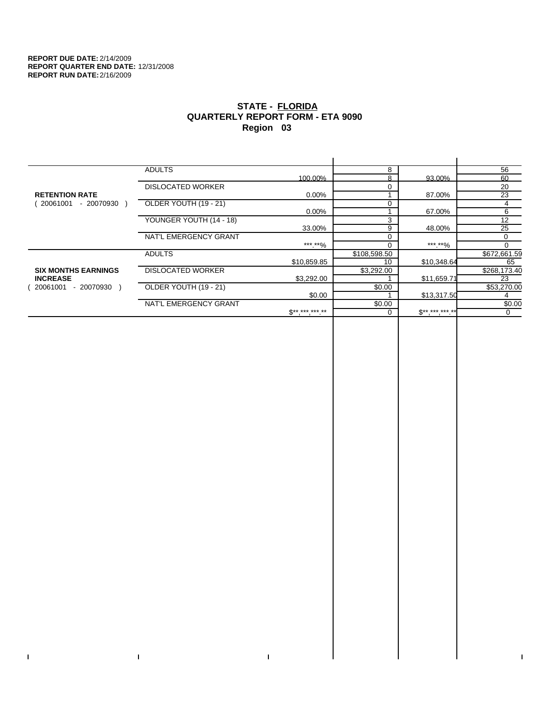$\mathbf I$ 

 $\bar{\Gamma}$ 

# **STATE - FLORIDA QUARTERLY REPORT FORM - ETA 9090 Region 03**

|                            | <b>ADULTS</b>            |              | 8            |              | 56           |
|----------------------------|--------------------------|--------------|--------------|--------------|--------------|
|                            |                          | 100.00%      | 8            | 93.00%       | 60           |
|                            | <b>DISLOCATED WORKER</b> |              |              |              | 20           |
| <b>RETENTION RATE</b>      |                          | $0.00\%$     |              | 87.00%       | 23           |
| 20061001<br>- 20070930     | OLDER YOUTH (19 - 21)    |              | 0            |              | 4            |
|                            |                          | $0.00\%$     |              | 67.00%       | 6            |
|                            | YOUNGER YOUTH (14 - 18)  |              | 3            |              | 12           |
|                            |                          | 33.00%       | 9            | 48.00%       | 25           |
|                            | NAT'L EMERGENCY GRANT    |              | 0            |              | 0            |
|                            |                          | *** **%      |              | *** **%      |              |
|                            | <b>ADULTS</b>            |              | \$108,598.50 |              | \$672,661.59 |
|                            |                          | \$10,859.85  | 10           | \$10,348.64  | 65           |
| <b>SIX MONTHS EARNINGS</b> | <b>DISLOCATED WORKER</b> |              | \$3,292.00   |              | \$268,173.40 |
| <b>INCREASE</b>            |                          | \$3,292.00   |              | \$11,659.71  | 23           |
| $-20070930$<br>20061001    | OLDER YOUTH (19 - 21)    |              | \$0.00       |              | \$53,270.00  |
|                            |                          | \$0.00       |              | \$13,317.50  |              |
|                            | NAT'L EMERGENCY GRANT    |              | \$0.00       |              | \$0.00       |
|                            |                          | $S*********$ | 0            | $S*********$ | $\Omega$     |
|                            |                          |              |              |              |              |

 $\mathbf{I}$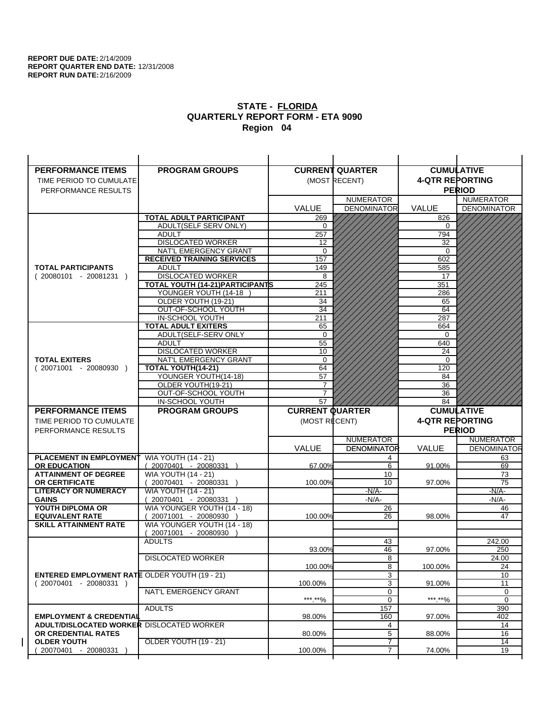| <b>PERFORMANCE ITEMS</b>                             | <b>PROGRAM GROUPS</b>                              |                        | <b>CURRENT QUARTER</b> |                        | <b>CUMULATIVE</b>         |
|------------------------------------------------------|----------------------------------------------------|------------------------|------------------------|------------------------|---------------------------|
| TIME PERIOD TO CUMULATE                              |                                                    |                        | (MOST RECENT)          | <b>4-QTR REPORTING</b> |                           |
| PERFORMANCE RESULTS                                  |                                                    |                        |                        |                        | <b>PERIOD</b>             |
|                                                      |                                                    |                        | <b>NUMERATOR</b>       |                        | <b>NUMERATOR</b>          |
|                                                      |                                                    | <b>VALUE</b>           | <b>DENOMINATOR</b>     | <b>VALUE</b>           | <b>DENOMINATOR</b>        |
|                                                      | <b>TOTAL ADULT PARTICIPANT</b>                     | 269                    |                        | 826                    |                           |
|                                                      | ADULT(SELF SERV ONLY)                              | 0                      |                        | 0                      |                           |
|                                                      | <b>ADULT</b>                                       | 257                    |                        | 794                    |                           |
|                                                      | <b>DISLOCATED WORKER</b>                           | 12                     |                        | 32                     |                           |
|                                                      | NAT'L EMERGENCY GRANT                              | $\Omega$               |                        | $\Omega$               |                           |
|                                                      | <b>RECEIVED TRAINING SERVICES</b>                  | 157                    |                        | 602                    |                           |
| <b>TOTAL PARTICIPANTS</b>                            | <b>ADULT</b>                                       | 149                    |                        | 585                    |                           |
| $(20080101 - 20081231)$                              | <b>DISLOCATED WORKER</b>                           | 8                      |                        | 17                     |                           |
|                                                      | <b>TOTAL YOUTH (14-21) PARTICIPANTS</b>            | 245                    |                        | 351                    |                           |
|                                                      | YOUNGER YOUTH (14-18                               | 211                    |                        | 286                    |                           |
|                                                      | OLDER YOUTH (19-21)<br>OUT-OF-SCHOOL YOUTH         | 34<br>$\overline{34}$  |                        | 65<br>64               |                           |
|                                                      | IN-SCHOOL YOUTH                                    | 211                    |                        | 287                    |                           |
|                                                      | <b>TOTAL ADULT EXITERS</b>                         | 65                     |                        | 664                    |                           |
|                                                      | ADULT(SELF-SERV ONLY                               | $\mathbf 0$            |                        | $\Omega$               |                           |
|                                                      | <b>ADULT</b>                                       | 55                     |                        | 640                    |                           |
|                                                      | <b>DISLOCATED WORKER</b>                           | 10                     |                        | 24                     |                           |
| <b>TOTAL EXITERS</b>                                 | NAT'L EMERGENCY GRANT                              | 0                      |                        | 0                      |                           |
| $(20071001 - 20080930)$                              | TOTAL YOUTH(14-21)                                 | 64                     |                        | 120                    |                           |
|                                                      | YOUNGER YOUTH(14-18)                               | 57                     |                        | 84                     |                           |
|                                                      | OLDER YOUTH(19-21)                                 | 7                      |                        | 36                     |                           |
|                                                      | OUT-OF-SCHOOL YOUTH                                | 7                      |                        | 36                     |                           |
|                                                      | IN-SCHOOL YOUTH                                    | 57                     |                        | 84                     |                           |
|                                                      |                                                    |                        |                        |                        |                           |
| <b>PERFORMANCE ITEMS</b>                             | <b>PROGRAM GROUPS</b>                              | <b>CURRENT QUARTER</b> |                        |                        | <b>CUMULATIVE</b>         |
| TIME PERIOD TO CUMULATE                              |                                                    | (MOST RECENT)          |                        | <b>4-QTR REPORTING</b> |                           |
| PERFORMANCE RESULTS                                  |                                                    |                        |                        |                        | <b>PERIOD</b>             |
|                                                      |                                                    |                        | <b>NUMERATOR</b>       |                        | <b>NUMERATOR</b>          |
|                                                      |                                                    | <b>VALUE</b>           | <b>DENOMINATOR</b>     | VALUE                  |                           |
| PLACEMENT IN EMPLOYMENT                              | <b>WIA YOUTH (14 - 21)</b>                         |                        | 4                      |                        | 63                        |
| <b>OR EDUCATION</b>                                  | $(20070401 - 20080331)$                            | 67.00%                 | 6                      | 91.00%                 | 69                        |
| <b>ATTAINMENT OF DEGREE</b>                          | <b>WIA YOUTH (14 - 21)</b>                         |                        | 10                     |                        | 73                        |
| <b>OR CERTIFICATE</b>                                | 20070401 - 20080331 )                              | 100.00%                | 10                     | 97.00%                 | 75                        |
| <b>LITERACY OR NUMERACY</b>                          | <b>WIA YOUTH (14 - 21)</b>                         |                        | $-N/A-$                |                        | $-N/A$ -                  |
| <b>GAINS</b>                                         | 20070401 - 20080331 )                              |                        | -N/A-                  |                        | -N/A-                     |
| YOUTH DIPLOMA OR<br><b>EQUIVALENT RATE</b>           | WIA YOUNGER YOUTH (14 - 18)<br>20071001 - 20080930 | 100.00%                | 26<br>26               | 98.00%                 | 46<br>47                  |
| <b>SKILL ATTAINMENT RATE</b>                         | WIA YOUNGER YOUTH (14 - 18)                        |                        |                        |                        |                           |
|                                                      | (20071001 - 20080930                               |                        |                        |                        |                           |
|                                                      | <b>ADULTS</b>                                      |                        | 43                     |                        | 242.00                    |
|                                                      |                                                    | 93.00%                 | 46                     | 97.00%                 | <b>DENOMINATOR</b><br>250 |
|                                                      | <b>DISLOCATED WORKER</b>                           |                        | $\overline{8}$         |                        | 24.00                     |
|                                                      |                                                    | 100.00%                | 8                      | 100.00%                | 24                        |
| <b>ENTERED EMPLOYMENT RATE OLDER YOUTH (19 - 21)</b> |                                                    |                        | 3                      |                        | 10                        |
| $(20070401 - 20080331)$                              |                                                    | 100.00%                | 3                      | 91.00%                 | 11                        |
|                                                      | NAT'L EMERGENCY GRANT                              |                        | 0                      |                        | 0                         |
|                                                      |                                                    | ***.**%                | 0                      | ***.**%                | $\mathbf 0$               |
| <b>EMPLOYMENT &amp; CREDENTIAL</b>                   | <b>ADULTS</b>                                      | 98.00%                 | 157<br>160             | 97.00%                 | 390<br>402                |
| <b>ADULT/DISLOCATED WORKER DISLOCATED WORKER</b>     |                                                    |                        | 4                      |                        | 14                        |
| OR CREDENTIAL RATES                                  |                                                    | 80.00%                 | 5                      | 88.00%                 | 16                        |
| <b>OLDER YOUTH</b>                                   | <b>OLDER YOUTH (19 - 21)</b>                       |                        | 7                      |                        | $\overline{14}$           |
| 20070401 - 20080331                                  |                                                    | 100.00%                | 7                      | 74.00%                 | 19                        |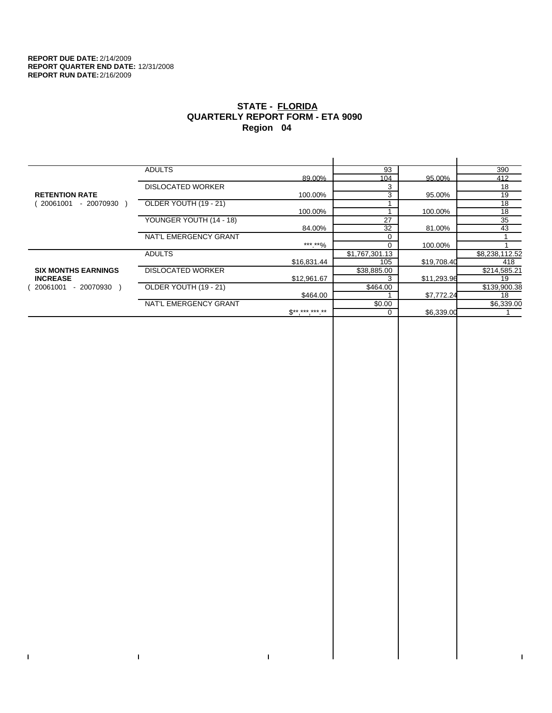$\bar{\mathbf{I}}$ 

 $\Gamma$ 

# **STATE - FLORIDA QUARTERLY REPORT FORM - ETA 9090 Region 04**

|                            | <b>ADULTS</b>            |              | 93             |             | 390            |
|----------------------------|--------------------------|--------------|----------------|-------------|----------------|
|                            |                          | 89.00%       | 104            | 95.00%      | 412            |
|                            | <b>DISLOCATED WORKER</b> |              | 3              |             | 18             |
| <b>RETENTION RATE</b>      |                          | 100.00%      | 3              | 95.00%      | 19             |
| - 20070930<br>20061001     | OLDER YOUTH (19 - 21)    |              |                |             | 18             |
|                            |                          | 100.00%      |                | 100.00%     | 18             |
|                            | YOUNGER YOUTH (14 - 18)  |              | 27             |             | 35             |
|                            |                          | 84.00%       | 32             | 81.00%      | 43             |
|                            | NAT'L EMERGENCY GRANT    |              |                |             |                |
|                            |                          | ***.**%      |                | 100.00%     |                |
|                            | <b>ADULTS</b>            |              | \$1,767,301.13 |             | \$8,238,112.52 |
|                            |                          | \$16,831.44  | 105            | \$19,708.40 | 418            |
| <b>SIX MONTHS EARNINGS</b> | <b>DISLOCATED WORKER</b> |              | \$38,885.00    |             | \$214,585.21   |
| <b>INCREASE</b>            |                          | \$12,961.67  |                | \$11,293.96 | 19             |
| $-20070930$<br>20061001    | OLDER YOUTH (19 - 21)    |              | \$464.00       |             | \$139,900.38   |
|                            |                          | \$464.00     |                | \$7,772.24  | 18             |
|                            | NAT'L EMERGENCY GRANT    |              | \$0.00         |             | \$6,339.00     |
|                            |                          | $S*********$ | $\Omega$       | \$6,339.00  |                |
|                            |                          |              |                |             |                |

 $\bar{\Gamma}$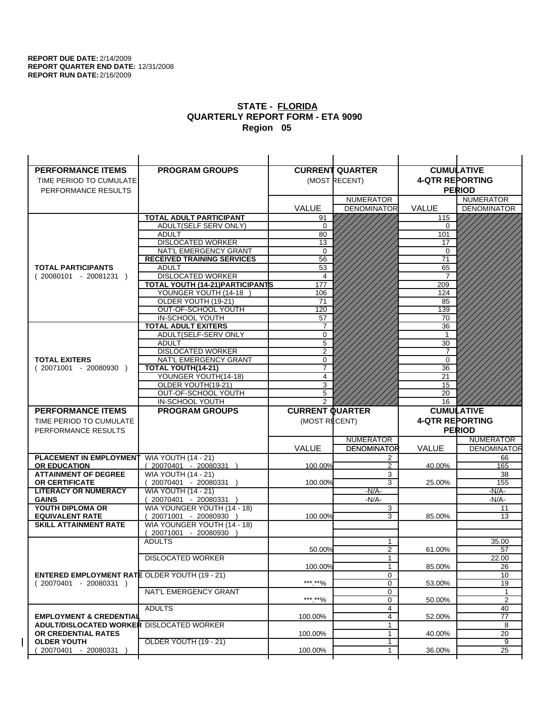$\overline{1}$ 

| <b>PERFORMANCE ITEMS</b>                                                        | <b>PROGRAM GROUPS</b>                             |                        | <b>CURRENT QUARTER</b> |                        | <b>CUMULATIVE</b>  |
|---------------------------------------------------------------------------------|---------------------------------------------------|------------------------|------------------------|------------------------|--------------------|
| TIME PERIOD TO CUMULATE                                                         |                                                   |                        | (MOST RECENT)          | <b>4-QTR REPORTING</b> |                    |
| PERFORMANCE RESULTS                                                             |                                                   |                        |                        |                        | <b>PERIOD</b>      |
|                                                                                 |                                                   |                        | <b>NUMERATOR</b>       |                        | <b>NUMERATOR</b>   |
|                                                                                 |                                                   | <b>VALUE</b>           | <b>DENOMINATOR</b>     | <b>VALUE</b>           | <b>DENOMINATOR</b> |
|                                                                                 | <b>TOTAL ADULT PARTICIPANT</b>                    | 91                     |                        | 115                    |                    |
|                                                                                 | <b>ADULT(SELF SERV ONLY)</b>                      | $\mathbf 0$            |                        | 0                      |                    |
|                                                                                 | <b>ADULT</b>                                      | 80                     |                        | 101                    |                    |
|                                                                                 | <b>DISLOCATED WORKER</b>                          | 13                     |                        | 17                     |                    |
|                                                                                 | NAT'L EMERGENCY GRANT                             | 0                      |                        | $\Omega$               |                    |
|                                                                                 | <b>RECEIVED TRAINING SERVICES</b>                 | 56                     |                        | 71                     |                    |
| <b>TOTAL PARTICIPANTS</b>                                                       | <b>ADULT</b>                                      | 53                     |                        | 65                     |                    |
| $(20080101 - 20081231)$                                                         | <b>DISLOCATED WORKER</b>                          | 4                      |                        | $\overline{7}$         |                    |
|                                                                                 | <b>TOTAL YOUTH (14-21) PARTICIPANTS</b>           | 177                    |                        | 209                    |                    |
|                                                                                 | YOUNGER YOUTH (14-18<br>OLDER YOUTH (19-21)       | 106<br>71              |                        | 124<br>85              |                    |
|                                                                                 | OUT-OF-SCHOOL YOUTH                               | 120                    |                        | 139                    |                    |
|                                                                                 | IN-SCHOOL YOUTH                                   | 57                     |                        | 70                     |                    |
|                                                                                 | <b>TOTAL ADULT EXITERS</b>                        | $\overline{7}$         |                        | 36                     |                    |
|                                                                                 | ADULT(SELF-SERV ONLY                              | 0                      |                        | $\mathbf{1}$           |                    |
|                                                                                 | <b>ADULT</b>                                      | 5                      |                        | 30                     |                    |
|                                                                                 | <b>DISLOCATED WORKER</b>                          | $\overline{2}$         |                        | $\overline{7}$         |                    |
| <b>TOTAL EXITERS</b>                                                            | NAT'L EMERGENCY GRANT                             | 0                      |                        | $\mathbf 0$            |                    |
| $(20071001 - 20080930)$                                                         | <b>TOTAL YOUTH(14-21)</b>                         | 7                      |                        | 36                     |                    |
|                                                                                 | YOUNGER YOUTH(14-18)                              | 4                      |                        | 21                     |                    |
|                                                                                 | OLDER YOUTH(19-21)                                | 3                      |                        | 15                     |                    |
|                                                                                 | OUT-OF-SCHOOL YOUTH<br>IN-SCHOOL YOUTH            | 5<br>$\overline{2}$    |                        | 20<br>16               |                    |
|                                                                                 |                                                   |                        |                        |                        |                    |
|                                                                                 |                                                   |                        |                        |                        |                    |
| <b>PERFORMANCE ITEMS</b>                                                        | <b>PROGRAM GROUPS</b>                             | <b>CURRENT QUARTER</b> |                        |                        | <b>CUMULATIVE</b>  |
| TIME PERIOD TO CUMULATE                                                         |                                                   | (MOST RECENT)          |                        | <b>4-QTR REPORTING</b> |                    |
| PERFORMANCE RESULTS                                                             |                                                   |                        |                        |                        | <b>PERIOD</b>      |
|                                                                                 |                                                   |                        | <b>NUMERATOR</b>       |                        | <b>NUMERATOR</b>   |
|                                                                                 |                                                   | <b>VALUE</b>           | <b>DENOMINATOR</b>     | <b>VALUE</b>           | <b>DENOMINATOR</b> |
| <b>PLACEMENT IN EMPLOYMENT</b>                                                  | <b>WIA YOUTH (14 - 21)</b>                        |                        | 2                      |                        | 66                 |
| <b>OR EDUCATION</b>                                                             | $(20070401 - 20080331)$                           | 100.00%                | $\overline{2}$         | 40.00%                 | 165                |
| <b>ATTAINMENT OF DEGREE</b><br><b>OR CERTIFICATE</b>                            | <b>WIA YOUTH (14 - 21)</b>                        | 100.00%                | 3<br>3                 | 25.00%                 | 38<br>155          |
| <b>LITERACY OR NUMERACY</b>                                                     | $(20070401 - 20080331)$                           |                        | $-N/A-$                |                        | -N/A-              |
| <b>GAINS</b>                                                                    | <b>WIA YOUTH (14 - 21)</b><br>20070401 - 20080331 |                        | $-N/A-$                |                        | $-N/A-$            |
| YOUTH DIPLOMA OR                                                                | WIA YOUNGER YOUTH (14 - 18)                       |                        | 3                      |                        | 11                 |
| <b>EQUIVALENT RATE</b>                                                          | 20071001 - 20080930 )                             | 100.00%                | 3                      | 85.00%                 | 13                 |
| <b>SKILL ATTAINMENT RATE</b>                                                    | WIA YOUNGER YOUTH (14 - 18)                       |                        |                        |                        |                    |
|                                                                                 | (20071001 - 20080930                              |                        |                        |                        |                    |
|                                                                                 | <b>ADULTS</b>                                     |                        | 1                      |                        | 35.00              |
|                                                                                 |                                                   | 50.00%                 | 2                      | 61.00%                 | 57                 |
|                                                                                 | <b>DISLOCATED WORKER</b>                          |                        | $\mathbf{1}$           |                        | 22.00              |
|                                                                                 |                                                   | 100.00%                | $\mathbf{1}$<br>0      | 85.00%                 | 26                 |
| <b>ENTERED EMPLOYMENT RATE OLDER YOUTH (19 - 21)</b><br>$(20070401 - 20080331)$ |                                                   | *** **%                | 0                      | 53.00%                 | 10<br>19           |
|                                                                                 | NAT'L EMERGENCY GRANT                             |                        | 0                      |                        | 1                  |
|                                                                                 |                                                   | ***.**%                | 0                      | 50.00%                 | 2                  |
|                                                                                 | <b>ADULTS</b>                                     |                        | 4                      |                        | 40                 |
| <b>EMPLOYMENT &amp; CREDENTIAL</b>                                              |                                                   | 100.00%                | 4                      | 52.00%                 | $\overline{77}$    |
| <b>ADULT/DISLOCATED WORKER DISLOCATED WORKER</b>                                |                                                   |                        | 1                      |                        | 8                  |
| OR CREDENTIAL RATES                                                             |                                                   | 100.00%                | $\mathbf{1}$           | 40.00%                 | 20                 |
| <b>OLDER YOUTH</b><br>20070401 - 20080331                                       | <b>OLDER YOUTH (19 - 21)</b>                      | 100.00%                | 1<br>1                 | 36.00%                 | 9<br>25            |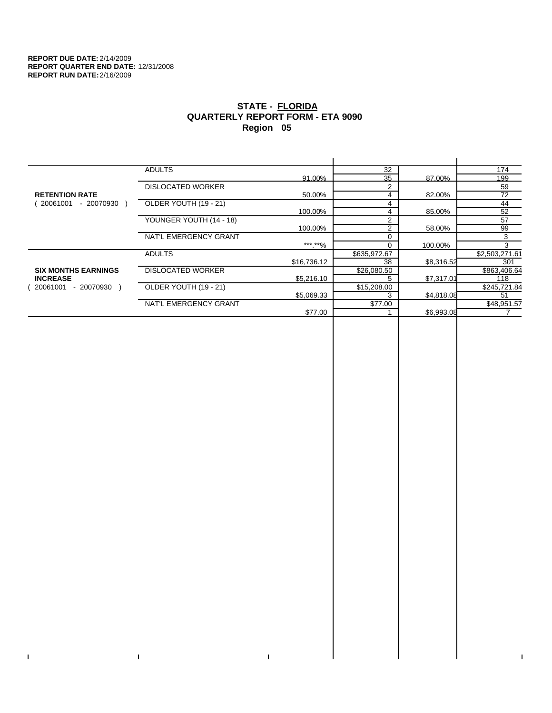$\mathbf I$ 

 $\bar{\Gamma}$ 

# **STATE - FLORIDA QUARTERLY REPORT FORM - ETA 9090 Region 05**

|                            | <b>ADULTS</b>            |             | 32           |            | 174            |
|----------------------------|--------------------------|-------------|--------------|------------|----------------|
|                            |                          | 91.00%      | 35           | 87.00%     | 199            |
|                            | <b>DISLOCATED WORKER</b> |             | 2            |            | 59             |
| <b>RETENTION RATE</b>      |                          | 50.00%      | 4            | 82.00%     | 72             |
| - 20070930<br>20061001     | OLDER YOUTH (19 - 21)    |             | 4            |            | 44             |
|                            |                          | 100.00%     | 4            | 85.00%     | 52             |
|                            | YOUNGER YOUTH (14 - 18)  |             | 2            |            | 57             |
|                            |                          | 100.00%     | 2            | 58.00%     | 99             |
|                            | NAT'L EMERGENCY GRANT    |             | 0            |            | 3              |
|                            |                          | ***.**%     |              | 100.00%    | 3              |
|                            | <b>ADULTS</b>            |             | \$635,972.67 |            | \$2,503,271.61 |
|                            |                          | \$16,736.12 | 38           | \$8,316.52 | 301            |
| <b>SIX MONTHS EARNINGS</b> | <b>DISLOCATED WORKER</b> |             | \$26,080.50  |            | \$863,406.64   |
| <b>INCREASE</b>            |                          | \$5,216.10  | 5            | \$7,317.01 | 118            |
| 20061001<br>$-20070930$    | OLDER YOUTH (19 - 21)    |             | \$15,208.00  |            | \$245,721.84   |
|                            |                          | \$5.069.33  | 3            | \$4,818.08 | 51             |
|                            | NAT'L EMERGENCY GRANT    |             | \$77.00      |            | \$48,951.57    |
|                            |                          | \$77.00     |              | \$6,993.08 |                |
|                            |                          |             |              |            |                |

 $\bar{\Gamma}$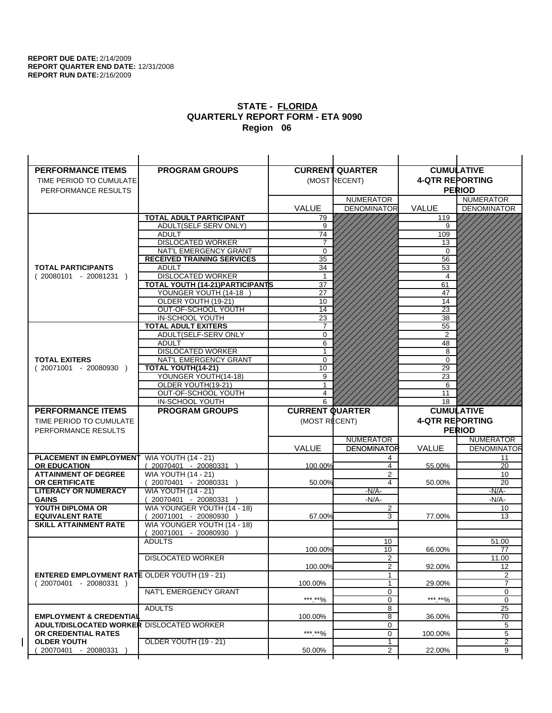| <b>PERFORMANCE ITEMS</b>                               | <b>PROGRAM GROUPS</b>                                               |                        | <b>CURRENT QUARTER</b>       |                        | <b>CUMULATIVE</b>  |
|--------------------------------------------------------|---------------------------------------------------------------------|------------------------|------------------------------|------------------------|--------------------|
| TIME PERIOD TO CUMULATE                                |                                                                     |                        | (MOST RECENT)                | <b>4-QTR REPORTING</b> |                    |
| PERFORMANCE RESULTS                                    |                                                                     |                        |                              |                        | <b>PERIOD</b>      |
|                                                        |                                                                     |                        | <b>NUMERATOR</b>             |                        | <b>NUMERATOR</b>   |
|                                                        |                                                                     | <b>VALUE</b>           | <b>DENOMINATOR</b>           | <b>VALUE</b>           | <b>DENOMINATOR</b> |
|                                                        | <b>TOTAL ADULT PARTICIPANT</b>                                      | 79                     |                              | 119                    |                    |
|                                                        | ADULT(SELF SERV ONLY)                                               | 9                      |                              | 9                      |                    |
|                                                        | <b>ADULT</b>                                                        | 74                     |                              | 109                    |                    |
|                                                        | <b>DISLOCATED WORKER</b>                                            | 7                      |                              | 13                     |                    |
|                                                        | NAT'L EMERGENCY GRANT                                               | $\Omega$               |                              | $\Omega$               |                    |
|                                                        | <b>RECEIVED TRAINING SERVICES</b>                                   | 35                     |                              | 56                     |                    |
| <b>TOTAL PARTICIPANTS</b>                              | <b>ADULT</b>                                                        | 34                     |                              | 53                     |                    |
| $(20080101 - 20081231)$                                | <b>DISLOCATED WORKER</b><br><b>TOTAL YOUTH (14-21) PARTICIPANTS</b> | $\mathbf 1$            |                              | 4                      |                    |
|                                                        | YOUNGER YOUTH (14-18                                                | 37<br>27               |                              | 61<br>47               |                    |
|                                                        | OLDER YOUTH (19-21)                                                 | 10                     |                              | 14                     |                    |
|                                                        | OUT-OF-SCHOOL YOUTH                                                 | $\overline{14}$        |                              | $\overline{23}$        |                    |
|                                                        | IN-SCHOOL YOUTH                                                     | $\overline{23}$        |                              | 38                     |                    |
|                                                        | <b>TOTAL ADULT EXITERS</b>                                          | 7                      |                              | 55                     |                    |
|                                                        | ADULT(SELF-SERV ONLY                                                | $\Omega$               |                              | $\overline{2}$         |                    |
|                                                        | <b>ADULT</b>                                                        | 6                      |                              | 48                     |                    |
|                                                        | <b>DISLOCATED WORKER</b>                                            | 1                      |                              | 8                      |                    |
| <b>TOTAL EXITERS</b>                                   | NAT'L EMERGENCY GRANT                                               | 0                      |                              | $\mathbf 0$            |                    |
| $(20071001 - 20080930)$                                | TOTAL YOUTH(14-21)<br>YOUNGER YOUTH(14-18)                          | 10<br>9                |                              | 29<br>23               |                    |
|                                                        | OLDER YOUTH(19-21)                                                  |                        |                              | 6                      |                    |
|                                                        | OUT-OF-SCHOOL YOUTH                                                 | 4                      |                              | 11                     |                    |
|                                                        | IN-SCHOOL YOUTH                                                     | 6                      |                              | 18                     |                    |
|                                                        |                                                                     |                        |                              |                        |                    |
| <b>PERFORMANCE ITEMS</b>                               | <b>PROGRAM GROUPS</b>                                               | <b>CURRENT QUARTER</b> |                              |                        | <b>CUMULATIVE</b>  |
| TIME PERIOD TO CUMULATE                                |                                                                     | (MOST RECENT)          |                              | <b>4-QTR REPORTING</b> |                    |
| PERFORMANCE RESULTS                                    |                                                                     |                        |                              |                        | <b>PERIOD</b>      |
|                                                        |                                                                     |                        | <b>NUMERATOR</b>             |                        | <b>NUMERATOR</b>   |
|                                                        |                                                                     | <b>VALUE</b>           | <b>DENOMINATOR</b>           | VALUE                  | <b>DENOMINATOR</b> |
| PLACEMENT IN EMPLOYMENT                                | <b>WIA YOUTH (14 - 21)</b>                                          |                        | 4                            |                        | 11                 |
| <b>OR EDUCATION</b>                                    | $(20070401 - 20080331)$                                             | 100.00%                | 4                            | 55.00%                 | 20                 |
| <b>ATTAINMENT OF DEGREE</b>                            | <b>WIA YOUTH (14 - 21)</b>                                          |                        | 2                            |                        | 10                 |
| <b>OR CERTIFICATE</b>                                  | 20070401 - 20080331 )                                               | 50.00%                 | 4                            | 50.00%                 | 20                 |
| <b>LITERACY OR NUMERACY</b>                            | <b>WIA YOUTH (14 - 21)</b>                                          |                        | $-N/A-$                      |                        | $-N/A$ -           |
| <b>GAINS</b>                                           | 20070401 - 20080331 )                                               |                        | $-N/A-$                      |                        | -N/A-              |
| YOUTH DIPLOMA OR                                       | WIA YOUNGER YOUTH (14 - 18)                                         |                        | $\overline{\mathbf{c}}$<br>3 |                        | 10<br>13           |
| <b>EQUIVALENT RATE</b><br><b>SKILL ATTAINMENT RATE</b> | 20071001 - 20080930<br>WIA YOUNGER YOUTH (14 - 18)                  | 67.00%                 |                              | 77.00%                 |                    |
|                                                        | (20071001 - 20080930                                                |                        |                              |                        |                    |
|                                                        | <b>ADULTS</b>                                                       |                        | 10                           |                        | 51.00              |
|                                                        |                                                                     | 100.00%                | 10                           | 66.00%                 | 77                 |
|                                                        | <b>DISLOCATED WORKER</b>                                            |                        | $\overline{2}$               |                        | 11.00              |
|                                                        |                                                                     | 100.00%                | 2                            | 92.00%                 | 12                 |
| <b>ENTERED EMPLOYMENT RATE OLDER YOUTH (19 - 21)</b>   |                                                                     |                        | 1                            |                        | 2                  |
| $(20070401 - 20080331)$                                |                                                                     | 100.00%                | 1                            | 29.00%                 | 7                  |
|                                                        | NAT'L EMERGENCY GRANT                                               | ***.**%                | 0<br>0                       | ***.**%                | 0<br>0             |
|                                                        | <b>ADULTS</b>                                                       |                        | 8                            |                        | 25                 |
| <b>EMPLOYMENT &amp; CREDENTIAL</b>                     |                                                                     | 100.00%                | 8                            | 36.00%                 | 70                 |
| <b>ADULT/DISLOCATED WORKER DISLOCATED WORKER</b>       |                                                                     |                        | 0                            |                        | 5                  |
| OR CREDENTIAL RATES                                    |                                                                     | ***.**%                | 0                            | 100.00%                | 5                  |
| <b>OLDER YOUTH</b><br>20070401 - 20080331              | <b>OLDER YOUTH (19 - 21)</b>                                        | 50.00%                 | 1<br>2                       | 22.00%                 | 2<br>9             |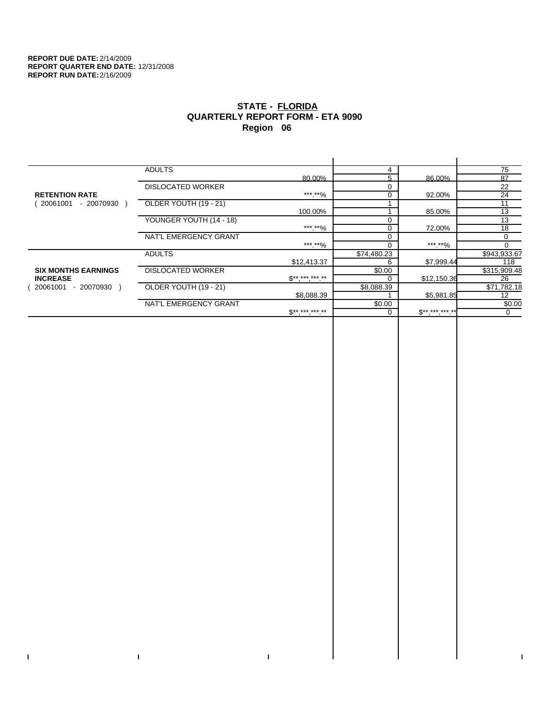$\bar{\mathbf{I}}$ 

 $\mathbf{I}$ 

# **STATE - FLORIDA QUARTERLY REPORT FORM - ETA 9090 Region 06**

|                            | <b>ADULTS</b>            |                     | 4           |             | 75           |
|----------------------------|--------------------------|---------------------|-------------|-------------|--------------|
|                            |                          | 80.00%              |             | 86.00%      | 87           |
|                            | <b>DISLOCATED WORKER</b> |                     |             |             | 22           |
| <b>RETENTION RATE</b>      |                          | ***.**%             |             | 92.00%      | 24           |
| - 20070930<br>20061001     | OLDER YOUTH (19 - 21)    |                     |             |             | 11           |
|                            |                          | 100.00%             |             | 85.00%      | 13           |
|                            | YOUNGER YOUTH (14 - 18)  |                     |             |             | 13           |
|                            |                          | ***.**%             |             | 72.00%      | 18           |
|                            | NAT'L EMERGENCY GRANT    |                     |             |             | 0            |
|                            |                          | ***.**%             |             | *** **%     | 0            |
|                            | <b>ADULTS</b>            |                     | \$74,480.23 |             | \$943,933.67 |
|                            |                          | \$12,413.37         | 6           | \$7,999.44  | 118          |
| <b>SIX MONTHS EARNINGS</b> | <b>DISLOCATED WORKER</b> |                     | \$0.00      |             | \$315,909.48 |
| <b>INCREASE</b>            |                          | $S^{**}$ *** *** ** |             | \$12,150.36 | 26           |
| - 20070930<br>20061001     | OLDER YOUTH (19 - 21)    |                     | \$8,088.39  |             | \$71,782.18  |
|                            |                          | \$8,088.39          |             | \$5,981.85  | 12           |
|                            | NAT'L EMERGENCY GRANT    |                     | \$0.00      |             | \$0.00       |
|                            |                          | $S*********$        |             | $$********$ | $\Omega$     |
|                            |                          |                     |             |             |              |

 $\bar{\Gamma}$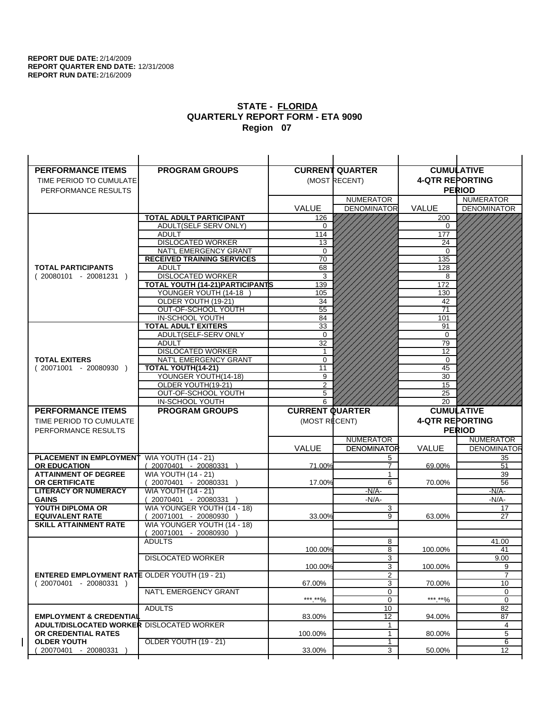| <b>PERFORMANCE ITEMS</b>                             | <b>PROGRAM GROUPS</b>                         |                        | <b>CURRENT QUARTER</b> |                        | <b>CUMULATIVE</b>  |
|------------------------------------------------------|-----------------------------------------------|------------------------|------------------------|------------------------|--------------------|
| TIME PERIOD TO CUMULATE                              |                                               |                        | (MOST RECENT)          | <b>4-QTR REPORTING</b> |                    |
| PERFORMANCE RESULTS                                  |                                               |                        |                        |                        | <b>PERIOD</b>      |
|                                                      |                                               |                        | <b>NUMERATOR</b>       |                        | <b>NUMERATOR</b>   |
|                                                      |                                               | <b>VALUE</b>           | <b>DENOMINATOR</b>     | VALUE                  | <b>DENOMINATOR</b> |
|                                                      | <b>TOTAL ADULT PARTICIPANT</b>                | 126                    |                        | 200                    |                    |
|                                                      | <b>ADULT(SELF SERV ONLY)</b>                  | 0                      |                        | 0                      |                    |
|                                                      | <b>ADULT</b>                                  | 114                    |                        | 177                    |                    |
|                                                      | <b>DISLOCATED WORKER</b>                      | 13                     |                        | 24                     |                    |
|                                                      | NAT'L EMERGENCY GRANT                         | 0                      |                        | 0                      |                    |
|                                                      | <b>RECEIVED TRAINING SERVICES</b>             | 70                     |                        | 135                    |                    |
| <b>TOTAL PARTICIPANTS</b>                            | <b>ADULT</b>                                  | 68                     |                        | 128                    |                    |
| $(20080101 - 20081231)$                              | <b>DISLOCATED WORKER</b>                      | 3                      |                        | 8                      |                    |
|                                                      | TOTAL YOUTH (14-21) PARTICIPANTS              | 139                    |                        | 172                    |                    |
|                                                      | YOUNGER YOUTH (14-18                          | 105                    |                        | 130                    |                    |
|                                                      | OLDER YOUTH (19-21)                           | 34                     |                        | 42                     |                    |
|                                                      | OUT-OF-SCHOOL YOUTH                           | 55                     |                        | $\overline{71}$        |                    |
|                                                      | IN-SCHOOL YOUTH<br><b>TOTAL ADULT EXITERS</b> | 84<br>33               |                        | 101<br>91              |                    |
|                                                      | ADULT(SELF-SERV ONLY                          | $\mathbf 0$            |                        | 0                      |                    |
|                                                      | <b>ADULT</b>                                  | 32                     |                        | 79                     |                    |
|                                                      | <b>DISLOCATED WORKER</b>                      | 1                      |                        | 12                     |                    |
| <b>TOTAL EXITERS</b>                                 | NAT'L EMERGENCY GRANT                         | 0                      |                        | 0                      |                    |
| $(20071001 - 20080930)$                              | TOTAL YOUTH(14-21)                            | 11                     |                        | 45                     |                    |
|                                                      | YOUNGER YOUTH(14-18)                          | 9                      |                        | 30                     |                    |
|                                                      | OLDER YOUTH(19-21)                            | $\overline{2}$         |                        | 15                     |                    |
|                                                      | OUT-OF-SCHOOL YOUTH                           | 5                      |                        | 25                     |                    |
|                                                      | IN-SCHOOL YOUTH                               | 6                      |                        | 20                     |                    |
|                                                      |                                               |                        |                        |                        |                    |
| <b>PERFORMANCE ITEMS</b>                             | <b>PROGRAM GROUPS</b>                         | <b>CURRENT QUARTER</b> |                        |                        | <b>CUMULATIVE</b>  |
| TIME PERIOD TO CUMULATE                              |                                               | (MOST RECENT)          |                        | <b>4-QTR REPORTING</b> |                    |
| PERFORMANCE RESULTS                                  |                                               |                        |                        |                        | <b>PERIOD</b>      |
|                                                      |                                               |                        | <b>NUMERATOR</b>       |                        | <b>NUMERATOR</b>   |
|                                                      |                                               | <b>VALUE</b>           | <b>DENOMINATOR</b>     | <b>VALUE</b>           | <b>DENOMINATOR</b> |
| <b>PLACEMENT IN EMPLOYMENT</b>                       | <b>WIA YOUTH (14 - 21)</b>                    |                        | 5                      |                        | 35                 |
| <b>OR EDUCATION</b>                                  | $(20070401 - 20080331)$                       | 71.00%                 | $\overline{7}$         | 69.00%                 | 51                 |
| <b>ATTAINMENT OF DEGREE</b>                          | <b>WIA YOUTH (14 - 21)</b>                    |                        | $\mathbf{1}$           |                        | 39                 |
| <b>OR CERTIFICATE</b>                                | $(20070401 - 20080331)$                       | 17.00%                 | 6                      | 70.00%                 | 56                 |
| <b>LITERACY OR NUMERACY</b>                          | <b>WIA YOUTH (14 - 21)</b>                    |                        | $-N/A-$                |                        | $-N/A$ -           |
| <b>GAINS</b>                                         | 20070401 - 20080331                           |                        | $-N/A$ -               |                        | $-N/A-$            |
| YOUTH DIPLOMA OR                                     | WIA YOUNGER YOUTH (14 - 18)                   |                        | 3                      |                        | 17                 |
| <b>EQUIVALENT RATE</b>                               | 20071001 - 20080930 )                         | 33.00%                 | 9                      | 63.00%                 | 27                 |
| <b>SKILL ATTAINMENT RATE</b>                         | WIA YOUNGER YOUTH (14 - 18)                   |                        |                        |                        |                    |
|                                                      | (20071001 - 20080930                          |                        |                        |                        |                    |
|                                                      | <b>ADULTS</b>                                 |                        | 8<br>8                 | 100.00%                | 41.00              |
|                                                      |                                               | 100.00%                |                        |                        | 41                 |
|                                                      | <b>DISLOCATED WORKER</b>                      | 100.00%                | $\overline{3}$<br>3    | 100.00%                | 9.00<br>9          |
| <b>ENTERED EMPLOYMENT RATE OLDER YOUTH (19 - 21)</b> |                                               |                        | 2                      |                        | $\overline{7}$     |
| $(20070401 - 20080331)$                              |                                               | 67.00%                 | 3                      | 70.00%                 | 10                 |
|                                                      | NAT'L EMERGENCY GRANT                         |                        | 0                      |                        | 0                  |
|                                                      |                                               | ***.**%                | 0                      | *** **%                | 0                  |
|                                                      | <b>ADULTS</b>                                 |                        | 10                     |                        | 82                 |
| <b>EMPLOYMENT &amp; CREDENTIAL</b>                   |                                               | 83.00%                 | $\overline{12}$        | 94.00%                 | 87                 |
| <b>ADULT/DISLOCATED WORKER DISLOCATED WORKER</b>     |                                               |                        | 1                      |                        | 4                  |
| OR CREDENTIAL RATES                                  |                                               | 100.00%                | $\mathbf{1}$           | 80.00%                 | 5                  |
| <b>OLDER YOUTH</b><br>20070401 - 20080331            | <b>OLDER YOUTH (19 - 21)</b>                  | 33.00%                 | 1<br>3                 | 50.00%                 | 6<br>12            |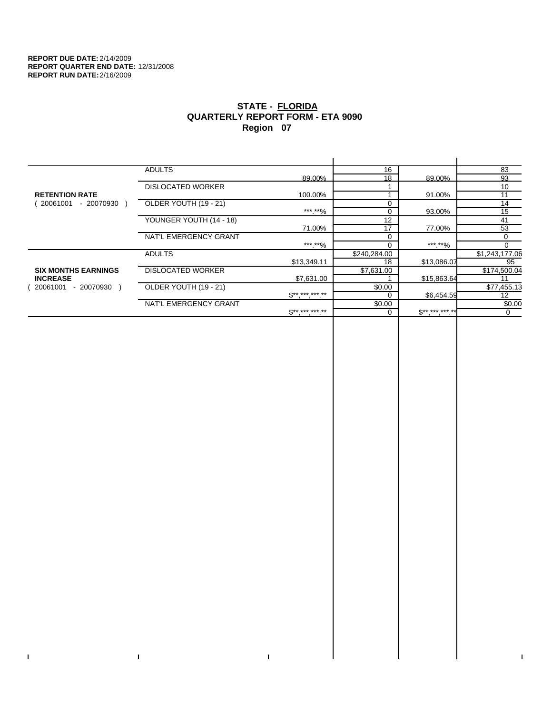$\bar{\mathbf{I}}$ 

 $\mathbf{I}$ 

# **STATE - FLORIDA QUARTERLY REPORT FORM - ETA 9090 Region 07**

|                            | <b>ADULTS</b>            |                              | 16           |              | 83             |
|----------------------------|--------------------------|------------------------------|--------------|--------------|----------------|
|                            |                          | 89.00%                       | 18           | 89.00%       | 93             |
|                            | <b>DISLOCATED WORKER</b> |                              |              |              | 10             |
| <b>RETENTION RATE</b>      |                          | 100.00%                      |              | 91.00%       | 11             |
| - 20070930<br>20061001     | OLDER YOUTH (19 - 21)    |                              | $\Omega$     |              | 14             |
|                            |                          | ***.**%                      | $\Omega$     | 93.00%       | 15             |
|                            | YOUNGER YOUTH (14 - 18)  |                              | 12           |              | 41             |
|                            |                          | 71.00%                       | 17           | 77.00%       | 53             |
|                            | NAT'L EMERGENCY GRANT    |                              | $\Omega$     |              | 0              |
|                            |                          | ***.**%                      |              | *** **%      | $\Omega$       |
|                            | <b>ADULTS</b>            |                              | \$240,284.00 |              | \$1,243,177.06 |
|                            |                          | \$13,349.11                  | 18           | \$13,086.07  | 95             |
| <b>SIX MONTHS EARNINGS</b> | <b>DISLOCATED WORKER</b> |                              | \$7,631.00   |              | \$174,500.04   |
| <b>INCREASE</b>            |                          | \$7,631.00                   |              | \$15,863.64  |                |
| - 20070930<br>20061001     | OLDER YOUTH (19 - 21)    |                              | \$0.00       |              | \$77,455.13    |
|                            |                          | $\mathbb{S}^{**}$ *** *** ** |              | \$6,454.59   | 12             |
|                            | NAT'L EMERGENCY GRANT    |                              | \$0.00       |              | \$0.00         |
|                            |                          | $$*********$                 |              | $S*********$ | 0              |
|                            |                          |                              |              |              |                |

 $\bar{\Gamma}$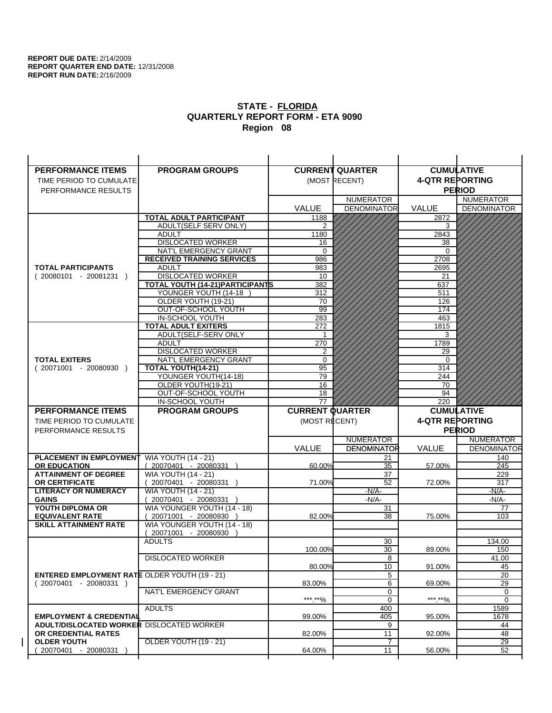| <b>PERFORMANCE ITEMS</b>                             | <b>PROGRAM GROUPS</b>                         |                        | <b>CURRENT QUARTER</b> |                        | <b>CUMULATIVE</b>  |
|------------------------------------------------------|-----------------------------------------------|------------------------|------------------------|------------------------|--------------------|
| TIME PERIOD TO CUMULATE                              |                                               |                        | (MOST RECENT)          | <b>4-QTR REPORTING</b> |                    |
| PERFORMANCE RESULTS                                  |                                               |                        |                        |                        | <b>PERIOD</b>      |
|                                                      |                                               |                        | <b>NUMERATOR</b>       |                        | <b>NUMERATOR</b>   |
|                                                      |                                               | <b>VALUE</b>           | <b>DENOMINATOR</b>     | VALUE                  | <b>DENOMINATOR</b> |
|                                                      | TOTAL ADULT PARTICIPANT                       | 1188                   |                        | 2872                   |                    |
|                                                      | <b>ADULT(SELF SERV ONLY)</b>                  | 2                      |                        | 3                      |                    |
|                                                      | <b>ADULT</b>                                  | 1180                   |                        | 2843                   |                    |
|                                                      | <b>DISLOCATED WORKER</b>                      | 16                     |                        | 38                     |                    |
|                                                      | NAT'L EMERGENCY GRANT                         | $\Omega$               |                        | $\Omega$               |                    |
|                                                      | <b>RECEIVED TRAINING SERVICES</b>             | 986                    |                        | 2708                   |                    |
| <b>TOTAL PARTICIPANTS</b>                            | <b>ADULT</b>                                  | 983                    |                        | 2695                   |                    |
| $(20080101 - 20081231)$                              | <b>DISLOCATED WORKER</b>                      | 10                     |                        | 21                     |                    |
|                                                      | TOTAL YOUTH (14-21) PARTICIPANTS              | 382                    |                        | 637                    |                    |
|                                                      | YOUNGER YOUTH (14-18                          | 312                    |                        | 511                    |                    |
|                                                      | OLDER YOUTH (19-21)                           | 70                     |                        | 126                    |                    |
|                                                      | OUT-OF-SCHOOL YOUTH                           | 99                     |                        | 174                    |                    |
|                                                      | IN-SCHOOL YOUTH<br><b>TOTAL ADULT EXITERS</b> | 283                    |                        | 463                    |                    |
|                                                      | ADULT(SELF-SERV ONLY                          | 272                    |                        | 1815<br>3              |                    |
|                                                      | <b>ADULT</b>                                  | 270                    |                        | 1789                   |                    |
|                                                      | <b>DISLOCATED WORKER</b>                      | $\overline{2}$         |                        | 29                     |                    |
| <b>TOTAL EXITERS</b>                                 | NAT'L EMERGENCY GRANT                         | 0                      |                        | 0                      |                    |
| $(20071001 - 20080930)$                              | TOTAL YOUTH(14-21)                            | 95                     |                        | 314                    |                    |
|                                                      | YOUNGER YOUTH(14-18)                          | 79                     |                        | 244                    |                    |
|                                                      | OLDER YOUTH(19-21)                            | 16                     |                        | 70                     |                    |
|                                                      | OUT-OF-SCHOOL YOUTH                           | 18                     |                        | 94                     |                    |
|                                                      | IN-SCHOOL YOUTH                               | 77                     |                        | 220                    |                    |
|                                                      |                                               |                        |                        |                        |                    |
| <b>PERFORMANCE ITEMS</b>                             | <b>PROGRAM GROUPS</b>                         | <b>CURRENT QUARTER</b> |                        |                        | <b>CUMULATIVE</b>  |
| TIME PERIOD TO CUMULATE                              |                                               | (MOST RECENT)          |                        | <b>4-QTR REPORTING</b> |                    |
| PERFORMANCE RESULTS                                  |                                               |                        |                        |                        | <b>PERIOD</b>      |
|                                                      |                                               |                        | <b>NUMERATOR</b>       |                        | <b>NUMERATOR</b>   |
|                                                      |                                               | <b>VALUE</b>           | <b>DENOMINATOR</b>     | <b>VALUE</b>           | <b>DENOMINATOR</b> |
| <b>PLACEMENT IN EMPLOYMENT</b>                       | <b>WIA YOUTH (14 - 21)</b>                    |                        | 21                     |                        | 140                |
| <b>OR EDUCATION</b>                                  | $(20070401 - 20080331)$                       | 60.00%                 | 35                     | 57.00%                 | 245                |
| <b>ATTAINMENT OF DEGREE</b>                          | <b>WIA YOUTH (14 - 21)</b>                    |                        | 37                     |                        | 229                |
| <b>OR CERTIFICATE</b>                                | $(20070401 - 20080331)$                       | 71.00%                 | 52                     | 72.00%                 | 317                |
| <b>LITERACY OR NUMERACY</b>                          | <b>WIA YOUTH (14 - 21)</b>                    |                        | $-N/A-$                |                        | -N/A-              |
| <b>GAINS</b>                                         | 20070401 - 20080331                           |                        | $-N/A-$                |                        | $-N/A-$            |
| YOUTH DIPLOMA OR                                     | WIA YOUNGER YOUTH (14 - 18)                   |                        | 31                     |                        | 77                 |
| <b>EQUIVALENT RATE</b>                               | 20071001 - 20080930 )                         | 82.00%                 | 38                     | 75.00%                 | 103                |
| <b>SKILL ATTAINMENT RATE</b>                         | WIA YOUNGER YOUTH (14 - 18)                   |                        |                        |                        |                    |
|                                                      | (20071001 - 20080930<br><b>ADULTS</b>         |                        | 30                     |                        | 134.00             |
|                                                      |                                               | 100.00%                | 30                     | 89.00%                 | 150                |
|                                                      | <b>DISLOCATED WORKER</b>                      |                        | $\overline{8}$         |                        | 41.00              |
|                                                      |                                               | 80.00%                 | 10                     | 91.00%                 | 45                 |
| <b>ENTERED EMPLOYMENT RATE OLDER YOUTH (19 - 21)</b> |                                               |                        | 5                      |                        | 20                 |
| $(20070401 - 20080331)$                              |                                               | 83.00%                 | 6                      | 69.00%                 | 29                 |
|                                                      | NAT'L EMERGENCY GRANT                         |                        | 0                      |                        | 0                  |
|                                                      |                                               | ***.**%                | 0                      | ***.**%                | 0                  |
|                                                      | <b>ADULTS</b>                                 |                        | 400                    |                        | 1589               |
| <b>EMPLOYMENT &amp; CREDENTIAL</b>                   |                                               | 99.00%                 | 405                    | 95.00%                 | 1678               |
| <b>ADULT/DISLOCATED WORKER DISLOCATED WORKER</b>     |                                               |                        | 9                      |                        | 44                 |
| OR CREDENTIAL RATES<br><b>OLDER YOUTH</b>            | OLDER YOUTH (19 - 21)                         | 82.00%                 | 11<br>7                | 92.00%                 | 48                 |
| 20070401 - 20080331                                  |                                               | 64.00%                 | 11                     | 56.00%                 | 29<br>52           |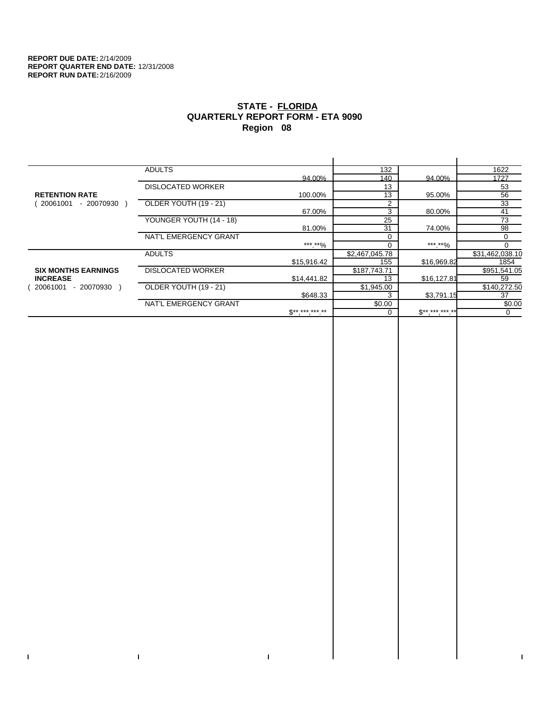$\bar{\Gamma}$ 

 $\Gamma$ 

# **STATE - FLORIDA QUARTERLY REPORT FORM - ETA 9090 Region 08**

|                            | <b>ADULTS</b>            |              | 132            |             | 1622            |
|----------------------------|--------------------------|--------------|----------------|-------------|-----------------|
|                            |                          | 94.00%       | 140            | 94.00%      | 1727            |
|                            | <b>DISLOCATED WORKER</b> |              | 13             |             | 53              |
| <b>RETENTION RATE</b>      |                          | 100.00%      | 13             | 95.00%      | 56              |
| - 20070930<br>20061001     | OLDER YOUTH (19 - 21)    |              | 2              |             | 33              |
|                            |                          | 67.00%       | 3              | 80.00%      | 41              |
|                            | YOUNGER YOUTH (14 - 18)  |              | 25             |             | 73              |
|                            |                          | 81.00%       | 31             | 74.00%      | 98              |
|                            | NAT'L EMERGENCY GRANT    |              | $\Omega$       |             | 0               |
|                            |                          | ***.**%      |                | ***.**%     |                 |
|                            | <b>ADULTS</b>            |              | \$2,467,045.78 |             | \$31,462,038.10 |
|                            |                          | \$15,916.42  | 155            | \$16,969.82 | 1854            |
| <b>SIX MONTHS EARNINGS</b> | <b>DISLOCATED WORKER</b> |              | \$187,743.71   |             | \$951,541.05    |
| <b>INCREASE</b>            |                          | \$14,441.82  | 13             | \$16,127.81 | 59              |
| - 20070930<br>20061001     | OLDER YOUTH (19 - 21)    |              | \$1,945.00     |             | \$140,272.50    |
|                            |                          | \$648.33     |                | \$3,791.15  | 37              |
|                            | NAT'L EMERGENCY GRANT    |              | \$0.00         |             | \$0.00          |
|                            |                          | $S*********$ |                | $S********$ | 0               |
|                            |                          |              |                |             |                 |

 $\bar{\Gamma}$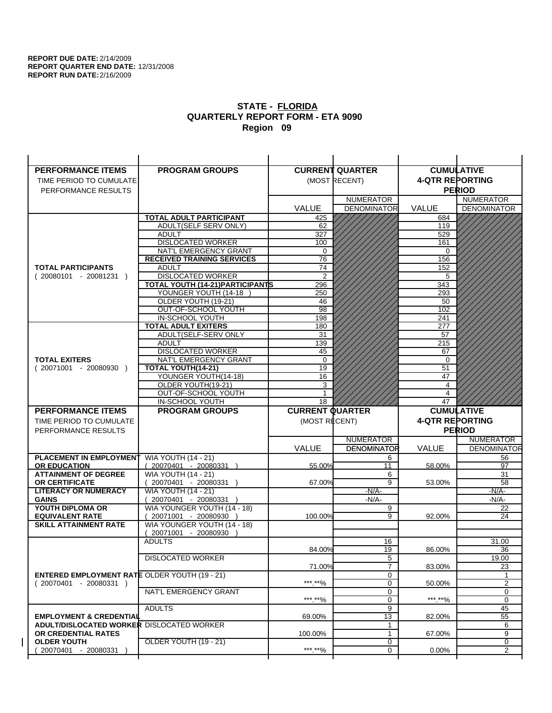$\overline{1}$ 

| <b>PERFORMANCE ITEMS</b>                             | <b>PROGRAM GROUPS</b>                              |                        | <b>CURRENT QUARTER</b> |                        | <b>CUMULATIVE</b>   |
|------------------------------------------------------|----------------------------------------------------|------------------------|------------------------|------------------------|---------------------|
| TIME PERIOD TO CUMULATE                              |                                                    |                        | (MOST RECENT)          | <b>4-QTR REPORTING</b> |                     |
| PERFORMANCE RESULTS                                  |                                                    |                        |                        |                        | <b>PERIOD</b>       |
|                                                      |                                                    |                        | <b>NUMERATOR</b>       |                        | <b>NUMERATOR</b>    |
|                                                      |                                                    | <b>VALUE</b>           | <b>DENOMINATOR</b>     | VALUE                  | <b>DENOMINATOR</b>  |
|                                                      | TOTAL ADULT PARTICIPANT                            | 425                    |                        | 684                    |                     |
|                                                      | <b>ADULT(SELF SERV ONLY)</b>                       | 62                     |                        | 119                    |                     |
|                                                      | <b>ADULT</b>                                       | 327                    |                        | 529                    |                     |
|                                                      | <b>DISLOCATED WORKER</b>                           | 100                    |                        | 161                    |                     |
|                                                      | NAT'L EMERGENCY GRANT                              | 0                      |                        | $\Omega$               |                     |
|                                                      | <b>RECEIVED TRAINING SERVICES</b>                  | 76                     |                        | 156                    |                     |
| <b>TOTAL PARTICIPANTS</b>                            | <b>ADULT</b>                                       | 74                     |                        | 152                    |                     |
| $(20080101 - 20081231)$                              | <b>DISLOCATED WORKER</b>                           | $\overline{2}$         |                        | 5                      |                     |
|                                                      | TOTAL YOUTH (14-21) PARTICIPANTS                   | 296                    |                        | 343                    |                     |
|                                                      | YOUNGER YOUTH (14-18<br>OLDER YOUTH (19-21)        | 250                    |                        | 293                    |                     |
|                                                      | OUT-OF-SCHOOL YOUTH                                | 46<br>$\overline{98}$  |                        | 50<br>102              |                     |
|                                                      | IN-SCHOOL YOUTH                                    | 198                    |                        | 241                    |                     |
|                                                      | <b>TOTAL ADULT EXITERS</b>                         | 180                    |                        | 277                    |                     |
|                                                      | ADULT(SELF-SERV ONLY                               | 31                     |                        | 57                     |                     |
|                                                      | <b>ADULT</b>                                       | 139                    |                        | 215                    |                     |
|                                                      | <b>DISLOCATED WORKER</b>                           | 45                     |                        | 67                     |                     |
| <b>TOTAL EXITERS</b>                                 | NAT'L EMERGENCY GRANT                              | $\mathbf 0$            |                        | 0                      |                     |
| $(20071001 - 20080930)$                              | TOTAL YOUTH(14-21)                                 | 19                     |                        | 51                     |                     |
|                                                      | YOUNGER YOUTH(14-18)                               | 16                     |                        | 47                     |                     |
|                                                      | OLDER YOUTH(19-21)                                 | 3                      |                        | 4                      |                     |
|                                                      | OUT-OF-SCHOOL YOUTH                                | 1<br>18                |                        | $\overline{4}$<br>47   |                     |
|                                                      | IN-SCHOOL YOUTH                                    |                        |                        |                        |                     |
|                                                      |                                                    |                        |                        |                        |                     |
| <b>PERFORMANCE ITEMS</b>                             | <b>PROGRAM GROUPS</b>                              | <b>CURRENT QUARTER</b> |                        |                        | <b>CUMULATIVE</b>   |
| TIME PERIOD TO CUMULATE                              |                                                    | (MOST RECENT)          |                        | <b>4-QTR REPORTING</b> |                     |
| PERFORMANCE RESULTS                                  |                                                    |                        |                        |                        | <b>PERIOD</b>       |
|                                                      |                                                    |                        | <b>NUMERATOR</b>       |                        | <b>NUMERATOR</b>    |
|                                                      |                                                    | <b>VALUE</b>           | <b>DENOMINATOR</b>     | <b>VALUE</b>           | <b>DENOMINATOR</b>  |
| <b>PLACEMENT IN EMPLOYMENT</b>                       | <b>WIA YOUTH (14 - 21)</b>                         |                        | 6                      |                        | 56                  |
| <b>OR EDUCATION</b>                                  | $(20070401 - 20080331)$                            | 55.00%                 | 11                     | 58.00%                 | 97                  |
| <b>ATTAINMENT OF DEGREE</b>                          | <b>WIA YOUTH (14 - 21)</b>                         |                        | 6                      |                        | 31                  |
| <b>OR CERTIFICATE</b>                                | $(20070401 - 20080331)$                            | 67.00%                 | 9                      | 53.00%                 | 58                  |
| <b>LITERACY OR NUMERACY</b><br><b>GAINS</b>          | <b>WIA YOUTH (14 - 21)</b>                         |                        | $-N/A-$<br>$-N/A-$     |                        | $-N/A$ -<br>$-N/A-$ |
| YOUTH DIPLOMA OR                                     | 20070401 - 20080331<br>WIA YOUNGER YOUTH (14 - 18) |                        | 9                      |                        | 22                  |
| <b>EQUIVALENT RATE</b>                               | 20071001 - 20080930 )                              | 100.00%                | 9                      | 92.00%                 | 24                  |
| <b>SKILL ATTAINMENT RATE</b>                         | WIA YOUNGER YOUTH (14 - 18)                        |                        |                        |                        |                     |
|                                                      | (20071001 - 20080930                               |                        |                        |                        |                     |
|                                                      | <b>ADULTS</b>                                      |                        | 16                     |                        | 31.00               |
|                                                      |                                                    | 84.00%                 | 19                     | 86.00%                 | 36                  |
|                                                      | <b>DISLOCATED WORKER</b>                           |                        | $\overline{5}$         |                        | 19.00               |
|                                                      |                                                    | 71.00%                 | $\overline{7}$         | 83.00%                 | 23                  |
| <b>ENTERED EMPLOYMENT RATE OLDER YOUTH (19 - 21)</b> |                                                    |                        | 0                      |                        |                     |
| $(20070401 - 20080331)$                              | NAT'L EMERGENCY GRANT                              | *** **%                | 0<br>0                 | 50.00%                 | 2<br>0              |
|                                                      |                                                    | ***.**%                | 0                      | ***.**%                | 0                   |
|                                                      | <b>ADULTS</b>                                      |                        | 9                      |                        | 45                  |
| <b>EMPLOYMENT &amp; CREDENTIAL</b>                   |                                                    | 69.00%                 | $\overline{13}$        | 82.00%                 | 55                  |
| <b>ADULT/DISLOCATED WORKER DISLOCATED WORKER</b>     |                                                    |                        | 1                      |                        | 6                   |
| OR CREDENTIAL RATES                                  |                                                    | 100.00%                | $\mathbf{1}$           | 67.00%                 | 9                   |
| <b>OLDER YOUTH</b><br>20070401 - 20080331            | OLDER YOUTH (19 - 21)                              | ***.**%                | 0<br>0                 | $0.00\%$               | 0<br>2              |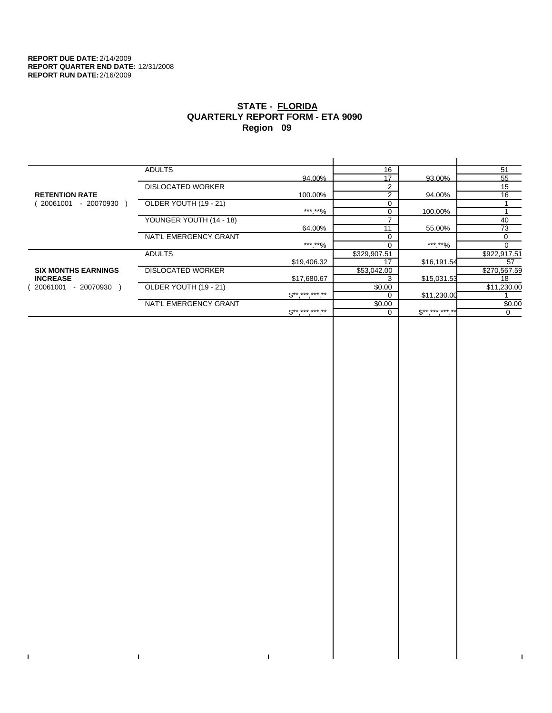$\bar{\Gamma}$ 

 $\Gamma$ 

# **STATE - FLORIDA QUARTERLY REPORT FORM - ETA 9090 Region 09**

|                            | <b>ADULTS</b>            |              | 16           |              | 51           |
|----------------------------|--------------------------|--------------|--------------|--------------|--------------|
|                            |                          | 94.00%       | 17           | 93.00%       | 55           |
|                            | <b>DISLOCATED WORKER</b> |              | 2            |              | 15           |
| <b>RETENTION RATE</b>      |                          | 100.00%      | 2            | 94.00%       | 16           |
| - 20070930<br>20061001     | OLDER YOUTH (19 - 21)    |              |              |              |              |
|                            |                          | ***.**%      |              | 100.00%      |              |
|                            | YOUNGER YOUTH (14 - 18)  |              |              |              | 40           |
|                            |                          | 64.00%       | 11           | 55.00%       | 73           |
|                            | NAT'L EMERGENCY GRANT    |              |              |              | $\Omega$     |
|                            |                          | ***.**%      |              | ***.**%      | $\Omega$     |
|                            | <b>ADULTS</b>            |              | \$329,907.51 |              | \$922,917.51 |
|                            |                          | \$19,406.32  | 17           | \$16,191.54  | 57           |
| <b>SIX MONTHS EARNINGS</b> | <b>DISLOCATED WORKER</b> |              | \$53,042.00  |              | \$270,567.59 |
| <b>INCREASE</b>            |                          | \$17,680.67  |              | \$15,031.53  | 18           |
| - 20070930<br>20061001     | OLDER YOUTH (19 - 21)    |              | \$0.00       |              | \$11,230.00  |
|                            |                          | $S*********$ |              | \$11,230.00  |              |
|                            | NAT'L EMERGENCY GRANT    |              | \$0.00       |              | \$0.00       |
|                            |                          | $S*********$ |              | $$********"$ | 0            |
|                            |                          |              |              |              |              |

 $\mathbf{I}$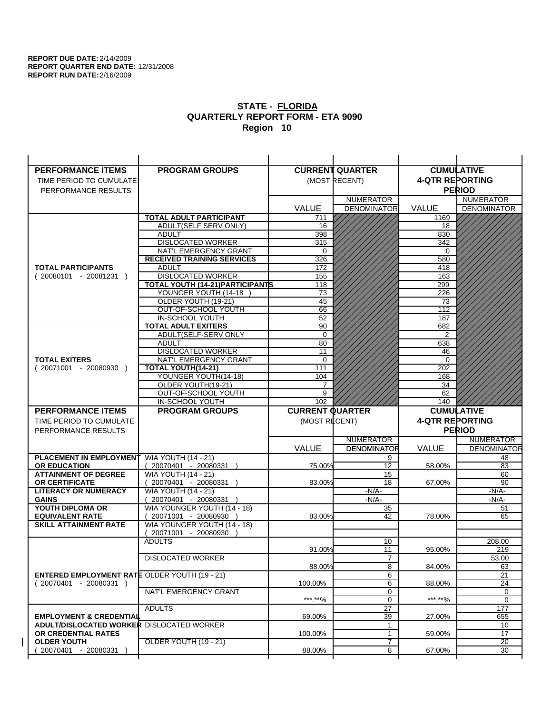| <b>PERFORMANCE ITEMS</b>                                                        | <b>PROGRAM GROUPS</b>                         |                        | <b>CURRENT QUARTER</b> |                        | <b>CUMULATIVE</b>     |
|---------------------------------------------------------------------------------|-----------------------------------------------|------------------------|------------------------|------------------------|-----------------------|
| TIME PERIOD TO CUMULATE                                                         |                                               |                        | (MOST RECENT)          | <b>4-QTR REPORTING</b> |                       |
| PERFORMANCE RESULTS                                                             |                                               |                        |                        |                        | <b>PERIOD</b>         |
|                                                                                 |                                               |                        | <b>NUMERATOR</b>       |                        | <b>NUMERATOR</b>      |
|                                                                                 |                                               | <b>VALUE</b>           | <b>DENOMINATOR</b>     | VALUE                  | <b>DENOMINATOR</b>    |
|                                                                                 | TOTAL ADULT PARTICIPANT                       | 711                    |                        | 1169                   |                       |
|                                                                                 | <b>ADULT(SELF SERV ONLY)</b>                  | 16                     |                        | 18                     |                       |
|                                                                                 | <b>ADULT</b>                                  | 398                    |                        | 830                    |                       |
|                                                                                 | <b>DISLOCATED WORKER</b>                      | 315                    |                        | 342                    |                       |
|                                                                                 | NAT'L EMERGENCY GRANT                         | $\Omega$               |                        | $\Omega$               |                       |
|                                                                                 | <b>RECEIVED TRAINING SERVICES</b>             | 326                    |                        | 580                    |                       |
| <b>TOTAL PARTICIPANTS</b>                                                       | <b>ADULT</b>                                  | 172                    |                        | 418                    |                       |
| $(20080101 - 20081231)$                                                         | <b>DISLOCATED WORKER</b>                      | 155                    |                        | 163                    |                       |
|                                                                                 | TOTAL YOUTH (14-21) PARTICIPANTS              | 118                    |                        | 299                    |                       |
|                                                                                 | YOUNGER YOUTH (14-18                          | 73                     |                        | 226                    |                       |
|                                                                                 | OLDER YOUTH (19-21)                           | 45                     |                        | 73                     |                       |
|                                                                                 | OUT-OF-SCHOOL YOUTH                           | 66                     |                        | 112                    |                       |
|                                                                                 | IN-SCHOOL YOUTH<br><b>TOTAL ADULT EXITERS</b> | 52<br>90               |                        | 187<br>682             |                       |
|                                                                                 | ADULT(SELF-SERV ONLY                          | $\mathbf 0$            |                        | 2                      |                       |
|                                                                                 | <b>ADULT</b>                                  | 80                     |                        | 638                    |                       |
|                                                                                 | <b>DISLOCATED WORKER</b>                      | 11                     |                        | 46                     |                       |
| <b>TOTAL EXITERS</b>                                                            | NAT'L EMERGENCY GRANT                         | $\mathbf 0$            |                        | 0                      |                       |
| $(20071001 - 20080930)$                                                         | TOTAL YOUTH(14-21)                            | 111                    |                        | 202                    |                       |
|                                                                                 | YOUNGER YOUTH(14-18)                          | 104                    |                        | 168                    |                       |
|                                                                                 | OLDER YOUTH(19-21)                            | 7                      |                        | 34                     |                       |
|                                                                                 | OUT-OF-SCHOOL YOUTH                           | 9                      |                        | 62                     |                       |
|                                                                                 | IN-SCHOOL YOUTH                               | 102                    |                        | 140                    |                       |
|                                                                                 |                                               |                        |                        |                        |                       |
| <b>PERFORMANCE ITEMS</b>                                                        | <b>PROGRAM GROUPS</b>                         | <b>CURRENT QUARTER</b> |                        |                        | <b>CUMULATIVE</b>     |
| TIME PERIOD TO CUMULATE                                                         |                                               | (MOST RECENT)          |                        | <b>4-QTR REPORTING</b> |                       |
| PERFORMANCE RESULTS                                                             |                                               |                        |                        |                        | <b>PERIOD</b>         |
|                                                                                 |                                               |                        | <b>NUMERATOR</b>       |                        | <b>NUMERATOR</b>      |
|                                                                                 |                                               | <b>VALUE</b>           | <b>DENOMINATOR</b>     | <b>VALUE</b>           | <b>DENOMINATOR</b>    |
| <b>PLACEMENT IN EMPLOYMENT</b>                                                  | <b>WIA YOUTH (14 - 21)</b>                    |                        | 9                      |                        | 48                    |
| <b>OR EDUCATION</b>                                                             | $(20070401 - 20080331)$                       | 75.00%                 | 12                     | 58.00%                 | 83                    |
| <b>ATTAINMENT OF DEGREE</b>                                                     | <b>WIA YOUTH (14 - 21)</b>                    |                        | 15                     |                        | 60                    |
| <b>OR CERTIFICATE</b>                                                           | $(20070401 - 20080331)$                       | 83.00%                 | 18                     | 67.00%                 | 90                    |
| <b>LITERACY OR NUMERACY</b>                                                     | <b>WIA YOUTH (14 - 21)</b>                    |                        | $-N/A-$                |                        | $-N/A$ -              |
| <b>GAINS</b>                                                                    | 20070401 - 20080331                           |                        | $-N/A-$                |                        | $-N/A-$               |
| YOUTH DIPLOMA OR                                                                | WIA YOUNGER YOUTH (14 - 18)                   |                        | 35                     |                        | 51                    |
| <b>EQUIVALENT RATE</b>                                                          | 20071001 - 20080930 )                         | 83.00%                 | 42                     | 78.00%                 | 65                    |
| <b>SKILL ATTAINMENT RATE</b>                                                    | WIA YOUNGER YOUTH (14 - 18)                   |                        |                        |                        |                       |
|                                                                                 | (20071001 - 20080930                          |                        |                        |                        |                       |
|                                                                                 | <b>ADULTS</b>                                 |                        | 10                     |                        | 208.00                |
|                                                                                 |                                               | 91.00%                 | 11                     | 95.00%                 | 219                   |
|                                                                                 | <b>DISLOCATED WORKER</b>                      | 88.00%                 | $\overline{7}$<br>8    | 84.00%                 | 53.00<br>63           |
|                                                                                 |                                               |                        | 6                      |                        | 21                    |
| <b>ENTERED EMPLOYMENT RATE OLDER YOUTH (19 - 21)</b><br>$(20070401 - 20080331)$ |                                               | 100.00%                | 6                      | 88.00%                 | 24                    |
|                                                                                 | NAT'L EMERGENCY GRANT                         |                        | 0                      |                        | 0                     |
|                                                                                 |                                               | ***.**%                | $\mathbf 0$            | *** **%                | 0                     |
|                                                                                 | <b>ADULTS</b>                                 |                        | 27                     |                        | 177                   |
| <b>EMPLOYMENT &amp; CREDENTIAL</b>                                              |                                               | 69.00%                 | 39                     | 27.00%                 | 655                   |
| <b>ADULT/DISLOCATED WORKER DISLOCATED WORKER</b>                                |                                               |                        | 1                      |                        | 10                    |
| OR CREDENTIAL RATES                                                             |                                               | 100.00%                | $\mathbf{1}$           | 59.00%                 | 17                    |
| <b>OLDER YOUTH</b><br>20070401 - 20080331                                       | <b>OLDER YOUTH (19 - 21)</b>                  | 88.00%                 | 7<br>8                 | 67.00%                 | $\overline{20}$<br>30 |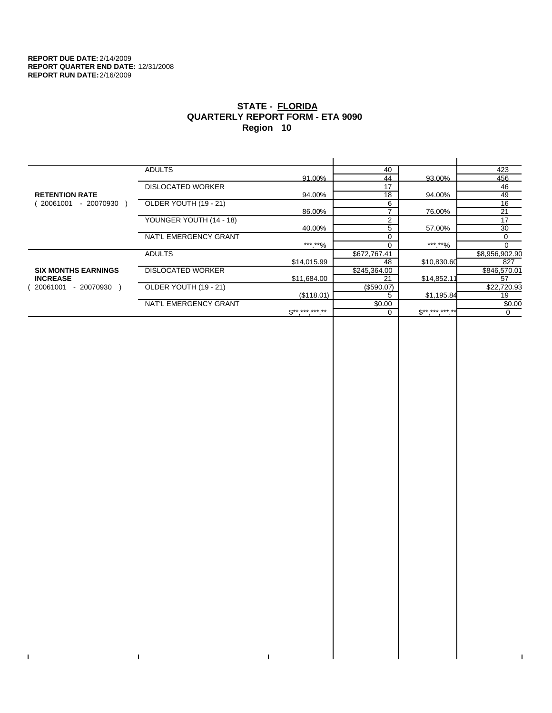$\bar{\Gamma}$ 

 $\Gamma$ 

# **STATE - FLORIDA QUARTERLY REPORT FORM - ETA 9090 Region 10**

|                            | <b>ADULTS</b>            |              | 40             |              | 423            |
|----------------------------|--------------------------|--------------|----------------|--------------|----------------|
|                            |                          | 91.00%       | 44             | 93.00%       | 456            |
|                            | <b>DISLOCATED WORKER</b> |              | 17             |              | 46             |
| <b>RETENTION RATE</b>      |                          | 94.00%       | 18             | 94.00%       | 49             |
| - 20070930<br>20061001     | OLDER YOUTH (19 - 21)    |              | 6              |              | 16             |
|                            |                          | 86.00%       |                | 76.00%       | 21             |
|                            | YOUNGER YOUTH (14 - 18)  |              | $\overline{2}$ |              | 17             |
|                            |                          | 40.00%       | 5              | 57.00%       | 30             |
|                            | NAT'L EMERGENCY GRANT    |              |                |              | 0              |
|                            |                          | ***.**%      |                | ***.**%      | $\Omega$       |
|                            | <b>ADULTS</b>            |              | \$672,767.41   |              | \$8,956,902.90 |
|                            |                          | \$14,015.99  | 48             | \$10,830.60  | 827            |
| <b>SIX MONTHS EARNINGS</b> | <b>DISLOCATED WORKER</b> |              | \$245,364.00   |              | \$846,570.01   |
| <b>INCREASE</b>            |                          | \$11,684.00  | 21             | \$14,852.11  | 57             |
| - 20070930<br>20061001     | OLDER YOUTH (19 - 21)    |              | (\$590.07)     |              | \$22,720.93    |
|                            |                          | (\$118.01)   | 5              | \$1,195.84   | 19             |
|                            | NAT'L EMERGENCY GRANT    |              | \$0.00         |              | \$0.00         |
|                            |                          | $S*********$ |                | $$********"$ | 0              |
|                            |                          |              |                |              |                |

 $\bar{\Gamma}$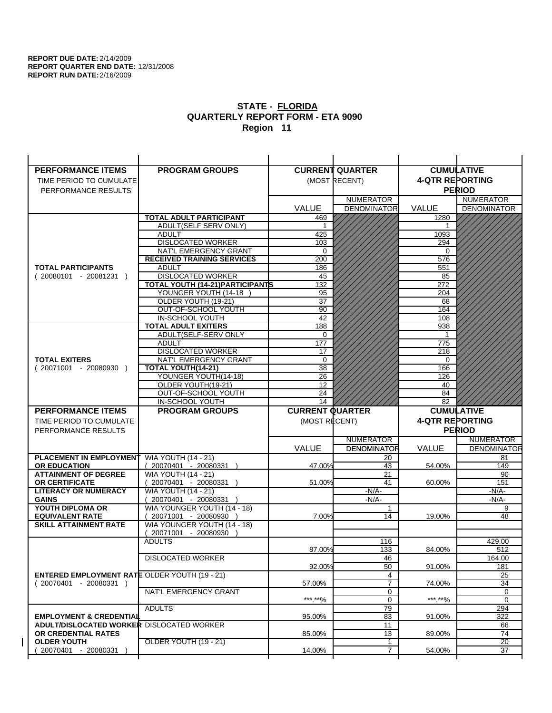| <b>PERFORMANCE ITEMS</b>                             | <b>PROGRAM GROUPS</b>                                |                        | <b>CURRENT QUARTER</b> |                        | <b>CUMULATIVE</b>     |
|------------------------------------------------------|------------------------------------------------------|------------------------|------------------------|------------------------|-----------------------|
| TIME PERIOD TO CUMULATE                              |                                                      |                        | (MOST RECENT)          | <b>4-QTR REPORTING</b> |                       |
| PERFORMANCE RESULTS                                  |                                                      |                        |                        |                        | <b>PERIOD</b>         |
|                                                      |                                                      |                        | <b>NUMERATOR</b>       |                        | <b>NUMERATOR</b>      |
|                                                      |                                                      | <b>VALUE</b>           | <b>DENOMINATOR</b>     | VALUE                  | <b>DENOMINATOR</b>    |
|                                                      | <b>TOTAL ADULT PARTICIPANT</b>                       | 469                    |                        | 1280                   |                       |
|                                                      | ADULT(SELF SERV ONLY)                                | $\mathbf 1$            |                        | -1                     |                       |
|                                                      | <b>ADULT</b>                                         | 425                    |                        | 1093                   |                       |
|                                                      | <b>DISLOCATED WORKER</b>                             | 103                    |                        | 294                    |                       |
|                                                      | NAT'L EMERGENCY GRANT                                | 0                      |                        | 0                      |                       |
|                                                      | <b>RECEIVED TRAINING SERVICES</b><br><b>ADULT</b>    | 200                    |                        | 576                    |                       |
| <b>TOTAL PARTICIPANTS</b><br>$(20080101 - 20081231)$ | <b>DISLOCATED WORKER</b>                             | 186<br>45              |                        | 551<br>85              |                       |
|                                                      | TOTAL YOUTH (14-21) PARTICIPANTS                     | 132                    |                        | 272                    |                       |
|                                                      | YOUNGER YOUTH (14-18                                 | 95                     |                        | 204                    |                       |
|                                                      | OLDER YOUTH (19-21)                                  | 37                     |                        | 68                     |                       |
|                                                      | OUT-OF-SCHOOL YOUTH                                  | 90                     |                        | 164                    |                       |
|                                                      | IN-SCHOOL YOUTH                                      | 42                     |                        | 108                    |                       |
|                                                      | <b>TOTAL ADULT EXITERS</b>                           | 188                    |                        | 938                    |                       |
|                                                      | ADULT(SELF-SERV ONLY                                 | 0                      |                        | 1                      |                       |
|                                                      | <b>ADULT</b>                                         | 177                    |                        | 775                    |                       |
| <b>TOTAL EXITERS</b>                                 | <b>DISLOCATED WORKER</b>                             | 17                     |                        | 218                    |                       |
| $(20071001 - 20080930)$                              | NAT'L EMERGENCY GRANT<br>TOTAL YOUTH(14-21)          | $\mathbf 0$<br>38      |                        | 0<br>166               |                       |
|                                                      | YOUNGER YOUTH(14-18)                                 | 26                     |                        | 126                    |                       |
|                                                      | OLDER YOUTH(19-21)                                   | $\overline{12}$        |                        | 40                     |                       |
|                                                      | OUT-OF-SCHOOL YOUTH                                  | 24                     |                        | 84                     |                       |
|                                                      | IN-SCHOOL YOUTH                                      | 14                     |                        | 82                     |                       |
|                                                      |                                                      |                        |                        |                        |                       |
| <b>PERFORMANCE ITEMS</b>                             | <b>PROGRAM GROUPS</b>                                | <b>CURRENT QUARTER</b> |                        |                        | <b>CUMULATIVE</b>     |
| TIME PERIOD TO CUMULATE                              |                                                      | (MOST RECENT)          |                        | <b>4-QTR REPORTING</b> |                       |
| PERFORMANCE RESULTS                                  |                                                      |                        |                        |                        | <b>PERIOD</b>         |
|                                                      |                                                      |                        | <b>NUMERATOR</b>       |                        | <b>NUMERATOR</b>      |
|                                                      |                                                      | <b>VALUE</b>           | <b>DENOMINATOR</b>     | <b>VALUE</b>           | <b>DENOMINATOR</b>    |
| <b>PLACEMENT IN EMPLOYMENT</b>                       | <b>WIA YOUTH (14 - 21)</b>                           |                        | 20                     |                        | 81                    |
| <b>OR EDUCATION</b>                                  | $(20070401 - 20080331)$                              | 47.00%                 | 43                     | 54.00%                 | 149                   |
| <b>ATTAINMENT OF DEGREE</b>                          | <b>WIA YOUTH (14 - 21)</b>                           |                        | 21                     |                        | 90                    |
| OR CERTIFICATE                                       | $(20070401 - 20080331)$                              | 51.00%                 | 41                     | 60.00%                 | 151                   |
| <b>LITERACY OR NUMERACY</b>                          | <b>WIA YOUTH (14 - 21)</b>                           |                        | $-N/A$ -               |                        | -N/A-                 |
| <b>GAINS</b>                                         | 20070401 - 20080331                                  |                        | $-N/A-$                |                        | $-N/A-$               |
| YOUTH DIPLOMA OR<br><b>EQUIVALENT RATE</b>           | WIA YOUNGER YOUTH (14 - 18)                          | 7.00%                  | 1<br>14                | 19.00%                 | 9<br>48               |
| <b>SKILL ATTAINMENT RATE</b>                         | 20071001 - 20080930 )<br>WIA YOUNGER YOUTH (14 - 18) |                        |                        |                        |                       |
|                                                      | (20071001 - 20080930                                 |                        |                        |                        |                       |
|                                                      | <b>ADULTS</b>                                        |                        | 116                    |                        | 429.00                |
|                                                      |                                                      | 87.00%                 | 133                    | 84.00%                 | 512                   |
|                                                      | <b>DISLOCATED WORKER</b>                             |                        | 46                     |                        | 164.00                |
|                                                      |                                                      | 92.00%                 | 50                     | 91.00%                 | 181                   |
| <b>ENTERED EMPLOYMENT RATE OLDER YOUTH (19 - 21)</b> |                                                      |                        | 4                      |                        | 25                    |
| $(20070401 - 20080331)$                              |                                                      | 57.00%                 | $\overline{7}$         | 74.00%                 | 34                    |
|                                                      | NAT'L EMERGENCY GRANT                                | *** **%                | 0<br>$\mathbf 0$       | ***.**%                | 0<br>$\Omega$         |
|                                                      | <b>ADULTS</b>                                        |                        | 79                     |                        | 294                   |
| <b>EMPLOYMENT &amp; CREDENTIAL</b>                   |                                                      | 95.00%                 | 83                     | 91.00%                 | 322                   |
| <b>ADULT/DISLOCATED WORKER DISLOCATED WORKER</b>     |                                                      |                        | 11                     |                        | 66                    |
| OR CREDENTIAL RATES                                  |                                                      | 85.00%                 | 13                     | 89.00%                 | 74                    |
| <b>OLDER YOUTH</b><br>20070401 - 20080331            | OLDER YOUTH (19 - 21)                                | 14.00%                 | 1<br>7                 | 54.00%                 | $\overline{20}$<br>37 |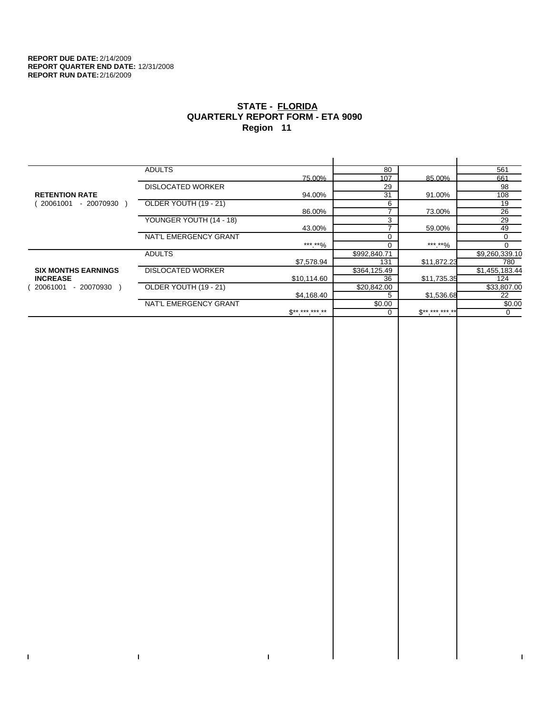$\bar{\Gamma}$ 

 $\mathbf{I}$ 

# **STATE - FLORIDA QUARTERLY REPORT FORM - ETA 9090 Region 11**

|                            | <b>ADULTS</b>            |                     | 80           |             | 561            |
|----------------------------|--------------------------|---------------------|--------------|-------------|----------------|
|                            |                          | 75.00%              | 107          | 85.00%      | 661            |
|                            | <b>DISLOCATED WORKER</b> |                     | 29           |             | 98             |
| <b>RETENTION RATE</b>      |                          | 94.00%              | 31           | 91.00%      | 108            |
| 20061001<br>- 20070930     | OLDER YOUTH (19 - 21)    |                     | 6            |             | 19             |
|                            |                          | 86.00%              |              | 73.00%      | 26             |
|                            | YOUNGER YOUTH (14 - 18)  |                     | 3            |             | 29             |
|                            |                          | 43.00%              |              | 59.00%      | 49             |
|                            | NAT'L EMERGENCY GRANT    |                     | $\Omega$     |             | 0              |
|                            |                          | ***.**%             |              | ***.**%     | $\Omega$       |
|                            | <b>ADULTS</b>            |                     | \$992,840.71 |             | \$9,260,339.10 |
|                            |                          | \$7,578.94          | 131          | \$11,872.23 | 780            |
| <b>SIX MONTHS EARNINGS</b> | <b>DISLOCATED WORKER</b> |                     | \$364,125.49 |             | \$1,455,183.44 |
| <b>INCREASE</b>            |                          | \$10,114.60         | 36           | \$11,735.35 | 124            |
| - 20070930<br>20061001     | OLDER YOUTH (19 - 21)    |                     | \$20,842.00  |             | \$33,807.00    |
|                            |                          | \$4,168.40          | 5            | \$1,536.68  | 22             |
|                            | NAT'L EMERGENCY GRANT    |                     | \$0.00       |             | \$0.00         |
|                            |                          | $S^{**}$ *** *** ** |              | $$********$ | 0              |
|                            |                          |                     |              |             |                |

 $\bar{\Gamma}$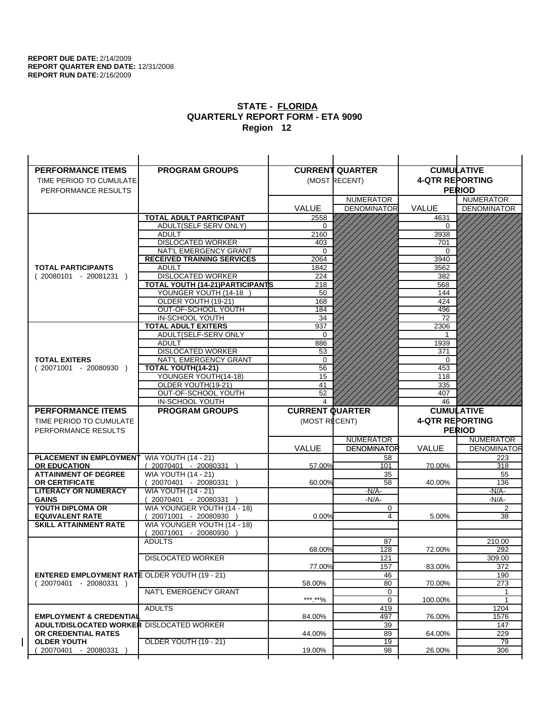| <b>PERFORMANCE ITEMS</b>                             | <b>PROGRAM GROUPS</b>                                 |                        | <b>CURRENT QUARTER</b>                 |                        | <b>CUMULATIVE</b>                      |
|------------------------------------------------------|-------------------------------------------------------|------------------------|----------------------------------------|------------------------|----------------------------------------|
| TIME PERIOD TO CUMULATE                              |                                                       |                        | (MOST RECENT)                          | <b>4-QTR REPORTING</b> |                                        |
| PERFORMANCE RESULTS                                  |                                                       |                        |                                        |                        | <b>PERIOD</b>                          |
|                                                      |                                                       |                        | <b>NUMERATOR</b>                       |                        | <b>NUMERATOR</b>                       |
|                                                      |                                                       | <b>VALUE</b>           | <b>DENOMINATOR</b>                     | VALUE                  | <b>DENOMINATOR</b>                     |
|                                                      | TOTAL ADULT PARTICIPANT                               | 2558                   |                                        | 4631                   |                                        |
|                                                      | <b>ADULT(SELF SERV ONLY)</b>                          | 0                      |                                        | 0                      |                                        |
|                                                      | <b>ADULT</b>                                          | 2160                   |                                        | 3938                   |                                        |
|                                                      | <b>DISLOCATED WORKER</b>                              | 403                    |                                        | 701                    |                                        |
|                                                      | NAT'L EMERGENCY GRANT                                 | $\Omega$               |                                        | $\Omega$               |                                        |
|                                                      | <b>RECEIVED TRAINING SERVICES</b>                     | 2064                   |                                        | 3940                   |                                        |
| <b>TOTAL PARTICIPANTS</b>                            | <b>ADULT</b><br><b>DISLOCATED WORKER</b>              | 1842<br>224            |                                        | 3562<br>382            |                                        |
| $(20080101 - 20081231)$                              | TOTAL YOUTH (14-21) PARTICIPANTS                      | 218                    |                                        | 568                    |                                        |
|                                                      | YOUNGER YOUTH (14-18                                  | 50                     |                                        | 144                    |                                        |
|                                                      | OLDER YOUTH (19-21)                                   | 168                    |                                        | 424                    |                                        |
|                                                      | OUT-OF-SCHOOL YOUTH                                   | 184                    |                                        | 496                    |                                        |
|                                                      | IN-SCHOOL YOUTH                                       | 34                     |                                        | 72                     |                                        |
|                                                      | <b>TOTAL ADULT EXITERS</b>                            | 937                    |                                        | 2306                   |                                        |
|                                                      | ADULT(SELF-SERV ONLY                                  | $\Omega$               |                                        |                        |                                        |
|                                                      | <b>ADULT</b>                                          | 886                    |                                        | 1939                   |                                        |
|                                                      | <b>DISLOCATED WORKER</b>                              | 53                     |                                        | 371                    |                                        |
| <b>TOTAL EXITERS</b>                                 | NAT'L EMERGENCY GRANT                                 | $\mathbf 0$            |                                        | 0                      |                                        |
| $(20071001 - 20080930)$                              | TOTAL YOUTH(14-21)                                    | 56                     |                                        | 453                    |                                        |
|                                                      | YOUNGER YOUTH(14-18)<br>OLDER YOUTH(19-21)            | 15<br>41               |                                        | 118                    |                                        |
|                                                      | OUT-OF-SCHOOL YOUTH                                   | 52                     |                                        | 335<br>407             |                                        |
|                                                      | IN-SCHOOL YOUTH                                       | 4                      |                                        | 46                     |                                        |
|                                                      |                                                       |                        |                                        |                        |                                        |
|                                                      |                                                       | <b>CURRENT QUARTER</b> |                                        |                        |                                        |
| <b>PERFORMANCE ITEMS</b>                             | <b>PROGRAM GROUPS</b>                                 |                        |                                        |                        | <b>CUMULATIVE</b>                      |
| TIME PERIOD TO CUMULATE                              |                                                       | (MOST RECENT)          |                                        | <b>4-QTR REPORTING</b> |                                        |
| PERFORMANCE RESULTS                                  |                                                       |                        |                                        |                        | <b>PERIOD</b>                          |
|                                                      |                                                       |                        | <b>NUMERATOR</b><br><b>DENOMINATOR</b> | <b>VALUE</b>           | <b>NUMERATOR</b><br><b>DENOMINATOR</b> |
| <b>PLACEMENT IN EMPLOYMENT</b>                       |                                                       | <b>VALUE</b>           | 58                                     |                        | 223                                    |
| <b>OR EDUCATION</b>                                  | <b>WIA YOUTH (14 - 21)</b><br>$(20070401 - 20080331)$ | 57.00%                 | 101                                    | 70.00%                 | 318                                    |
| <b>ATTAINMENT OF DEGREE</b>                          | <b>WIA YOUTH (14 - 21)</b>                            |                        | 35                                     |                        | 55                                     |
| <b>OR CERTIFICATE</b>                                | $(20070401 - 20080331)$                               | 60.00%                 | 58                                     | 40.00%                 | 136                                    |
| <b>LITERACY OR NUMERACY</b>                          | <b>WIA YOUTH (14 - 21)</b>                            |                        | $-N/A-$                                |                        | -N/A-                                  |
| <b>GAINS</b>                                         | 20070401 - 20080331                                   |                        | $-N/A-$                                |                        | $-N/A-$                                |
| YOUTH DIPLOMA OR                                     | WIA YOUNGER YOUTH (14 - 18)                           |                        | 0                                      |                        | $\overline{2}$                         |
| <b>EQUIVALENT RATE</b>                               | 20071001 - 20080930 )                                 | 0.00%                  | 4                                      | 5.00%                  | 38                                     |
| <b>SKILL ATTAINMENT RATE</b>                         | WIA YOUNGER YOUTH (14 - 18)                           |                        |                                        |                        |                                        |
|                                                      | (20071001 - 20080930                                  |                        |                                        |                        |                                        |
|                                                      | <b>ADULTS</b>                                         |                        | 87                                     |                        | 210.00                                 |
|                                                      |                                                       | 68.00%                 | 128                                    | 72.00%                 | 292                                    |
|                                                      | <b>DISLOCATED WORKER</b>                              | 77.00%                 | 121<br>157                             | 83.00%                 | 309.00<br>372                          |
| <b>ENTERED EMPLOYMENT RATE OLDER YOUTH (19 - 21)</b> |                                                       |                        | 46                                     |                        | 190                                    |
| $(20070401 - 20080331)$                              |                                                       | 58.00%                 | 80                                     | 70.00%                 | 273                                    |
|                                                      | NAT'L EMERGENCY GRANT                                 |                        | 0                                      |                        | 1                                      |
|                                                      |                                                       | ***.**%                | 0                                      | 100.00%                | $\mathbf{1}$                           |
|                                                      | <b>ADULTS</b>                                         |                        | 419                                    |                        | 1204                                   |
| <b>EMPLOYMENT &amp; CREDENTIAL</b>                   |                                                       | 84.00%                 | 497                                    | 76.00%                 | 1576                                   |
| <b>ADULT/DISLOCATED WORKER DISLOCATED WORKER</b>     |                                                       |                        | 39                                     |                        | 147                                    |
| OR CREDENTIAL RATES                                  |                                                       | 44.00%                 | 89                                     | 64.00%                 | 229                                    |
| <b>OLDER YOUTH</b><br>20070401 - 20080331            | OLDER YOUTH (19 - 21)                                 | 19.00%                 | $\overline{19}$<br>98                  | 26.00%                 | 79<br>306                              |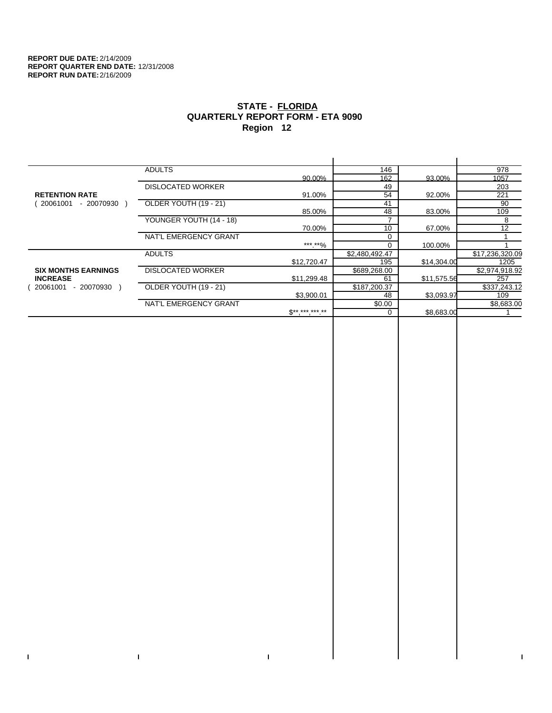$\bar{\Gamma}$ 

 $\mathbf{I}$ 

# **STATE - FLORIDA QUARTERLY REPORT FORM - ETA 9090 Region 12**

|                            | <b>ADULTS</b>            |                 | 146            |             | 978             |
|----------------------------|--------------------------|-----------------|----------------|-------------|-----------------|
|                            |                          | 90.00%          | 162            | 93.00%      | 1057            |
|                            | <b>DISLOCATED WORKER</b> |                 | 49             |             | 203             |
| <b>RETENTION RATE</b>      |                          | 91.00%          | 54             | 92.00%      | 221             |
| - 20070930<br>20061001     | OLDER YOUTH (19 - 21)    |                 | 41             |             | 90              |
|                            |                          | 85.00%          | 48             | 83.00%      | 109             |
|                            | YOUNGER YOUTH (14 - 18)  |                 |                |             | 8               |
|                            |                          | 70.00%          | 10             | 67.00%      | 12              |
|                            | NAT'L EMERGENCY GRANT    |                 |                |             |                 |
|                            |                          | ***.**%         |                | 100.00%     |                 |
|                            | <b>ADULTS</b>            |                 | \$2,480,492.47 |             | \$17,236,320.09 |
|                            |                          | \$12,720.47     | 195            | \$14,304.00 | 1205            |
| <b>SIX MONTHS EARNINGS</b> | <b>DISLOCATED WORKER</b> |                 | \$689,268.00   |             | \$2,974,918.92  |
| <b>INCREASE</b>            |                          | \$11,299.48     | 61             | \$11,575.56 | 257             |
| $-20070930$<br>20061001    | OLDER YOUTH (19 - 21)    |                 | \$187,200.37   |             | \$337,243.12    |
|                            |                          | \$3,900.01      | 48             | \$3,093.97  | 109             |
|                            | NAT'L EMERGENCY GRANT    |                 | \$0.00         |             | \$8,683.00      |
|                            |                          | $S^{*********}$ |                | \$8,683.00  |                 |
|                            |                          |                 |                |             |                 |

 $\bar{\Gamma}$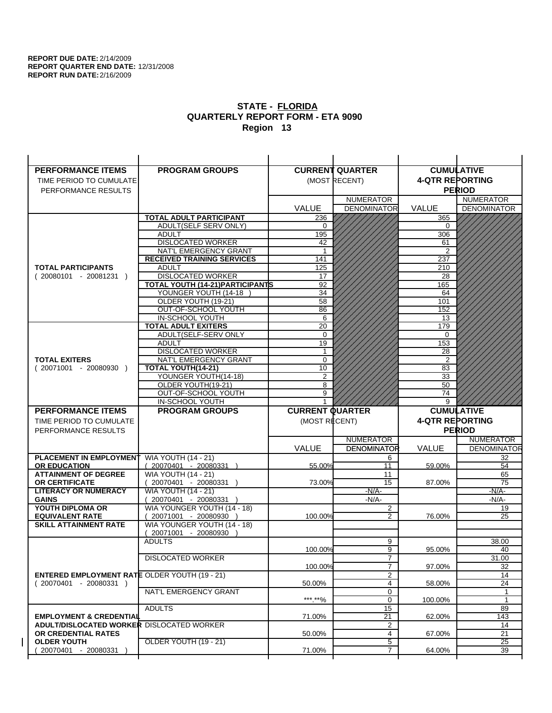| <b>PERFORMANCE ITEMS</b>                                                        | <b>PROGRAM GROUPS</b>                                 |                        | <b>CURRENT QUARTER</b> |                        | <b>CUMULATIVE</b>     |
|---------------------------------------------------------------------------------|-------------------------------------------------------|------------------------|------------------------|------------------------|-----------------------|
| TIME PERIOD TO CUMULATE                                                         |                                                       |                        | (MOST RECENT)          | <b>4-QTR REPORTING</b> |                       |
| PERFORMANCE RESULTS                                                             |                                                       |                        |                        |                        | <b>PERIOD</b>         |
|                                                                                 |                                                       |                        | <b>NUMERATOR</b>       |                        | <b>NUMERATOR</b>      |
|                                                                                 |                                                       | <b>VALUE</b>           | <b>DENOMINATOR</b>     | VALUE                  | <b>DENOMINATOR</b>    |
|                                                                                 | <b>TOTAL ADULT PARTICIPANT</b>                        | 236                    |                        | 365                    |                       |
|                                                                                 | ADULT(SELF SERV ONLY)                                 | 0                      |                        | 0                      |                       |
|                                                                                 | <b>ADULT</b>                                          | 195                    |                        | 306                    |                       |
|                                                                                 | <b>DISLOCATED WORKER</b>                              | 42                     |                        | 61                     |                       |
|                                                                                 | NAT'L EMERGENCY GRANT                                 |                        |                        | $\overline{2}$         |                       |
|                                                                                 | <b>RECEIVED TRAINING SERVICES</b>                     | 141                    |                        | 237                    |                       |
| <b>TOTAL PARTICIPANTS</b>                                                       | <b>ADULT</b>                                          | 125                    |                        | 210                    |                       |
| $(20080101 - 20081231)$                                                         | <b>DISLOCATED WORKER</b>                              | 17                     |                        | 28                     |                       |
|                                                                                 | <b>TOTAL YOUTH (14-21) PARTICIPANTS</b>               | 92                     |                        | 165                    |                       |
|                                                                                 | YOUNGER YOUTH (14-18<br>OLDER YOUTH (19-21)           | 34<br>58               |                        | 64<br>101              |                       |
|                                                                                 | OUT-OF-SCHOOL YOUTH                                   | 86                     |                        | 152                    |                       |
|                                                                                 | IN-SCHOOL YOUTH                                       | 6                      |                        | 13                     |                       |
|                                                                                 | <b>TOTAL ADULT EXITERS</b>                            | 20                     |                        | 179                    |                       |
|                                                                                 | ADULT(SELF-SERV ONLY                                  | 0                      |                        | 0                      |                       |
|                                                                                 | <b>ADULT</b>                                          | 19                     |                        | 153                    |                       |
|                                                                                 | <b>DISLOCATED WORKER</b>                              | 1                      |                        | 28                     |                       |
| <b>TOTAL EXITERS</b>                                                            | NAT'L EMERGENCY GRANT                                 | $\mathbf 0$            |                        | $\overline{2}$         |                       |
| $(20071001 - 20080930)$                                                         | TOTAL YOUTH(14-21)                                    | 10                     |                        | 83                     |                       |
|                                                                                 | YOUNGER YOUTH(14-18)                                  | 2                      |                        | 33                     |                       |
|                                                                                 | OLDER YOUTH(19-21)                                    | 8                      |                        | $\overline{50}$        |                       |
|                                                                                 | OUT-OF-SCHOOL YOUTH<br>IN-SCHOOL YOUTH                | 9                      |                        | 74<br>9                |                       |
|                                                                                 |                                                       |                        |                        |                        |                       |
|                                                                                 |                                                       |                        |                        |                        |                       |
| <b>PERFORMANCE ITEMS</b>                                                        | <b>PROGRAM GROUPS</b>                                 | <b>CURRENT QUARTER</b> |                        |                        | <b>CUMULATIVE</b>     |
| TIME PERIOD TO CUMULATE                                                         |                                                       | (MOST RECENT)          |                        | <b>4-QTR REPORTING</b> |                       |
| PERFORMANCE RESULTS                                                             |                                                       |                        |                        |                        | <b>PERIOD</b>         |
|                                                                                 |                                                       |                        | <b>NUMERATOR</b>       |                        | <b>NUMERATOR</b>      |
|                                                                                 |                                                       | <b>VALUE</b>           | <b>DENOMINATOR</b>     | <b>VALUE</b>           | <b>DENOMINATOR</b>    |
| <b>PLACEMENT IN EMPLOYMENT</b>                                                  | <b>WIA YOUTH (14 - 21)</b>                            |                        | 6                      |                        | 32                    |
| <b>OR EDUCATION</b>                                                             | $(20070401 - 20080331)$                               | 55.00%                 | 11                     | 59.00%                 | 54                    |
| <b>ATTAINMENT OF DEGREE</b>                                                     | <b>WIA YOUTH (14 - 21)</b>                            | 73.00%                 | 11<br>15               | 87.00%                 | 65<br>75              |
| OR CERTIFICATE<br><b>LITERACY OR NUMERACY</b>                                   | $(20070401 - 20080331)$<br><b>WIA YOUTH (14 - 21)</b> |                        | $-N/A$ -               |                        | -N/A-                 |
| <b>GAINS</b>                                                                    | 20070401 - 20080331                                   |                        | $-N/A-$                |                        | $-N/A-$               |
| YOUTH DIPLOMA OR                                                                | WIA YOUNGER YOUTH (14 - 18)                           |                        | $\overline{2}$         |                        | 19                    |
| <b>EQUIVALENT RATE</b>                                                          | 20071001 - 20080930 )                                 | 100.00%                | 2                      | 76.00%                 | 25                    |
| <b>SKILL ATTAINMENT RATE</b>                                                    | WIA YOUNGER YOUTH (14 - 18)                           |                        |                        |                        |                       |
|                                                                                 | (20071001 - 20080930                                  |                        |                        |                        |                       |
|                                                                                 | <b>ADULTS</b>                                         |                        | 9                      |                        | 38.00                 |
|                                                                                 |                                                       | 100.00%                | 9                      | 95.00%                 | 40                    |
|                                                                                 | <b>DISLOCATED WORKER</b>                              |                        | $\overline{7}$         |                        | 31.00                 |
|                                                                                 |                                                       | 100.00%                | $\overline{7}$         | 97.00%                 | 32                    |
| <b>ENTERED EMPLOYMENT RATE OLDER YOUTH (19 - 21)</b><br>$(20070401 - 20080331)$ |                                                       | 50.00%                 | 2<br>$\overline{4}$    | 58.00%                 | 14                    |
|                                                                                 | NAT'L EMERGENCY GRANT                                 |                        | 0                      |                        | 24<br>1               |
|                                                                                 |                                                       | *** **%                | 0                      | 100.00%                | $\mathbf{1}$          |
|                                                                                 | <b>ADULTS</b>                                         |                        | 15                     |                        | 89                    |
| <b>EMPLOYMENT &amp; CREDENTIAL</b>                                              |                                                       | 71.00%                 | 21                     | 62.00%                 | 143                   |
| <b>ADULT/DISLOCATED WORKER DISLOCATED WORKER</b>                                |                                                       |                        | 2                      |                        | 14                    |
| OR CREDENTIAL RATES                                                             |                                                       | 50.00%                 | 4                      | 67.00%                 | 21                    |
| <b>OLDER YOUTH</b><br>20070401 - 20080331                                       | OLDER YOUTH (19 - 21)                                 | 71.00%                 | 5<br>7                 | 64.00%                 | $\overline{25}$<br>39 |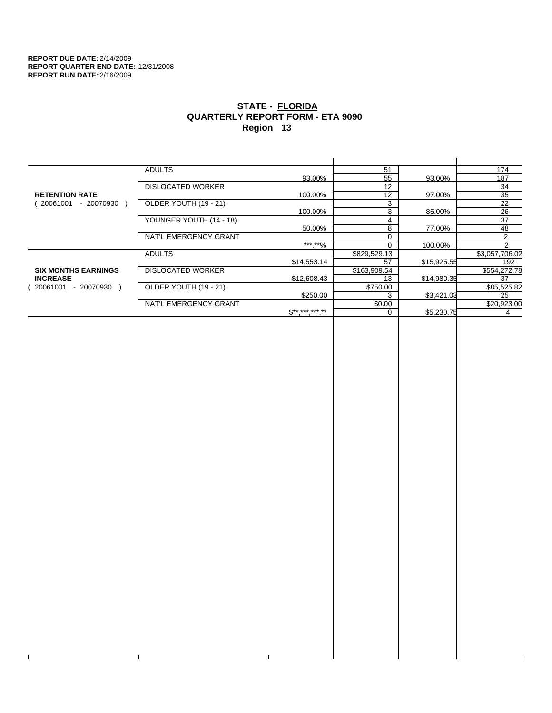$\bar{\Gamma}$ 

 $\mathbf{I}$ 

# **STATE - FLORIDA QUARTERLY REPORT FORM - ETA 9090 Region 13**

|                            | <b>ADULTS</b>            |              | 51           |             | 174            |
|----------------------------|--------------------------|--------------|--------------|-------------|----------------|
|                            |                          | 93.00%       | 55           | 93.00%      | 187            |
|                            | <b>DISLOCATED WORKER</b> |              | 12           |             | 34             |
| <b>RETENTION RATE</b>      |                          | 100.00%      | 12           | 97.00%      | 35             |
| - 20070930<br>20061001     | OLDER YOUTH (19 - 21)    |              | 3            |             | 22             |
|                            |                          | 100.00%      | 3            | 85.00%      | 26             |
|                            | YOUNGER YOUTH (14 - 18)  |              | 4            |             | 37             |
|                            |                          | 50.00%       | 8            | 77.00%      | 48             |
|                            | NAT'L EMERGENCY GRANT    |              |              |             | $\overline{2}$ |
|                            |                          | ***.**%      |              | 100.00%     | $\mathcal{P}$  |
|                            | <b>ADULTS</b>            |              | \$829,529.13 |             | \$3,057,706.02 |
|                            |                          | \$14,553.14  | 57           | \$15,925.55 | 192            |
| <b>SIX MONTHS EARNINGS</b> | <b>DISLOCATED WORKER</b> |              | \$163,909.54 |             | \$554,272.78   |
| <b>INCREASE</b>            |                          | \$12,608.43  | 13           | \$14,980.35 | 37             |
| - 20070930<br>20061001     | OLDER YOUTH (19 - 21)    |              | \$750.00     |             | \$85,525.82    |
|                            |                          | \$250.00     |              | \$3,421.03  | 25             |
|                            | NAT'L EMERGENCY GRANT    |              | \$0.00       |             | \$20,923.00    |
|                            |                          | $S*********$ |              | \$5,230.75  |                |
|                            |                          |              |              |             |                |

 $\bar{\Gamma}$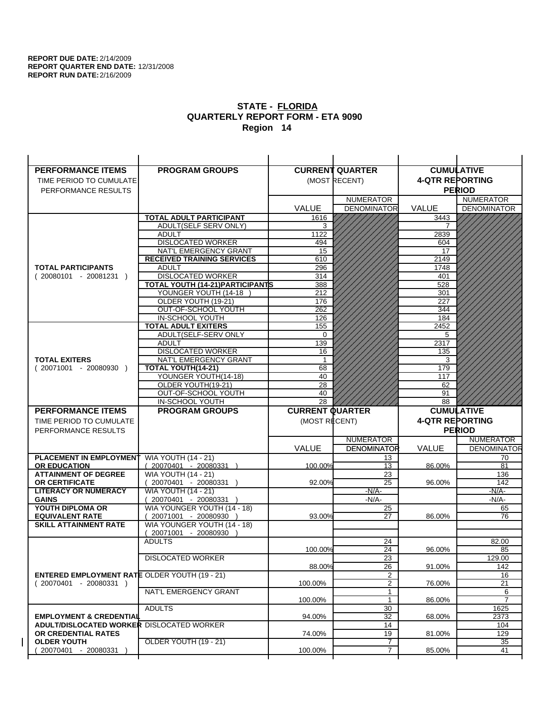| <b>PERFORMANCE ITEMS</b>                             | <b>PROGRAM GROUPS</b>                                 |                        | <b>CURRENT QUARTER</b>                 |                        | <b>CUMULATIVE</b>                      |
|------------------------------------------------------|-------------------------------------------------------|------------------------|----------------------------------------|------------------------|----------------------------------------|
| TIME PERIOD TO CUMULATE                              |                                                       |                        | (MOST RECENT)                          | <b>4-QTR REPORTING</b> |                                        |
| PERFORMANCE RESULTS                                  |                                                       |                        |                                        |                        | <b>PERIOD</b>                          |
|                                                      |                                                       |                        | <b>NUMERATOR</b>                       |                        | <b>NUMERATOR</b>                       |
|                                                      |                                                       | <b>VALUE</b>           | <b>DENOMINATOR</b>                     | VALUE                  | <b>DENOMINATOR</b>                     |
|                                                      | TOTAL ADULT PARTICIPANT                               | 1616                   |                                        | 3443                   |                                        |
|                                                      | <b>ADULT(SELF SERV ONLY)</b>                          | 3                      |                                        | 7                      |                                        |
|                                                      | <b>ADULT</b>                                          | 1122                   |                                        | 2839                   |                                        |
|                                                      | <b>DISLOCATED WORKER</b>                              | 494                    |                                        | 604                    |                                        |
|                                                      | NAT'L EMERGENCY GRANT                                 | 15                     |                                        | 17                     |                                        |
|                                                      | <b>RECEIVED TRAINING SERVICES</b>                     | 610                    |                                        | 2149                   |                                        |
| <b>TOTAL PARTICIPANTS</b>                            | <b>ADULT</b>                                          | 296                    |                                        | 1748                   |                                        |
| $(20080101 - 20081231)$                              | <b>DISLOCATED WORKER</b>                              | 314                    |                                        | 401                    |                                        |
|                                                      | TOTAL YOUTH (14-21) PARTICIPANTS                      | 388                    |                                        | 528                    |                                        |
|                                                      | YOUNGER YOUTH (14-18                                  | 212                    |                                        | 301                    |                                        |
|                                                      | OLDER YOUTH (19-21)                                   | 176                    |                                        | 227                    |                                        |
|                                                      | OUT-OF-SCHOOL YOUTH                                   | 262                    |                                        | 344                    |                                        |
|                                                      | IN-SCHOOL YOUTH                                       | 126                    |                                        | 184                    |                                        |
|                                                      | <b>TOTAL ADULT EXITERS</b>                            | 155                    |                                        | 2452                   |                                        |
|                                                      | ADULT(SELF-SERV ONLY                                  | $\Omega$               |                                        | 5<br>2317              |                                        |
|                                                      | <b>ADULT</b><br><b>DISLOCATED WORKER</b>              | 139<br>16              |                                        | 135                    |                                        |
| <b>TOTAL EXITERS</b>                                 | NAT'L EMERGENCY GRANT                                 | -1                     |                                        | 3                      |                                        |
| $(20071001 - 20080930)$                              | TOTAL YOUTH(14-21)                                    | 68                     |                                        | 179                    |                                        |
|                                                      | YOUNGER YOUTH(14-18)                                  | 40                     |                                        | 117                    |                                        |
|                                                      | OLDER YOUTH(19-21)                                    | 28                     |                                        | 62                     |                                        |
|                                                      | OUT-OF-SCHOOL YOUTH                                   | 40                     |                                        | 91                     |                                        |
|                                                      | IN-SCHOOL YOUTH                                       | $\overline{28}$        |                                        | 88                     |                                        |
|                                                      |                                                       |                        |                                        |                        |                                        |
| <b>PERFORMANCE ITEMS</b>                             | <b>PROGRAM GROUPS</b>                                 | <b>CURRENT QUARTER</b> |                                        |                        | <b>CUMULATIVE</b>                      |
| TIME PERIOD TO CUMULATE                              |                                                       |                        |                                        |                        |                                        |
|                                                      |                                                       | (MOST RECENT)          |                                        | <b>4-QTR REPORTING</b> |                                        |
| PERFORMANCE RESULTS                                  |                                                       |                        |                                        |                        | <b>PERIOD</b>                          |
|                                                      |                                                       |                        | <b>NUMERATOR</b><br><b>DENOMINATOR</b> | <b>VALUE</b>           | <b>NUMERATOR</b><br><b>DENOMINATOR</b> |
| <b>PLACEMENT IN EMPLOYMENT</b>                       |                                                       | <b>VALUE</b>           | 13                                     |                        | 70                                     |
| <b>OR EDUCATION</b>                                  | <b>WIA YOUTH (14 - 21)</b><br>$(20070401 - 20080331)$ | 100.00%                | 13                                     | 86.00%                 | 81                                     |
| <b>ATTAINMENT OF DEGREE</b>                          | <b>WIA YOUTH (14 - 21)</b>                            |                        | 23                                     |                        | 136                                    |
| <b>OR CERTIFICATE</b>                                | $(20070401 - 20080331)$                               | 92.00%                 | 25                                     | 96.00%                 | 142                                    |
| <b>LITERACY OR NUMERACY</b>                          | <b>WIA YOUTH (14 - 21)</b>                            |                        | $-N/A-$                                |                        | $-N/A$ -                               |
| <b>GAINS</b>                                         | 20070401 - 20080331                                   |                        | $-N/A-$                                |                        | $-N/A-$                                |
| YOUTH DIPLOMA OR                                     | WIA YOUNGER YOUTH (14 - 18)                           |                        | 25                                     |                        | 65                                     |
| <b>EQUIVALENT RATE</b>                               | 20071001 - 20080930 )                                 | 93.00%                 | 27                                     | 86.00%                 | 76                                     |
| <b>SKILL ATTAINMENT RATE</b>                         | WIA YOUNGER YOUTH (14 - 18)                           |                        |                                        |                        |                                        |
|                                                      | (20071001 - 20080930                                  |                        |                                        |                        |                                        |
|                                                      | <b>ADULTS</b>                                         |                        | 24                                     |                        | 82.00                                  |
|                                                      |                                                       | 100.00%                | 24                                     | 96.00%                 | 85                                     |
|                                                      | <b>DISLOCATED WORKER</b>                              |                        | $\overline{23}$                        |                        | 129.00                                 |
|                                                      |                                                       | 88.00%                 | 26                                     | 91.00%                 | 142                                    |
| <b>ENTERED EMPLOYMENT RATE OLDER YOUTH (19 - 21)</b> |                                                       |                        | 2                                      |                        | 16                                     |
| $(20070401 - 20080331)$                              | NAT'L EMERGENCY GRANT                                 | 100.00%                | $\overline{2}$<br>$\mathbf{1}$         | 76.00%                 | 21<br>6                                |
|                                                      |                                                       | 100.00%                | 1                                      | 86.00%                 | $\overline{7}$                         |
|                                                      | <b>ADULTS</b>                                         |                        | 30                                     |                        | 1625                                   |
| <b>EMPLOYMENT &amp; CREDENTIAL</b>                   |                                                       | 94.00%                 | 32                                     | 68.00%                 | 2373                                   |
| <b>ADULT/DISLOCATED WORKER DISLOCATED WORKER</b>     |                                                       |                        | 14                                     |                        | 104                                    |
| OR CREDENTIAL RATES                                  |                                                       | 74.00%                 | 19                                     | 81.00%                 | 129                                    |
| <b>OLDER YOUTH</b><br>20070401 - 20080331            | <b>OLDER YOUTH (19 - 21)</b>                          | 100.00%                | 7<br>$\overline{7}$                    | 85.00%                 | $\overline{35}$<br>41                  |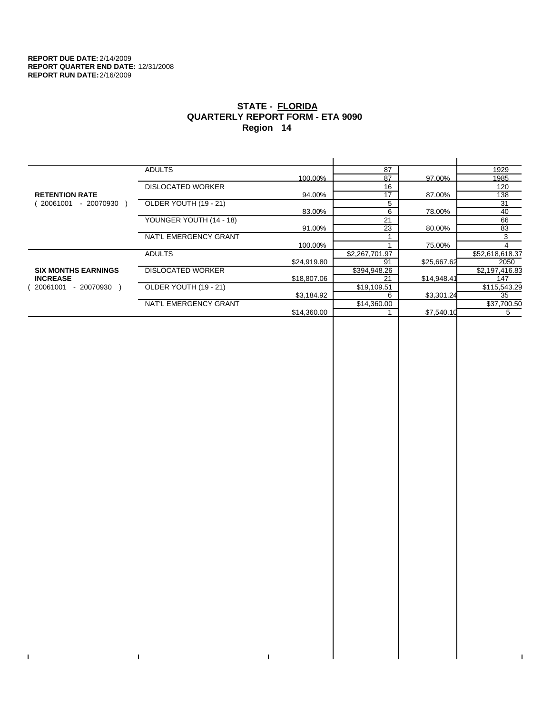$\bar{\Gamma}$ 

 $\Gamma$ 

# **STATE - FLORIDA QUARTERLY REPORT FORM - ETA 9090 Region 14**

|                            | <b>ADULTS</b>            |             | 87             |             | 1929            |
|----------------------------|--------------------------|-------------|----------------|-------------|-----------------|
|                            |                          | 100.00%     | 87             | 97.00%      | 1985            |
|                            | <b>DISLOCATED WORKER</b> |             | 16             |             | 120             |
| <b>RETENTION RATE</b>      |                          | 94.00%      | 17             | 87.00%      | 138             |
| - 20070930<br>20061001     | OLDER YOUTH (19 - 21)    |             | 5              |             | 31              |
|                            |                          | 83.00%      | 6              | 78.00%      | 40              |
|                            | YOUNGER YOUTH (14 - 18)  |             | 21             |             | 66              |
|                            |                          | 91.00%      | 23             | 80.00%      | 83              |
|                            | NAT'L EMERGENCY GRANT    |             |                |             | 3               |
|                            |                          | 100.00%     |                | 75.00%      |                 |
|                            | <b>ADULTS</b>            |             | \$2,267,701.97 |             | \$52,618,618.37 |
|                            |                          | \$24,919.80 | 91             | \$25,667.62 | 2050            |
| <b>SIX MONTHS EARNINGS</b> | <b>DISLOCATED WORKER</b> |             | \$394,948.26   |             | \$2,197,416.83  |
| <b>INCREASE</b>            |                          | \$18,807.06 | 21             | \$14,948.41 | 147             |
| $-20070930$<br>20061001    | OLDER YOUTH (19 - 21)    |             | \$19,109.51    |             | \$115,543.29    |
|                            |                          | \$3,184.92  | 6              | \$3,301.24  | 35              |
|                            | NAT'L EMERGENCY GRANT    |             | \$14,360.00    |             | \$37,700.50     |
|                            |                          | \$14,360.00 |                | \$7,540.10  | 5               |
|                            |                          |             |                |             |                 |

 $\bar{\Gamma}$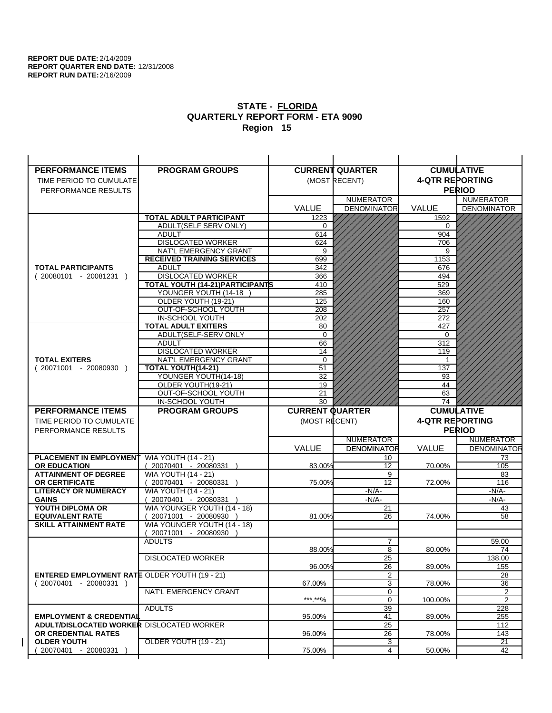| <b>PERFORMANCE ITEMS</b>                              | <b>PROGRAM GROUPS</b>                                 |                        | <b>CURRENT QUARTER</b> |                        | <b>CUMULATIVE</b>        |
|-------------------------------------------------------|-------------------------------------------------------|------------------------|------------------------|------------------------|--------------------------|
| TIME PERIOD TO CUMULATE                               |                                                       |                        | (MOST RECENT)          | <b>4-QTR REPORTING</b> |                          |
| PERFORMANCE RESULTS                                   |                                                       |                        |                        |                        | <b>PERIOD</b>            |
|                                                       |                                                       |                        | <b>NUMERATOR</b>       |                        | <b>NUMERATOR</b>         |
|                                                       |                                                       | <b>VALUE</b>           | <b>DENOMINATOR</b>     | VALUE                  | <b>DENOMINATOR</b>       |
|                                                       | <b>TOTAL ADULT PARTICIPANT</b>                        | 1223                   |                        | 1592                   |                          |
|                                                       | ADULT(SELF SERV ONLY)                                 | 0                      |                        | 0                      |                          |
|                                                       | <b>ADULT</b>                                          | 614                    |                        | 904                    |                          |
|                                                       | <b>DISLOCATED WORKER</b>                              | 624                    |                        | 706                    |                          |
|                                                       | NAT'L EMERGENCY GRANT                                 | 9                      |                        | 9                      |                          |
|                                                       | <b>RECEIVED TRAINING SERVICES</b>                     | 699                    |                        | 1153                   |                          |
| <b>TOTAL PARTICIPANTS</b>                             | <b>ADULT</b>                                          | 342                    |                        | 676                    |                          |
| $(20080101 - 20081231)$                               | <b>DISLOCATED WORKER</b>                              | 366                    |                        | 494                    |                          |
|                                                       | <b>TOTAL YOUTH (14-21) PARTICIPANTS</b>               | 410                    |                        | 529                    |                          |
|                                                       | YOUNGER YOUTH (14-18<br>OLDER YOUTH (19-21)           | 285<br>125             |                        | 369<br>160             |                          |
|                                                       | OUT-OF-SCHOOL YOUTH                                   | 208                    |                        | 257                    |                          |
|                                                       | IN-SCHOOL YOUTH                                       | 202                    |                        | 272                    |                          |
|                                                       | <b>TOTAL ADULT EXITERS</b>                            | 80                     |                        | 427                    |                          |
|                                                       | ADULT(SELF-SERV ONLY                                  | $\mathbf 0$            |                        | 0                      |                          |
|                                                       | <b>ADULT</b>                                          | 66                     |                        | 312                    |                          |
|                                                       | <b>DISLOCATED WORKER</b>                              | 14                     |                        | 119                    |                          |
| <b>TOTAL EXITERS</b>                                  | NAT'L EMERGENCY GRANT                                 | $\mathbf 0$            |                        | -1                     |                          |
| $(20071001 - 20080930)$                               | TOTAL YOUTH(14-21)                                    | 51                     |                        | 137                    |                          |
|                                                       | YOUNGER YOUTH(14-18)                                  | 32                     |                        | 93                     |                          |
|                                                       | OLDER YOUTH(19-21)<br>OUT-OF-SCHOOL YOUTH             | $\overline{19}$<br>21  |                        | 44<br>63               |                          |
|                                                       | IN-SCHOOL YOUTH                                       | 30                     |                        | 74                     |                          |
|                                                       |                                                       |                        |                        |                        |                          |
|                                                       |                                                       |                        |                        |                        |                          |
| <b>PERFORMANCE ITEMS</b>                              | <b>PROGRAM GROUPS</b>                                 | <b>CURRENT QUARTER</b> |                        |                        | <b>CUMULATIVE</b>        |
| TIME PERIOD TO CUMULATE                               |                                                       | (MOST RECENT)          |                        | <b>4-QTR REPORTING</b> |                          |
| PERFORMANCE RESULTS                                   |                                                       |                        |                        |                        | <b>PERIOD</b>            |
|                                                       |                                                       |                        | <b>NUMERATOR</b>       |                        | <b>NUMERATOR</b>         |
|                                                       |                                                       | <b>VALUE</b>           | <b>DENOMINATOR</b>     | <b>VALUE</b>           |                          |
| <b>PLACEMENT IN EMPLOYMENT</b><br><b>OR EDUCATION</b> | <b>WIA YOUTH (14 - 21)</b><br>$(20070401 - 20080331)$ | 83.00%                 | 10<br>12               | 70.00%                 | 73<br>105                |
| <b>ATTAINMENT OF DEGREE</b>                           | <b>WIA YOUTH (14 - 21)</b>                            |                        | 9                      |                        | 83                       |
| OR CERTIFICATE                                        | $(20070401 - 20080331)$                               | 75.00%                 | 12                     | 72.00%                 | 116                      |
| <b>LITERACY OR NUMERACY</b>                           | <b>WIA YOUTH (14 - 21)</b>                            |                        | $-N/A$ -               |                        | -N/A-                    |
| <b>GAINS</b>                                          | 20070401 - 20080331                                   |                        | $-N/A-$                |                        | $-N/A-$                  |
| YOUTH DIPLOMA OR                                      | WIA YOUNGER YOUTH (14 - 18)                           |                        | 21                     |                        | <b>DENOMINATOR</b><br>43 |
| <b>EQUIVALENT RATE</b>                                | 20071001 - 20080930 )                                 | 81.00%                 | 26                     | 74.00%                 | 58                       |
| <b>SKILL ATTAINMENT RATE</b>                          | WIA YOUNGER YOUTH (14 - 18)                           |                        |                        |                        |                          |
|                                                       | (20071001 - 20080930                                  |                        |                        |                        |                          |
|                                                       | <b>ADULTS</b>                                         | 88.00%                 | $\overline{7}$<br>8    | 80.00%                 | 59.00<br>74              |
|                                                       | <b>DISLOCATED WORKER</b>                              |                        |                        |                        |                          |
|                                                       |                                                       | 96.00%                 | $\overline{25}$<br>26  | 89.00%                 | 138.00<br>155            |
| <b>ENTERED EMPLOYMENT RATE OLDER YOUTH (19 - 21)</b>  |                                                       |                        | 2                      |                        | 28                       |
| $(20070401 - 20080331)$                               |                                                       | 67.00%                 | 3                      | 78.00%                 | 36                       |
|                                                       | NAT'L EMERGENCY GRANT                                 |                        | 0                      |                        | 2                        |
|                                                       |                                                       | *** **%                | 0                      | 100.00%                | 2                        |
|                                                       | <b>ADULTS</b>                                         |                        | 39                     |                        | 228                      |
| <b>EMPLOYMENT &amp; CREDENTIAL</b>                    |                                                       | 95.00%                 | 41                     | 89.00%                 | 255                      |
| <b>ADULT/DISLOCATED WORKER DISLOCATED WORKER</b>      |                                                       |                        | 25                     |                        | 112                      |
| OR CREDENTIAL RATES<br><b>OLDER YOUTH</b>             |                                                       | 96.00%                 | 26<br>$\overline{3}$   | 78.00%                 | 143<br>$\overline{21}$   |
| 20070401 - 20080331                                   | OLDER YOUTH (19 - 21)                                 | 75.00%                 | 4                      | 50.00%                 | 42                       |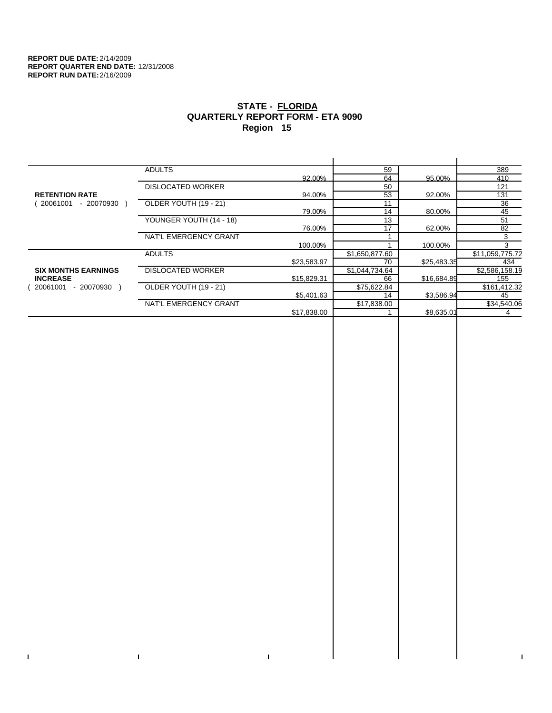$\mathbf I$ 

 $\bar{\Gamma}$ 

# **STATE - FLORIDA QUARTERLY REPORT FORM - ETA 9090 Region 15**

|                            | <b>ADULTS</b>            |             | 59             |             | 389             |
|----------------------------|--------------------------|-------------|----------------|-------------|-----------------|
|                            |                          | 92.00%      | 64             | 95.00%      | 410             |
|                            | <b>DISLOCATED WORKER</b> |             | 50             |             | 121             |
| <b>RETENTION RATE</b>      |                          | 94.00%      | 53             | 92.00%      | 131             |
| - 20070930<br>20061001     | OLDER YOUTH (19 - 21)    |             | 11             |             | $\overline{36}$ |
|                            |                          | 79.00%      | 14             | 80.00%      | 45              |
|                            | YOUNGER YOUTH (14 - 18)  |             | 13             |             | 51              |
|                            |                          | 76.00%      | 17             | 62.00%      | 82              |
|                            | NAT'L EMERGENCY GRANT    |             |                |             | 3               |
|                            |                          | 100.00%     |                | 100.00%     | 3               |
|                            | <b>ADULTS</b>            |             | \$1,650,877.60 |             | \$11,059,775.72 |
|                            |                          | \$23,583.97 | 70             | \$25,483.35 | 434             |
| <b>SIX MONTHS EARNINGS</b> | <b>DISLOCATED WORKER</b> |             | \$1,044,734.64 |             | \$2,586,158.19  |
| <b>INCREASE</b>            |                          | \$15,829.31 | 66             | \$16,684.89 | 155             |
| - 20070930<br>20061001     | OLDER YOUTH (19 - 21)    |             | \$75,622.84    |             | \$161,412.32    |
|                            |                          | \$5,401.63  | 14             | \$3,586.94  | 45              |
|                            | NAT'L EMERGENCY GRANT    |             | \$17,838.00    |             | \$34,540.06     |
|                            |                          | \$17,838.00 |                | \$8,635.01  | 4               |
|                            |                          |             |                |             |                 |

 $\bar{\Gamma}$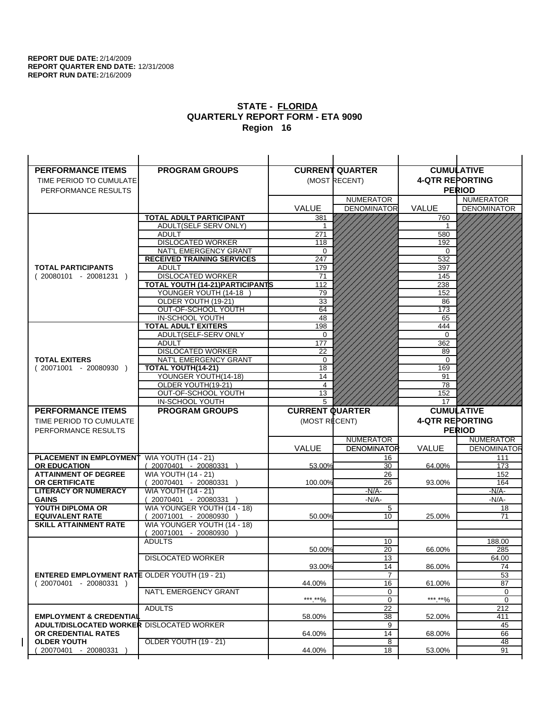| <b>PERFORMANCE ITEMS</b>                                                        | <b>PROGRAM GROUPS</b>                                 |                        | <b>CURRENT QUARTER</b>                 |                        | <b>CUMULATIVE</b>                      |
|---------------------------------------------------------------------------------|-------------------------------------------------------|------------------------|----------------------------------------|------------------------|----------------------------------------|
| TIME PERIOD TO CUMULATE                                                         |                                                       |                        | (MOST RECENT)                          | <b>4-QTR REPORTING</b> |                                        |
| PERFORMANCE RESULTS                                                             |                                                       |                        |                                        |                        | <b>PERIOD</b>                          |
|                                                                                 |                                                       |                        | <b>NUMERATOR</b>                       |                        | <b>NUMERATOR</b>                       |
|                                                                                 |                                                       | <b>VALUE</b>           | <b>DENOMINATOR</b>                     | VALUE                  | <b>DENOMINATOR</b>                     |
|                                                                                 | TOTAL ADULT PARTICIPANT                               | 381                    |                                        | 760                    |                                        |
|                                                                                 | <b>ADULT(SELF SERV ONLY)</b>                          | 1                      |                                        | 1                      |                                        |
|                                                                                 | <b>ADULT</b>                                          | 271                    |                                        | 580                    |                                        |
|                                                                                 | <b>DISLOCATED WORKER</b>                              | 118                    |                                        | 192                    |                                        |
|                                                                                 | NAT'L EMERGENCY GRANT                                 | 0                      |                                        | $\Omega$               |                                        |
|                                                                                 | <b>RECEIVED TRAINING SERVICES</b>                     | 247                    |                                        | 532                    |                                        |
| <b>TOTAL PARTICIPANTS</b>                                                       | <b>ADULT</b>                                          | 179                    |                                        | 397                    |                                        |
| $(20080101 - 20081231)$                                                         | <b>DISLOCATED WORKER</b>                              | 71                     |                                        | 145                    |                                        |
|                                                                                 | TOTAL YOUTH (14-21) PARTICIPANTS                      | 112                    |                                        | 238                    |                                        |
|                                                                                 | YOUNGER YOUTH (14-18                                  | 79                     |                                        | 152                    |                                        |
|                                                                                 | OLDER YOUTH (19-21)                                   | 33                     |                                        | 86                     |                                        |
|                                                                                 | OUT-OF-SCHOOL YOUTH                                   | 64                     |                                        | 173                    |                                        |
|                                                                                 | IN-SCHOOL YOUTH                                       | 48                     |                                        | 65                     |                                        |
|                                                                                 | <b>TOTAL ADULT EXITERS</b>                            | 198                    |                                        | 444                    |                                        |
|                                                                                 | ADULT(SELF-SERV ONLY                                  | $\Omega$               |                                        | $\Omega$<br>362        |                                        |
|                                                                                 | <b>ADULT</b><br><b>DISLOCATED WORKER</b>              | 177<br>22              |                                        | 89                     |                                        |
| <b>TOTAL EXITERS</b>                                                            | NAT'L EMERGENCY GRANT                                 | 0                      |                                        | 0                      |                                        |
| $(20071001 - 20080930)$                                                         | TOTAL YOUTH(14-21)                                    | 18                     |                                        | 169                    |                                        |
|                                                                                 | YOUNGER YOUTH(14-18)                                  | 14                     |                                        | 91                     |                                        |
|                                                                                 | OLDER YOUTH(19-21)                                    | 4                      |                                        | 78                     |                                        |
|                                                                                 | OUT-OF-SCHOOL YOUTH                                   | 13                     |                                        | 152                    |                                        |
|                                                                                 | IN-SCHOOL YOUTH                                       | 5                      |                                        | 17                     |                                        |
|                                                                                 |                                                       |                        |                                        |                        |                                        |
| <b>PERFORMANCE ITEMS</b>                                                        | <b>PROGRAM GROUPS</b>                                 | <b>CURRENT QUARTER</b> |                                        |                        | <b>CUMULATIVE</b>                      |
| TIME PERIOD TO CUMULATE                                                         |                                                       |                        |                                        |                        |                                        |
|                                                                                 |                                                       | (MOST RECENT)          |                                        | <b>4-QTR REPORTING</b> |                                        |
| PERFORMANCE RESULTS                                                             |                                                       |                        |                                        |                        | <b>PERIOD</b>                          |
|                                                                                 |                                                       |                        | <b>NUMERATOR</b><br><b>DENOMINATOR</b> | <b>VALUE</b>           | <b>NUMERATOR</b><br><b>DENOMINATOR</b> |
| <b>PLACEMENT IN EMPLOYMENT</b>                                                  |                                                       | <b>VALUE</b>           | 16                                     |                        | 111                                    |
| <b>OR EDUCATION</b>                                                             | <b>WIA YOUTH (14 - 21)</b><br>$(20070401 - 20080331)$ | 53.00%                 | 30                                     | 64.00%                 | 173                                    |
| <b>ATTAINMENT OF DEGREE</b>                                                     | <b>WIA YOUTH (14 - 21)</b>                            |                        | 26                                     |                        | 152                                    |
| <b>OR CERTIFICATE</b>                                                           | $(20070401 - 20080331)$                               | 100.00%                | 26                                     | 93.00%                 | 164                                    |
| <b>LITERACY OR NUMERACY</b>                                                     | <b>WIA YOUTH (14 - 21)</b>                            |                        | $-N/A-$                                |                        | $-N/A-$                                |
| <b>GAINS</b>                                                                    | 20070401 - 20080331                                   |                        | $-N/A-$                                |                        | $-N/A-$                                |
| YOUTH DIPLOMA OR                                                                | WIA YOUNGER YOUTH (14 - 18)                           |                        | 5                                      |                        | 18                                     |
| <b>EQUIVALENT RATE</b>                                                          | 20071001 - 20080930 )                                 | 50.00%                 | 10                                     | 25.00%                 | 71                                     |
| <b>SKILL ATTAINMENT RATE</b>                                                    | WIA YOUNGER YOUTH (14 - 18)                           |                        |                                        |                        |                                        |
|                                                                                 | (20071001 - 20080930                                  |                        |                                        |                        |                                        |
|                                                                                 | <b>ADULTS</b>                                         |                        | 10                                     |                        | 188.00                                 |
|                                                                                 |                                                       | 50.00%                 | 20                                     | 66.00%                 | 285                                    |
|                                                                                 | <b>DISLOCATED WORKER</b>                              |                        | $\overline{13}$                        |                        | 64.00                                  |
|                                                                                 |                                                       | 93.00%                 | 14                                     | 86.00%                 | 74                                     |
| <b>ENTERED EMPLOYMENT RATE OLDER YOUTH (19 - 21)</b><br>$(20070401 - 20080331)$ |                                                       | 44.00%                 | $\overline{7}$<br>16                   |                        | 53<br>87                               |
|                                                                                 | NAT'L EMERGENCY GRANT                                 |                        | 0                                      | 61.00%                 | 0                                      |
|                                                                                 |                                                       | ***.**%                | $\mathbf 0$                            | ***.**%                | 0                                      |
|                                                                                 | <b>ADULTS</b>                                         |                        | 22                                     |                        | 212                                    |
| <b>EMPLOYMENT &amp; CREDENTIAL</b>                                              |                                                       | 58.00%                 | 38                                     | 52.00%                 | 411                                    |
| <b>ADULT/DISLOCATED WORKER DISLOCATED WORKER</b>                                |                                                       |                        | 9                                      |                        | 45                                     |
| OR CREDENTIAL RATES                                                             |                                                       | 64.00%                 | 14                                     | 68.00%                 | 66                                     |
| <b>OLDER YOUTH</b><br>20070401 - 20080331                                       | <b>OLDER YOUTH (19 - 21)</b>                          | 44.00%                 | 8<br>18                                | 53.00%                 | 48<br>91                               |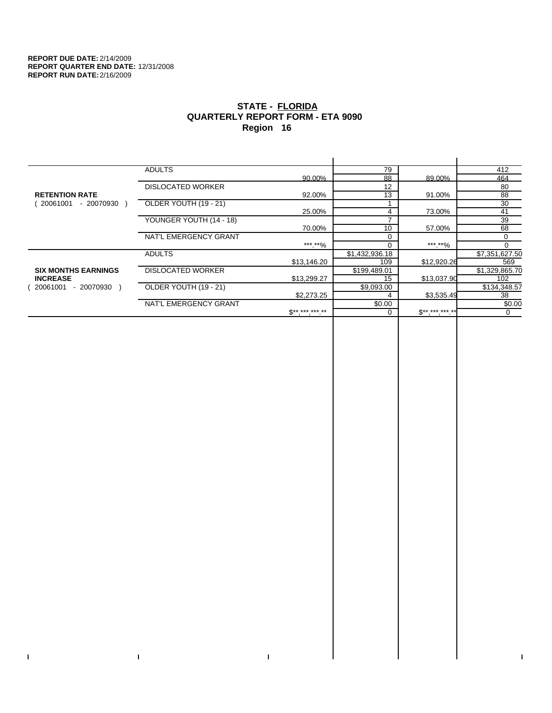$\bar{\Gamma}$ 

 $\Gamma$ 

# **STATE - FLORIDA QUARTERLY REPORT FORM - ETA 9090 Region 16**

|                            | <b>ADULTS</b>            |              | 79             |              | 412            |
|----------------------------|--------------------------|--------------|----------------|--------------|----------------|
|                            |                          | 90.00%       | 88             | 89.00%       | 464            |
|                            | <b>DISLOCATED WORKER</b> |              | 12             |              | 80             |
| <b>RETENTION RATE</b>      |                          | 92.00%       | 13             | 91.00%       | 88             |
| - 20070930<br>20061001     | OLDER YOUTH (19 - 21)    |              |                |              | 30             |
|                            |                          | 25.00%       | 4              | 73.00%       | 41             |
|                            | YOUNGER YOUTH (14 - 18)  |              |                |              | 39             |
|                            |                          | 70.00%       | 10             | 57.00%       | 68             |
|                            | NAT'L EMERGENCY GRANT    |              | $\Omega$       |              | 0              |
|                            |                          | ***.**%      |                | ***.**%      | $\Omega$       |
|                            | <b>ADULTS</b>            |              | \$1,432,936.18 |              | \$7,351,627.50 |
|                            |                          | \$13,146.20  | 109            | \$12,920.26  | 569            |
| <b>SIX MONTHS EARNINGS</b> | <b>DISLOCATED WORKER</b> |              | \$199,489.01   |              | \$1,329,865.70 |
| <b>INCREASE</b>            |                          | \$13,299.27  | 15             | \$13,037.90  | 102            |
| - 20070930<br>20061001     | OLDER YOUTH (19 - 21)    |              | \$9,093.00     |              | \$134,348.57   |
|                            |                          | \$2,273.25   |                | \$3,535.49   | 38             |
|                            | NAT'L EMERGENCY GRANT    |              | \$0.00         |              | \$0.00         |
|                            |                          | $S*********$ |                | $$*********$ | 0              |
|                            |                          |              |                |              |                |

 $\bar{\Gamma}$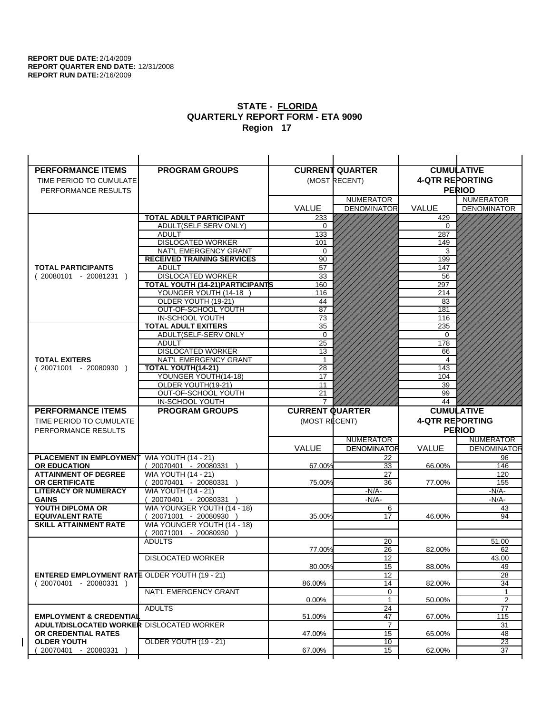| <b>PERFORMANCE ITEMS</b>                                                        | <b>PROGRAM GROUPS</b>                              |                        | <b>CURRENT QUARTER</b> |                        | <b>CUMULATIVE</b>         |
|---------------------------------------------------------------------------------|----------------------------------------------------|------------------------|------------------------|------------------------|---------------------------|
| TIME PERIOD TO CUMULATE                                                         |                                                    |                        | (MOST RECENT)          | <b>4-QTR REPORTING</b> |                           |
| PERFORMANCE RESULTS                                                             |                                                    |                        |                        |                        | <b>PERIOD</b>             |
|                                                                                 |                                                    |                        | <b>NUMERATOR</b>       |                        | <b>NUMERATOR</b>          |
|                                                                                 |                                                    | <b>VALUE</b>           | <b>DENOMINATOR</b>     | VALUE                  | <b>DENOMINATOR</b>        |
|                                                                                 | <b>TOTAL ADULT PARTICIPANT</b>                     | 233                    |                        | 429                    |                           |
|                                                                                 | ADULT(SELF SERV ONLY)                              | 0                      |                        | 0                      |                           |
|                                                                                 | <b>ADULT</b>                                       | 133                    |                        | 287                    |                           |
|                                                                                 | <b>DISLOCATED WORKER</b>                           | 101                    |                        | 149                    |                           |
|                                                                                 | NAT'L EMERGENCY GRANT                              | 0                      |                        | 3                      |                           |
|                                                                                 | <b>RECEIVED TRAINING SERVICES</b><br><b>ADULT</b>  | 90                     |                        | 199                    |                           |
| <b>TOTAL PARTICIPANTS</b><br>$(20080101 - 20081231)$                            | <b>DISLOCATED WORKER</b>                           | 57<br>33               |                        | 147<br>56              |                           |
|                                                                                 | <b>TOTAL YOUTH (14-21) PARTICIPANTS</b>            | 160                    |                        | 297                    |                           |
|                                                                                 | YOUNGER YOUTH (14-18                               | 116                    |                        | 214                    |                           |
|                                                                                 | OLDER YOUTH (19-21)                                | 44                     |                        | 83                     |                           |
|                                                                                 | OUT-OF-SCHOOL YOUTH                                | 87                     |                        | 181                    |                           |
|                                                                                 | IN-SCHOOL YOUTH                                    | 73                     |                        | 116                    |                           |
|                                                                                 | <b>TOTAL ADULT EXITERS</b>                         | 35                     |                        | 235                    |                           |
|                                                                                 | ADULT(SELF-SERV ONLY                               | $\mathbf 0$            |                        | 0                      |                           |
|                                                                                 | <b>ADULT</b>                                       | 25                     |                        | 178                    |                           |
| <b>TOTAL EXITERS</b>                                                            | <b>DISLOCATED WORKER</b><br>NAT'L EMERGENCY GRANT  | 13<br>$\mathbf 1$      |                        | 66<br>$\overline{4}$   |                           |
| $(20071001 - 20080930)$                                                         | TOTAL YOUTH(14-21)                                 | 28                     |                        | 143                    |                           |
|                                                                                 | YOUNGER YOUTH(14-18)                               | 17                     |                        | 104                    |                           |
|                                                                                 | OLDER YOUTH(19-21)                                 | $\overline{11}$        |                        | 39                     |                           |
|                                                                                 | OUT-OF-SCHOOL YOUTH                                | 21                     |                        | 99                     |                           |
|                                                                                 | IN-SCHOOL YOUTH                                    |                        |                        | 44                     |                           |
|                                                                                 |                                                    |                        |                        |                        |                           |
| <b>PERFORMANCE ITEMS</b>                                                        | <b>PROGRAM GROUPS</b>                              | <b>CURRENT QUARTER</b> |                        |                        | <b>CUMULATIVE</b>         |
| TIME PERIOD TO CUMULATE                                                         |                                                    | (MOST RECENT)          |                        | <b>4-QTR REPORTING</b> |                           |
| PERFORMANCE RESULTS                                                             |                                                    |                        |                        |                        | <b>PERIOD</b>             |
|                                                                                 |                                                    |                        | <b>NUMERATOR</b>       |                        | <b>NUMERATOR</b>          |
|                                                                                 |                                                    | <b>VALUE</b>           | <b>DENOMINATOR</b>     | <b>VALUE</b>           |                           |
| <b>PLACEMENT IN EMPLOYMENT</b>                                                  | <b>WIA YOUTH (14 - 21)</b>                         |                        | 22                     |                        | 96                        |
| <b>OR EDUCATION</b>                                                             | $(20070401 - 20080331)$                            | 67.00%                 | 33                     | 66.00%                 | <b>DENOMINATOR</b><br>146 |
| <b>ATTAINMENT OF DEGREE</b>                                                     | <b>WIA YOUTH (14 - 21)</b>                         |                        | 27                     |                        | 120                       |
| OR CERTIFICATE                                                                  | $(20070401 - 20080331)$                            | 75.00%                 | 36                     | 77.00%                 | 155                       |
| <b>LITERACY OR NUMERACY</b><br><b>GAINS</b>                                     | <b>WIA YOUTH (14 - 21)</b>                         |                        | $-N/A$ -<br>$-N/A-$    |                        | -N/A-                     |
| YOUTH DIPLOMA OR                                                                | 20070401 - 20080331<br>WIA YOUNGER YOUTH (14 - 18) |                        | 6                      |                        | $-N/A-$<br>43             |
| <b>EQUIVALENT RATE</b>                                                          | 20071001 - 20080930 )                              | 35.00%                 | 17                     | 46.00%                 | 94                        |
| <b>SKILL ATTAINMENT RATE</b>                                                    | WIA YOUNGER YOUTH (14 - 18)                        |                        |                        |                        |                           |
|                                                                                 | (20071001 - 20080930                               |                        |                        |                        |                           |
|                                                                                 | <b>ADULTS</b>                                      |                        | 20                     |                        | 51.00                     |
|                                                                                 |                                                    | 77.00%                 | 26                     | 82.00%                 | 62                        |
|                                                                                 | <b>DISLOCATED WORKER</b>                           |                        | 12                     |                        | 43.00                     |
|                                                                                 |                                                    | 80.00%                 | 15                     | 88.00%                 | 49                        |
| <b>ENTERED EMPLOYMENT RATE OLDER YOUTH (19 - 21)</b><br>$(20070401 - 20080331)$ |                                                    | 86.00%                 | 12                     | 82.00%                 | 28                        |
|                                                                                 | NAT'L EMERGENCY GRANT                              |                        | 14<br>0                |                        | 34<br>1                   |
|                                                                                 |                                                    | 0.00%                  | $\mathbf{1}$           | 50.00%                 | 2                         |
|                                                                                 | <b>ADULTS</b>                                      |                        | 24                     |                        | 77                        |
| <b>EMPLOYMENT &amp; CREDENTIAL</b>                                              |                                                    | 51.00%                 | 47                     | 67.00%                 | 115                       |
| <b>ADULT/DISLOCATED WORKER DISLOCATED WORKER</b>                                |                                                    |                        | 7                      |                        | 31                        |
| OR CREDENTIAL RATES                                                             |                                                    | 47.00%                 | 15                     | 65.00%                 | 48                        |
| <b>OLDER YOUTH</b><br>20070401 - 20080331                                       | OLDER YOUTH (19 - 21)                              | 67.00%                 | 10<br>15               | 62.00%                 | 23<br>37                  |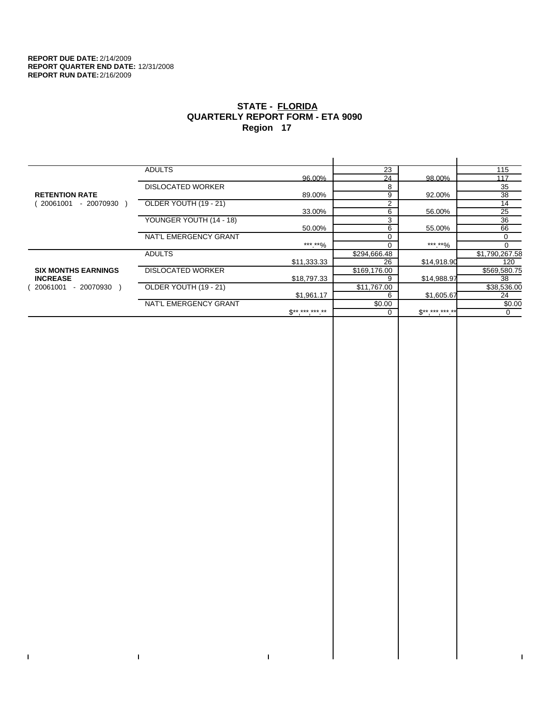$\bar{\Gamma}$ 

 $\Gamma$ 

# **STATE - FLORIDA QUARTERLY REPORT FORM - ETA 9090 Region 17**

|                            | <b>ADULTS</b>            |                            | 23             |             | 115            |
|----------------------------|--------------------------|----------------------------|----------------|-------------|----------------|
|                            |                          | 96.00%                     | 24             | 98.00%      | 117            |
|                            | <b>DISLOCATED WORKER</b> |                            | 8              |             | 35             |
| <b>RETENTION RATE</b>      |                          | 89.00%                     | 9              | 92.00%      | 38             |
| - 20070930<br>20061001     | OLDER YOUTH (19 - 21)    |                            | $\overline{2}$ |             | 14             |
|                            |                          | 33.00%                     | 6              | 56.00%      | 25             |
|                            | YOUNGER YOUTH (14 - 18)  |                            | 3              |             | 36             |
|                            |                          | 50.00%                     | 6              | 55.00%      | 66             |
|                            | NAT'L EMERGENCY GRANT    |                            |                |             | 0              |
|                            |                          | ***.**%                    |                | ***.**%     |                |
|                            | <b>ADULTS</b>            |                            | \$294,666.48   |             | \$1,790,267.58 |
|                            |                          | \$11,333.33                | 26             | \$14,918.90 | 120            |
| <b>SIX MONTHS EARNINGS</b> | <b>DISLOCATED WORKER</b> |                            | \$169,176.00   |             | \$569,580.75   |
| <b>INCREASE</b>            |                          | \$18,797.33                | 9              | \$14,988.97 | 38             |
| - 20070930<br>20061001     | OLDER YOUTH (19 - 21)    |                            | \$11,767.00    |             | \$38,536.00    |
|                            |                          | \$1,961.17                 | 6              | \$1,605.67  | 24             |
|                            | NAT'L EMERGENCY GRANT    |                            | \$0.00         |             | \$0.00         |
|                            |                          | $\mathbb{S}$ ** *** *** ** |                | $S********$ | $\mathbf 0$    |
|                            |                          |                            |                |             |                |

 $\bar{\Gamma}$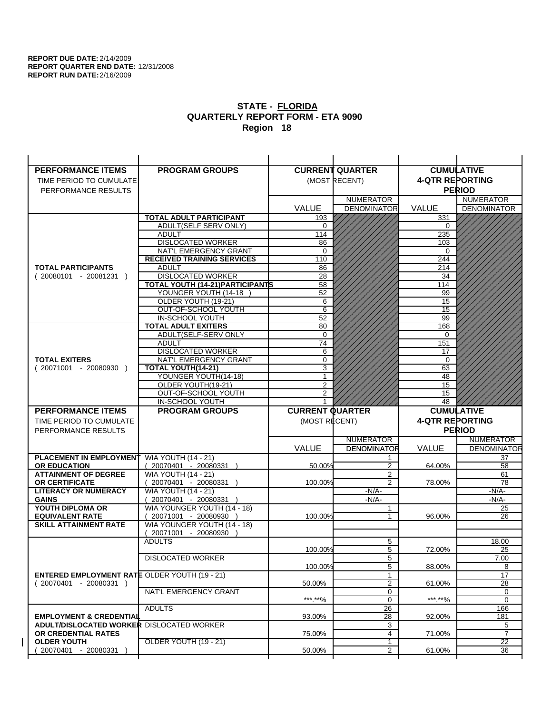| <b>PERFORMANCE ITEMS</b>                             | <b>PROGRAM GROUPS</b>                                 |                        | <b>CURRENT QUARTER</b>                 |                        | <b>CUMULATIVE</b>                      |
|------------------------------------------------------|-------------------------------------------------------|------------------------|----------------------------------------|------------------------|----------------------------------------|
| TIME PERIOD TO CUMULATE                              |                                                       |                        | (MOST RECENT)                          | <b>4-QTR REPORTING</b> |                                        |
| PERFORMANCE RESULTS                                  |                                                       |                        |                                        |                        | <b>PERIOD</b>                          |
|                                                      |                                                       |                        | <b>NUMERATOR</b>                       |                        | <b>NUMERATOR</b>                       |
|                                                      |                                                       | <b>VALUE</b>           | <b>DENOMINATOR</b>                     | VALUE                  | <b>DENOMINATOR</b>                     |
|                                                      | TOTAL ADULT PARTICIPANT                               | 193                    |                                        | 331                    |                                        |
|                                                      | <b>ADULT(SELF SERV ONLY)</b>                          | 0                      |                                        | 0                      |                                        |
|                                                      | <b>ADULT</b>                                          | 114                    |                                        | 235                    |                                        |
|                                                      | <b>DISLOCATED WORKER</b>                              | 86                     |                                        | 103                    |                                        |
|                                                      | NAT'L EMERGENCY GRANT                                 | 0                      |                                        | $\Omega$               |                                        |
|                                                      | <b>RECEIVED TRAINING SERVICES</b>                     | 110                    |                                        | 244                    |                                        |
| <b>TOTAL PARTICIPANTS</b>                            | <b>ADULT</b>                                          | 86                     |                                        | 214                    |                                        |
| $(20080101 - 20081231)$                              | <b>DISLOCATED WORKER</b>                              | 28                     |                                        | 34                     |                                        |
|                                                      | TOTAL YOUTH (14-21) PARTICIPANTS                      | 58                     |                                        | 114                    |                                        |
|                                                      | YOUNGER YOUTH (14-18                                  | 52                     |                                        | 99                     |                                        |
|                                                      | OLDER YOUTH (19-21)                                   | 6                      |                                        | 15                     |                                        |
|                                                      | OUT-OF-SCHOOL YOUTH                                   | 6                      |                                        | $\overline{15}$        |                                        |
|                                                      | IN-SCHOOL YOUTH                                       | 52                     |                                        | 99                     |                                        |
|                                                      | <b>TOTAL ADULT EXITERS</b>                            | 80                     |                                        | 168                    |                                        |
|                                                      | ADULT(SELF-SERV ONLY                                  | $\Omega$<br>74         |                                        | $\Omega$<br>151        |                                        |
|                                                      | <b>ADULT</b><br><b>DISLOCATED WORKER</b>              | 6                      |                                        | 17                     |                                        |
| <b>TOTAL EXITERS</b>                                 | NAT'L EMERGENCY GRANT                                 | 0                      |                                        | 0                      |                                        |
| $(20071001 - 20080930)$                              | TOTAL YOUTH(14-21)                                    | 3                      |                                        | 63                     |                                        |
|                                                      | YOUNGER YOUTH(14-18)                                  | 1                      |                                        | 48                     |                                        |
|                                                      | OLDER YOUTH(19-21)                                    | 2                      |                                        | 15                     |                                        |
|                                                      | OUT-OF-SCHOOL YOUTH                                   | 2                      |                                        | 15                     |                                        |
|                                                      | IN-SCHOOL YOUTH                                       |                        |                                        | 48                     |                                        |
|                                                      |                                                       |                        |                                        |                        |                                        |
| <b>PERFORMANCE ITEMS</b>                             | <b>PROGRAM GROUPS</b>                                 | <b>CURRENT QUARTER</b> |                                        |                        | <b>CUMULATIVE</b>                      |
| TIME PERIOD TO CUMULATE                              |                                                       |                        |                                        |                        |                                        |
|                                                      |                                                       | (MOST RECENT)          |                                        | <b>4-QTR REPORTING</b> |                                        |
| PERFORMANCE RESULTS                                  |                                                       |                        |                                        |                        | <b>PERIOD</b>                          |
|                                                      |                                                       |                        | <b>NUMERATOR</b><br><b>DENOMINATOR</b> | <b>VALUE</b>           | <b>NUMERATOR</b><br><b>DENOMINATOR</b> |
| <b>PLACEMENT IN EMPLOYMENT</b>                       |                                                       | <b>VALUE</b>           | 1                                      |                        | 37                                     |
| <b>OR EDUCATION</b>                                  | <b>WIA YOUTH (14 - 21)</b><br>$(20070401 - 20080331)$ | 50.00%                 | $\overline{2}$                         | 64.00%                 | 58                                     |
| <b>ATTAINMENT OF DEGREE</b>                          | <b>WIA YOUTH (14 - 21)</b>                            |                        | 2                                      |                        | 61                                     |
| <b>OR CERTIFICATE</b>                                | $(20070401 - 20080331)$                               | 100.00%                | 2                                      | 78.00%                 | 78                                     |
| <b>LITERACY OR NUMERACY</b>                          | <b>WIA YOUTH (14 - 21)</b>                            |                        | $-N/A-$                                |                        | -N/A-                                  |
| <b>GAINS</b>                                         | 20070401 - 20080331                                   |                        | $-N/A-$                                |                        | $-N/A-$                                |
| YOUTH DIPLOMA OR                                     | WIA YOUNGER YOUTH (14 - 18)                           |                        | 1                                      |                        | 25                                     |
| <b>EQUIVALENT RATE</b>                               | 20071001 - 20080930 )                                 | 100.00%                | 1                                      | 96.00%                 | 26                                     |
| <b>SKILL ATTAINMENT RATE</b>                         | WIA YOUNGER YOUTH (14 - 18)                           |                        |                                        |                        |                                        |
|                                                      | (20071001 - 20080930                                  |                        |                                        |                        |                                        |
|                                                      | <b>ADULTS</b>                                         |                        | 5                                      |                        | 18.00                                  |
|                                                      |                                                       | 100.00%                | 5                                      | 72.00%                 | 25                                     |
|                                                      | <b>DISLOCATED WORKER</b>                              |                        | $\overline{5}$                         |                        | 7.00                                   |
|                                                      |                                                       | 100.00%                | 5                                      | 88.00%                 | 8                                      |
| <b>ENTERED EMPLOYMENT RATE OLDER YOUTH (19 - 21)</b> |                                                       |                        | 1                                      |                        | 17                                     |
| $(20070401 - 20080331)$                              | NAT'L EMERGENCY GRANT                                 | 50.00%                 | 2<br>0                                 | 61.00%                 | 28<br>0                                |
|                                                      |                                                       | ***.**%                | 0                                      | *** **%                | 0                                      |
|                                                      | <b>ADULTS</b>                                         |                        | 26                                     |                        | 166                                    |
| <b>EMPLOYMENT &amp; CREDENTIAL</b>                   |                                                       | 93.00%                 | 28                                     | 92.00%                 | 181                                    |
| <b>ADULT/DISLOCATED WORKER DISLOCATED WORKER</b>     |                                                       |                        | 3                                      |                        | 5                                      |
| OR CREDENTIAL RATES                                  |                                                       | 75.00%                 | $\overline{4}$                         | 71.00%                 | $\overline{7}$                         |
| <b>OLDER YOUTH</b><br>20070401 - 20080331            | <b>OLDER YOUTH (19 - 21)</b>                          | 50.00%                 | 1<br>$\overline{2}$                    | 61.00%                 | $\overline{22}$<br>36                  |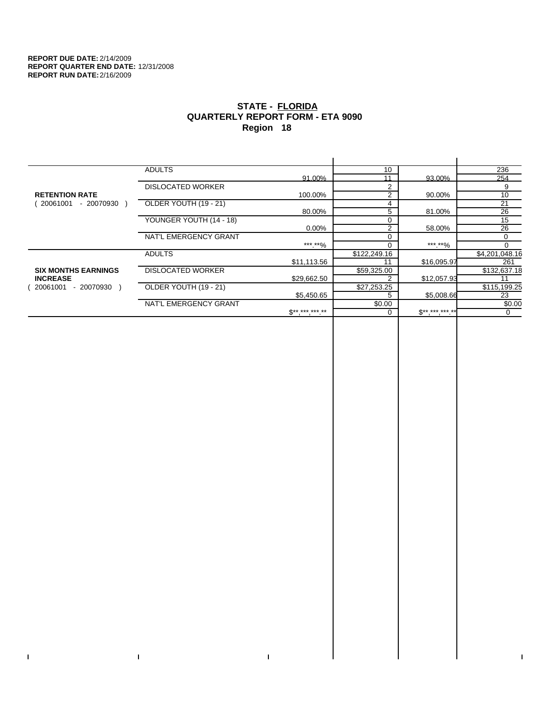$\mathbf I$ 

 $\Gamma$ 

# **STATE - FLORIDA QUARTERLY REPORT FORM - ETA 9090 Region 18**

|                            | ADULTS                   |                 | 10             |             | 236             |
|----------------------------|--------------------------|-----------------|----------------|-------------|-----------------|
|                            |                          | 91.00%          | 11             | 93.00%      | 254             |
|                            | <b>DISLOCATED WORKER</b> |                 | $\overline{2}$ |             | 9               |
| <b>RETENTION RATE</b>      |                          | 100.00%         | $\overline{2}$ | 90.00%      | 10              |
| - 20070930<br>20061001     | OLDER YOUTH (19 - 21)    |                 | 4              |             | $\overline{21}$ |
|                            |                          | 80.00%          | 5              | 81.00%      | 26              |
|                            | YOUNGER YOUTH (14 - 18)  |                 | 0              |             | 15              |
|                            |                          | $0.00\%$        | $\overline{2}$ | 58.00%      | $\overline{26}$ |
|                            | NAT'L EMERGENCY GRANT    |                 | 0              |             | 0               |
|                            |                          | *** **%         | 0              | *** **%     |                 |
|                            | <b>ADULTS</b>            |                 | \$122,249.16   |             | \$4,201,048.16  |
|                            |                          | \$11,113.56     | 11             | \$16,095.97 | 261             |
| <b>SIX MONTHS EARNINGS</b> | <b>DISLOCATED WORKER</b> |                 | \$59,325.00    |             | \$132,637.18    |
| <b>INCREASE</b>            |                          | \$29,662.50     | 2              | \$12,057.93 | 11              |
| - 20070930 )<br>20061001   | OLDER YOUTH (19 - 21)    |                 | \$27,253.25    |             | \$115,199.25    |
|                            |                          | \$5,450.65      | 5              | \$5,008.66  | 23              |
|                            | NAT'L EMERGENCY GRANT    |                 | \$0.00         |             | \$0.00          |
|                            |                          | $S^{*********}$ |                | $S********$ | 0               |
|                            |                          |                 |                |             |                 |

 $\bar{\Gamma}$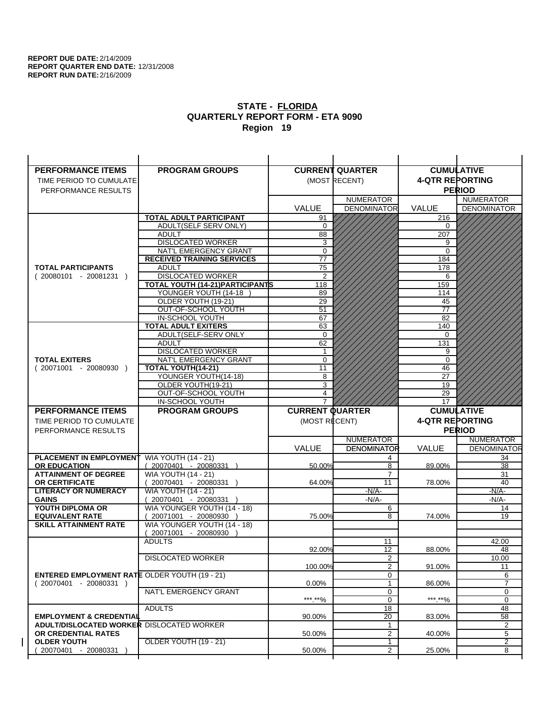| <b>PERFORMANCE ITEMS</b>                             | <b>PROGRAM GROUPS</b>                                |                        | <b>CURRENT QUARTER</b> |                        | <b>CUMULATIVE</b>        |
|------------------------------------------------------|------------------------------------------------------|------------------------|------------------------|------------------------|--------------------------|
| TIME PERIOD TO CUMULATE                              |                                                      |                        | (MOST RECENT)          | <b>4-QTR REPORTING</b> |                          |
| PERFORMANCE RESULTS                                  |                                                      |                        |                        |                        | <b>PERIOD</b>            |
|                                                      |                                                      |                        | <b>NUMERATOR</b>       |                        | <b>NUMERATOR</b>         |
|                                                      |                                                      | <b>VALUE</b>           | <b>DENOMINATOR</b>     | VALUE                  | <b>DENOMINATOR</b>       |
|                                                      | TOTAL ADULT PARTICIPANT                              | 91                     |                        | 216                    |                          |
|                                                      | <b>ADULT(SELF SERV ONLY)</b>                         | $\mathbf 0$            |                        | 0                      |                          |
|                                                      | <b>ADULT</b>                                         | 88                     |                        | 207                    |                          |
|                                                      | <b>DISLOCATED WORKER</b>                             | 3                      |                        | 9                      |                          |
|                                                      | NAT'L EMERGENCY GRANT                                | $\mathbf 0$            |                        | 0                      |                          |
|                                                      | <b>RECEIVED TRAINING SERVICES</b>                    | 77                     |                        | 184                    |                          |
| <b>TOTAL PARTICIPANTS</b>                            | <b>ADULT</b>                                         | 75                     |                        | 178                    |                          |
| $(20080101 - 20081231)$                              | <b>DISLOCATED WORKER</b>                             | $\overline{2}$         |                        | 6                      |                          |
|                                                      | <b>TOTAL YOUTH (14-21) PARTICIPANTS</b>              | 118                    |                        | 159                    |                          |
|                                                      | YOUNGER YOUTH (14-18                                 | 89                     |                        | 114                    |                          |
|                                                      | OLDER YOUTH (19-21)                                  | 29<br>$\overline{51}$  |                        | 45<br>$\overline{77}$  |                          |
|                                                      | OUT-OF-SCHOOL YOUTH<br>IN-SCHOOL YOUTH               | 67                     |                        | 82                     |                          |
|                                                      | <b>TOTAL ADULT EXITERS</b>                           | 63                     |                        | 140                    |                          |
|                                                      | ADULT(SELF-SERV ONLY                                 | $\mathbf 0$            |                        | $\Omega$               |                          |
|                                                      | <b>ADULT</b>                                         | 62                     |                        | 131                    |                          |
|                                                      | <b>DISLOCATED WORKER</b>                             | 1                      |                        | 9                      |                          |
| <b>TOTAL EXITERS</b>                                 | NAT'L EMERGENCY GRANT                                | 0                      |                        | $\mathbf 0$            |                          |
| $(20071001 - 20080930)$                              | TOTAL YOUTH(14-21)                                   | 11                     |                        | 46                     |                          |
|                                                      | YOUNGER YOUTH(14-18)                                 | 8                      |                        | 27                     |                          |
|                                                      | OLDER YOUTH(19-21)                                   | 3                      |                        | 19                     |                          |
|                                                      | OUT-OF-SCHOOL YOUTH                                  | 4                      |                        | 29                     |                          |
|                                                      | IN-SCHOOL YOUTH                                      |                        |                        | 17                     |                          |
|                                                      |                                                      |                        |                        |                        |                          |
| <b>PERFORMANCE ITEMS</b>                             | <b>PROGRAM GROUPS</b>                                | <b>CURRENT QUARTER</b> |                        |                        | <b>CUMULATIVE</b>        |
| TIME PERIOD TO CUMULATE                              |                                                      | (MOST RECENT)          |                        | <b>4-QTR REPORTING</b> |                          |
| PERFORMANCE RESULTS                                  |                                                      |                        |                        |                        | <b>PERIOD</b>            |
|                                                      |                                                      |                        | <b>NUMERATOR</b>       |                        | <b>NUMERATOR</b>         |
|                                                      |                                                      | <b>VALUE</b>           | <b>DENOMINATOR</b>     | <b>VALUE</b>           |                          |
| <b>PLACEMENT IN EMPLOYMENT</b>                       | <b>WIA YOUTH (14 - 21)</b>                           |                        | 4                      |                        | <b>DENOMINATOR</b><br>34 |
| <b>OR EDUCATION</b>                                  | $(20070401 - 20080331)$                              | 50.00%                 | 8                      | 89.00%                 | 38                       |
| <b>ATTAINMENT OF DEGREE</b>                          | <b>WIA YOUTH (14 - 21)</b>                           |                        | $\overline{7}$         |                        | 31                       |
| <b>OR CERTIFICATE</b>                                | $(20070401 - 20080331)$                              | 64.00%                 | 11                     | 78.00%                 | 40                       |
| <b>LITERACY OR NUMERACY</b>                          | <b>WIA YOUTH (14 - 21)</b>                           |                        | $-N/A-$                |                        | $-N/A-$                  |
| <b>GAINS</b>                                         | 20070401 - 20080331                                  |                        | $-N/A-$                |                        | $-N/A-$                  |
| YOUTH DIPLOMA OR<br><b>EQUIVALENT RATE</b>           | WIA YOUNGER YOUTH (14 - 18)                          | 75.00%                 | 6<br>8                 | 74.00%                 | 14<br>19                 |
| <b>SKILL ATTAINMENT RATE</b>                         | 20071001 - 20080930 )<br>WIA YOUNGER YOUTH (14 - 18) |                        |                        |                        |                          |
|                                                      | (20071001 - 20080930                                 |                        |                        |                        |                          |
|                                                      | <b>ADULTS</b>                                        |                        | 11                     |                        | 42.00                    |
|                                                      |                                                      | 92.00%                 | 12                     | 88.00%                 | 48                       |
|                                                      | <b>DISLOCATED WORKER</b>                             |                        | $\overline{2}$         |                        | 10.00                    |
|                                                      |                                                      | 100.00%                | 2                      | 91.00%                 | 11                       |
| <b>ENTERED EMPLOYMENT RATE OLDER YOUTH (19 - 21)</b> |                                                      |                        | 0                      |                        | 6                        |
| $(20070401 - 20080331)$                              |                                                      | $0.00\%$               | 1                      | 86.00%                 | 7                        |
|                                                      | NAT'L EMERGENCY GRANT                                |                        | 0                      |                        | 0                        |
|                                                      |                                                      | ***.**%                | 0                      | *** **%                | 0                        |
| <b>EMPLOYMENT &amp; CREDENTIAL</b>                   | <b>ADULTS</b>                                        | 90.00%                 | 18<br>20               | 83.00%                 | 48                       |
| <b>ADULT/DISLOCATED WORKER DISLOCATED WORKER</b>     |                                                      |                        | 1                      |                        | 58<br>2                  |
| OR CREDENTIAL RATES                                  |                                                      | 50.00%                 | $\overline{2}$         | 40.00%                 | 5                        |
| <b>OLDER YOUTH</b>                                   | OLDER YOUTH (19 - 21)                                |                        | 1                      |                        | 2                        |
| 20070401 - 20080331                                  |                                                      | 50.00%                 | $\overline{2}$         | 25.00%                 | 8                        |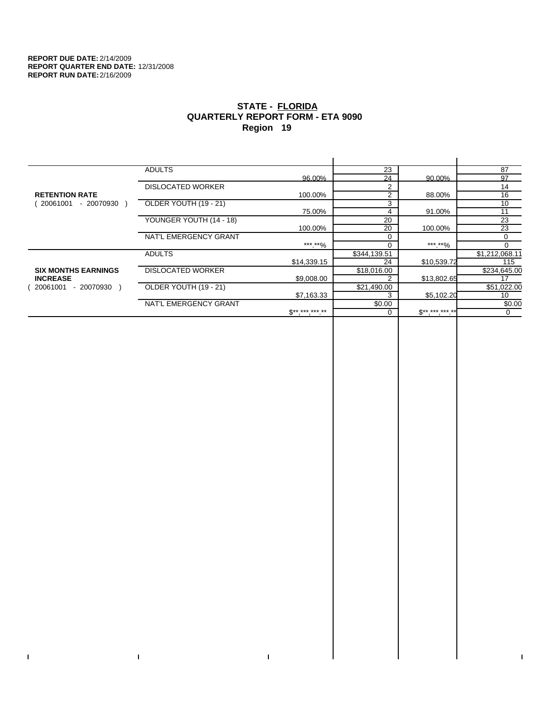$\mathbf I$ 

 $\bar{\Gamma}$ 

# **STATE - FLORIDA QUARTERLY REPORT FORM - ETA 9090 Region 19**

|                            | ADULTS                   |                | 23             |             | 87             |
|----------------------------|--------------------------|----------------|----------------|-------------|----------------|
|                            |                          | 96.00%         | 24             | 90.00%      | 97             |
|                            | <b>DISLOCATED WORKER</b> |                | $\overline{2}$ |             | 14             |
| <b>RETENTION RATE</b>      |                          | 100.00%        | $\overline{2}$ | 88.00%      | 16             |
| - 20070930<br>20061001     | OLDER YOUTH (19 - 21)    |                | 3              |             | 10             |
|                            |                          | 75.00%         | 4              | 91.00%      | 11             |
|                            | YOUNGER YOUTH (14 - 18)  |                | 20             |             | 23             |
|                            |                          | 100.00%        | 20             | 100.00%     | 23             |
|                            | NAT'L EMERGENCY GRANT    |                | 0              |             | 0              |
|                            |                          | *** **%        | 0              | *** **%     |                |
|                            | <b>ADULTS</b>            |                | \$344,139.51   |             | \$1,212,068.11 |
|                            |                          | \$14,339.15    | 24             | \$10,539.72 | 115            |
| <b>SIX MONTHS EARNINGS</b> | <b>DISLOCATED WORKER</b> |                | \$18,016.00    |             | \$234,645.00   |
| <b>INCREASE</b>            |                          | \$9,008.00     | 2              | \$13,802.65 | 17             |
| - 20070930 )<br>20061001   | OLDER YOUTH (19 - 21)    |                | \$21,490.00    |             | \$51,022.00    |
|                            |                          | \$7,163.33     | 3              | \$5,102.20  | 10             |
|                            | NAT'L EMERGENCY GRANT    |                | \$0.00         |             | \$0.00         |
|                            |                          | $S^{********}$ |                | $S********$ | 0              |
|                            |                          |                |                |             |                |

 $\bar{\Gamma}$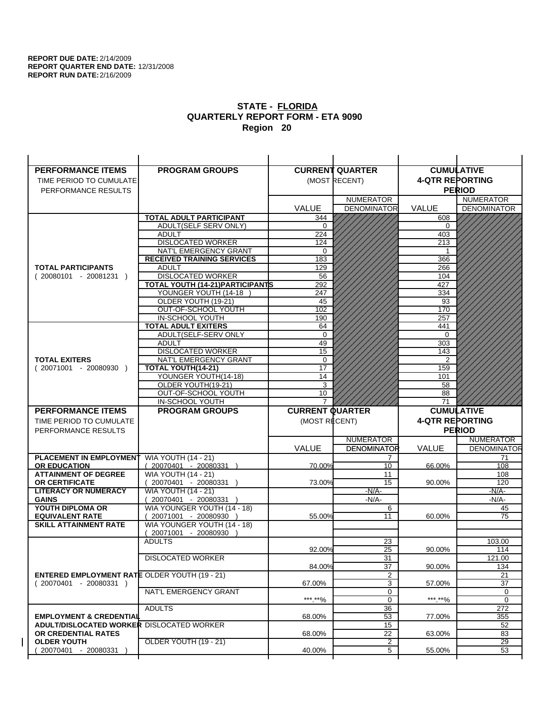| <b>PERFORMANCE ITEMS</b>                             | <b>PROGRAM GROUPS</b>                      |                        | <b>CURRENT QUARTER</b>                 |                        | <b>CUMULATIVE</b>                      |
|------------------------------------------------------|--------------------------------------------|------------------------|----------------------------------------|------------------------|----------------------------------------|
| TIME PERIOD TO CUMULATE                              |                                            |                        | (MOST RECENT)                          | <b>4-QTR REPORTING</b> |                                        |
| PERFORMANCE RESULTS                                  |                                            |                        |                                        |                        | <b>PERIOD</b>                          |
|                                                      |                                            |                        | <b>NUMERATOR</b>                       |                        | <b>NUMERATOR</b>                       |
|                                                      |                                            | <b>VALUE</b>           | <b>DENOMINATOR</b>                     | VALUE                  | <b>DENOMINATOR</b>                     |
|                                                      | <b>TOTAL ADULT PARTICIPANT</b>             | 344                    |                                        | 608                    |                                        |
|                                                      | ADULT(SELF SERV ONLY)                      | 0                      |                                        | 0                      |                                        |
|                                                      | <b>ADULT</b>                               | 224                    |                                        | 403                    |                                        |
|                                                      | <b>DISLOCATED WORKER</b>                   | 124                    |                                        | 213                    |                                        |
|                                                      | NAT'L EMERGENCY GRANT                      | 0                      |                                        |                        |                                        |
|                                                      | <b>RECEIVED TRAINING SERVICES</b>          | 183                    |                                        | 366                    |                                        |
| <b>TOTAL PARTICIPANTS</b>                            | <b>ADULT</b><br><b>DISLOCATED WORKER</b>   | 129                    |                                        | 266                    |                                        |
| $(20080101 - 20081231)$                              | <b>TOTAL YOUTH (14-21) PARTICIPANTS</b>    | 56<br>292              |                                        | 104<br>427             |                                        |
|                                                      | YOUNGER YOUTH (14-18                       | 247                    |                                        | 334                    |                                        |
|                                                      | OLDER YOUTH (19-21)                        | 45                     |                                        | 93                     |                                        |
|                                                      | OUT-OF-SCHOOL YOUTH                        | 102                    |                                        | 170                    |                                        |
|                                                      | IN-SCHOOL YOUTH                            | 190                    |                                        | 257                    |                                        |
|                                                      | <b>TOTAL ADULT EXITERS</b>                 | 64                     |                                        | 441                    |                                        |
|                                                      | ADULT(SELF-SERV ONLY                       | $\mathbf 0$            |                                        | 0                      |                                        |
|                                                      | <b>ADULT</b>                               | 49                     |                                        | 303                    |                                        |
|                                                      | <b>DISLOCATED WORKER</b>                   | 15                     |                                        | 143                    |                                        |
| <b>TOTAL EXITERS</b>                                 | NAT'L EMERGENCY GRANT                      | $\mathbf 0$            |                                        | $\overline{2}$         |                                        |
| $(20071001 - 20080930)$                              | TOTAL YOUTH(14-21)                         | 17                     |                                        | 159                    |                                        |
|                                                      | YOUNGER YOUTH(14-18)<br>OLDER YOUTH(19-21) | 14<br>3                |                                        | 101<br>58              |                                        |
|                                                      | OUT-OF-SCHOOL YOUTH                        | 10                     |                                        | 88                     |                                        |
|                                                      | IN-SCHOOL YOUTH                            |                        |                                        | 71                     |                                        |
|                                                      |                                            |                        |                                        |                        |                                        |
|                                                      | <b>PROGRAM GROUPS</b>                      | <b>CURRENT QUARTER</b> |                                        |                        |                                        |
| <b>PERFORMANCE ITEMS</b><br>TIME PERIOD TO CUMULATE  |                                            |                        |                                        |                        | <b>CUMULATIVE</b>                      |
|                                                      |                                            | (MOST RECENT)          |                                        | <b>4-QTR REPORTING</b> |                                        |
| PERFORMANCE RESULTS                                  |                                            |                        |                                        |                        | <b>PERIOD</b>                          |
|                                                      |                                            |                        | <b>NUMERATOR</b><br><b>DENOMINATOR</b> | <b>VALUE</b>           | <b>NUMERATOR</b><br><b>DENOMINATOR</b> |
| <b>PLACEMENT IN EMPLOYMENT</b>                       | <b>WIA YOUTH (14 - 21)</b>                 | <b>VALUE</b>           | 7                                      |                        | 71                                     |
| <b>OR EDUCATION</b>                                  | $(20070401 - 20080331)$                    | 70.00%                 | 10                                     | 66.00%                 | 108                                    |
| <b>ATTAINMENT OF DEGREE</b>                          | <b>WIA YOUTH (14 - 21)</b>                 |                        | 11                                     |                        | 108                                    |
| OR CERTIFICATE                                       | $(20070401 - 20080331)$                    | 73.00%                 | 15                                     | 90.00%                 | 120                                    |
| <b>LITERACY OR NUMERACY</b>                          | <b>WIA YOUTH (14 - 21)</b>                 |                        | $-N/A$ -                               |                        | -N/A-                                  |
| <b>GAINS</b>                                         | 20070401 - 20080331                        |                        | $-N/A-$                                |                        | $-N/A-$                                |
| YOUTH DIPLOMA OR                                     | WIA YOUNGER YOUTH (14 - 18)                |                        | 6                                      |                        | 45                                     |
| <b>EQUIVALENT RATE</b>                               | 20071001 - 20080930 )                      | 55.00%                 | 11                                     | 60.00%                 | 75                                     |
| <b>SKILL ATTAINMENT RATE</b>                         | WIA YOUNGER YOUTH (14 - 18)                |                        |                                        |                        |                                        |
|                                                      | (20071001 - 20080930                       |                        |                                        |                        |                                        |
|                                                      | <b>ADULTS</b>                              | 92.00%                 | 23<br>25                               | 90.00%                 | 103.00<br>114                          |
|                                                      | <b>DISLOCATED WORKER</b>                   |                        | $\overline{31}$                        |                        | 121.00                                 |
|                                                      |                                            | 84.00%                 | 37                                     | 90.00%                 | 134                                    |
| <b>ENTERED EMPLOYMENT RATE OLDER YOUTH (19 - 21)</b> |                                            |                        | 2                                      |                        | 21                                     |
| $(20070401 - 20080331)$                              |                                            | 67.00%                 | 3                                      | 57.00%                 | 37                                     |
|                                                      | NAT'L EMERGENCY GRANT                      |                        | 0                                      |                        | 0                                      |
|                                                      |                                            | *** **%                | 0                                      | ***.**%                | $\mathbf 0$                            |
|                                                      | <b>ADULTS</b>                              |                        | 36                                     |                        | 272                                    |
| <b>EMPLOYMENT &amp; CREDENTIAL</b>                   |                                            | 68.00%                 | 53                                     | 77.00%                 | 355                                    |
| <b>ADULT/DISLOCATED WORKER DISLOCATED WORKER</b>     |                                            | 68.00%                 | 15                                     |                        | 52                                     |
| OR CREDENTIAL RATES<br><b>OLDER YOUTH</b>            | OLDER YOUTH (19 - 21)                      |                        | 22<br>$\overline{2}$                   | 63.00%                 | 83<br>$\overline{29}$                  |
| 20070401 - 20080331                                  |                                            | 40.00%                 | 5                                      | 55.00%                 | 53                                     |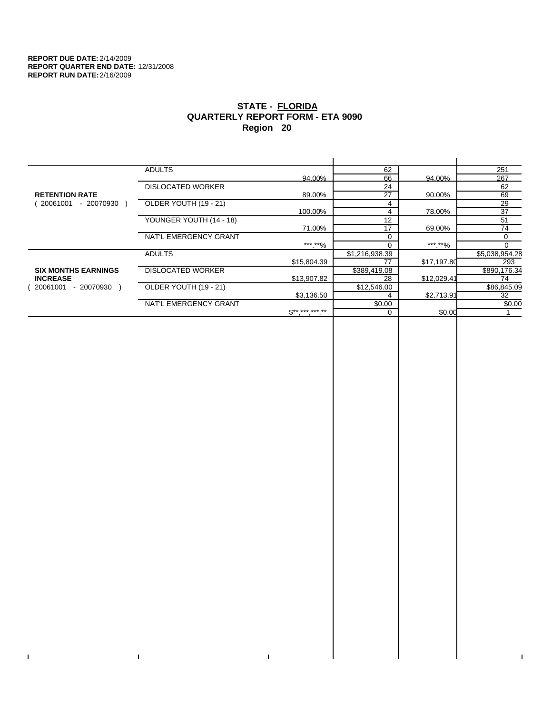$\bar{\Gamma}$ 

 $\mathbf{I}$ 

# **STATE - FLORIDA QUARTERLY REPORT FORM - ETA 9090 Region 20**

|                            | <b>ADULTS</b>            |                 | 62             |             | 251            |
|----------------------------|--------------------------|-----------------|----------------|-------------|----------------|
|                            |                          | 94.00%          | 66             | 94.00%      | 267            |
|                            | <b>DISLOCATED WORKER</b> |                 | 24             |             | 62             |
| <b>RETENTION RATE</b>      |                          | 89.00%          | 27             | 90.00%      | 69             |
| - 20070930<br>20061001     | OLDER YOUTH (19 - 21)    |                 | 4              |             | 29             |
|                            |                          | 100.00%         | 4              | 78.00%      | 37             |
|                            | YOUNGER YOUTH (14 - 18)  |                 | 12             |             | 51             |
|                            |                          | 71.00%          | 17             | 69.00%      | 74             |
|                            | NAT'L EMERGENCY GRANT    |                 | $\Omega$       |             | 0              |
|                            |                          | ***.**%         |                | *** **%     | $\Omega$       |
|                            | <b>ADULTS</b>            |                 | \$1,216,938.39 |             | \$5,038,954.28 |
|                            |                          | \$15,804.39     | 77             | \$17,197.80 | 293            |
| <b>SIX MONTHS EARNINGS</b> | <b>DISLOCATED WORKER</b> |                 | \$389,419.08   |             | \$890,176.34   |
| <b>INCREASE</b>            |                          | \$13,907.82     | 28             | \$12,029.41 | 74             |
| - 20070930<br>20061001     | OLDER YOUTH (19 - 21)    |                 | \$12,546.00    |             | \$86,845.09    |
|                            |                          | \$3,136.50      |                | \$2,713.91  | 32             |
|                            | NAT'L EMERGENCY GRANT    |                 | \$0.00         |             | \$0.00         |
|                            |                          | $S^{*********}$ | $\Omega$       | \$0.00      |                |
|                            |                          |                 |                |             |                |

 $\bar{\Gamma}$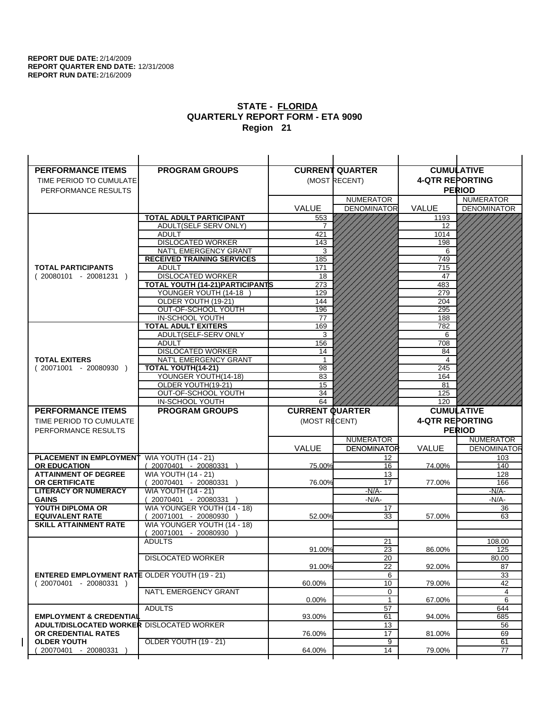| <b>PERFORMANCE ITEMS</b>                                                        | <b>PROGRAM GROUPS</b>                              |                        | <b>CURRENT QUARTER</b> |                        | <b>CUMULATIVE</b>  |
|---------------------------------------------------------------------------------|----------------------------------------------------|------------------------|------------------------|------------------------|--------------------|
| TIME PERIOD TO CUMULATE                                                         |                                                    |                        | (MOST RECENT)          | <b>4-QTR REPORTING</b> |                    |
| PERFORMANCE RESULTS                                                             |                                                    |                        |                        |                        | <b>PERIOD</b>      |
|                                                                                 |                                                    |                        | <b>NUMERATOR</b>       |                        | <b>NUMERATOR</b>   |
|                                                                                 |                                                    | <b>VALUE</b>           | <b>DENOMINATOR</b>     | VALUE                  | <b>DENOMINATOR</b> |
|                                                                                 | <b>TOTAL ADULT PARTICIPANT</b>                     | 553                    |                        | 1193                   |                    |
|                                                                                 | ADULT(SELF SERV ONLY)                              | 7                      |                        | 12                     |                    |
|                                                                                 | <b>ADULT</b>                                       | 421                    |                        | 1014                   |                    |
|                                                                                 | <b>DISLOCATED WORKER</b>                           | 143                    |                        | 198                    |                    |
|                                                                                 | NAT'L EMERGENCY GRANT                              | 3                      |                        | 6                      |                    |
|                                                                                 | <b>RECEIVED TRAINING SERVICES</b><br><b>ADULT</b>  | 185                    |                        | 749                    |                    |
| <b>TOTAL PARTICIPANTS</b><br>$(20080101 - 20081231)$                            | <b>DISLOCATED WORKER</b>                           | 171<br>18              |                        | 715<br>47              |                    |
|                                                                                 | <b>TOTAL YOUTH (14-21) PARTICIPANTS</b>            | 273                    |                        | 483                    |                    |
|                                                                                 | YOUNGER YOUTH (14-18                               | 129                    |                        | 279                    |                    |
|                                                                                 | OLDER YOUTH (19-21)                                | 144                    |                        | 204                    |                    |
|                                                                                 | OUT-OF-SCHOOL YOUTH                                | 196                    |                        | 295                    |                    |
|                                                                                 | IN-SCHOOL YOUTH                                    | 77                     |                        | 188                    |                    |
|                                                                                 | <b>TOTAL ADULT EXITERS</b>                         | 169                    |                        | 782                    |                    |
|                                                                                 | ADULT(SELF-SERV ONLY                               | 3                      |                        | 6                      |                    |
|                                                                                 | <b>ADULT</b>                                       | 156                    |                        | 708                    |                    |
| <b>TOTAL EXITERS</b>                                                            | <b>DISLOCATED WORKER</b><br>NAT'L EMERGENCY GRANT  | 14<br>$\mathbf 1$      |                        | 84<br>$\overline{4}$   |                    |
| $(20071001 - 20080930)$                                                         | TOTAL YOUTH(14-21)                                 | 98                     |                        | 245                    |                    |
|                                                                                 | YOUNGER YOUTH(14-18)                               | 83                     |                        | 164                    |                    |
|                                                                                 | OLDER YOUTH(19-21)                                 | $\overline{15}$        |                        | 81                     |                    |
|                                                                                 | OUT-OF-SCHOOL YOUTH                                | 34                     |                        | 125                    |                    |
|                                                                                 | IN-SCHOOL YOUTH                                    | 64                     |                        | 120                    |                    |
|                                                                                 |                                                    |                        |                        |                        |                    |
| <b>PERFORMANCE ITEMS</b>                                                        | <b>PROGRAM GROUPS</b>                              | <b>CURRENT QUARTER</b> |                        |                        | <b>CUMULATIVE</b>  |
| TIME PERIOD TO CUMULATE                                                         |                                                    | (MOST RECENT)          |                        | <b>4-QTR REPORTING</b> |                    |
| PERFORMANCE RESULTS                                                             |                                                    |                        |                        |                        | <b>PERIOD</b>      |
|                                                                                 |                                                    |                        | <b>NUMERATOR</b>       |                        | <b>NUMERATOR</b>   |
|                                                                                 |                                                    | <b>VALUE</b>           | <b>DENOMINATOR</b>     | <b>VALUE</b>           | <b>DENOMINATOR</b> |
| <b>PLACEMENT IN EMPLOYMENT</b>                                                  | <b>WIA YOUTH (14 - 21)</b>                         |                        | 12                     |                        | 103                |
| <b>OR EDUCATION</b>                                                             | $(20070401 - 20080331)$                            | 75.00%                 | 16                     | 74.00%                 | 140                |
| <b>ATTAINMENT OF DEGREE</b>                                                     | <b>WIA YOUTH (14 - 21)</b>                         |                        | 13                     |                        | 128                |
| OR CERTIFICATE                                                                  | $(20070401 - 20080331)$                            | 76.00%                 | 17                     | 77.00%                 | 166                |
| <b>LITERACY OR NUMERACY</b>                                                     | <b>WIA YOUTH (14 - 21)</b>                         |                        | $-N/A$ -               |                        | -N/A-              |
| <b>GAINS</b><br>YOUTH DIPLOMA OR                                                | 20070401 - 20080331<br>WIA YOUNGER YOUTH (14 - 18) |                        | $-N/A-$<br>17          |                        | $-N/A-$<br>36      |
| <b>EQUIVALENT RATE</b>                                                          | 20071001 - 20080930 )                              | 52.00%                 | 33                     | 57.00%                 | 63                 |
| <b>SKILL ATTAINMENT RATE</b>                                                    | WIA YOUNGER YOUTH (14 - 18)                        |                        |                        |                        |                    |
|                                                                                 | (20071001 - 20080930                               |                        |                        |                        |                    |
|                                                                                 | <b>ADULTS</b>                                      |                        | 21                     |                        | 108.00             |
|                                                                                 |                                                    | 91.00%                 | 23                     | 86.00%                 | 125                |
|                                                                                 | <b>DISLOCATED WORKER</b>                           |                        | $\overline{20}$        |                        | 80.00              |
|                                                                                 |                                                    | 91.00%                 | 22                     | 92.00%                 | 87                 |
| <b>ENTERED EMPLOYMENT RATE OLDER YOUTH (19 - 21)</b><br>$(20070401 - 20080331)$ |                                                    | 60.00%                 | 6                      |                        | 33<br>42           |
|                                                                                 | NAT'L EMERGENCY GRANT                              |                        | 10<br>0                | 79.00%                 | 4                  |
|                                                                                 |                                                    | 0.00%                  | $\mathbf{1}$           | 67.00%                 | 6                  |
|                                                                                 | <b>ADULTS</b>                                      |                        | 57                     |                        | 644                |
| <b>EMPLOYMENT &amp; CREDENTIAL</b>                                              |                                                    | 93.00%                 | 61                     | 94.00%                 | 685                |
| <b>ADULT/DISLOCATED WORKER DISLOCATED WORKER</b>                                |                                                    |                        | 13                     |                        | 56                 |
| OR CREDENTIAL RATES                                                             |                                                    | 76.00%                 | 17                     | 81.00%                 | 69                 |
| <b>OLDER YOUTH</b><br>20070401 - 20080331                                       | OLDER YOUTH (19 - 21)                              | 64.00%                 | 9<br>14                | 79.00%                 | 61<br>77           |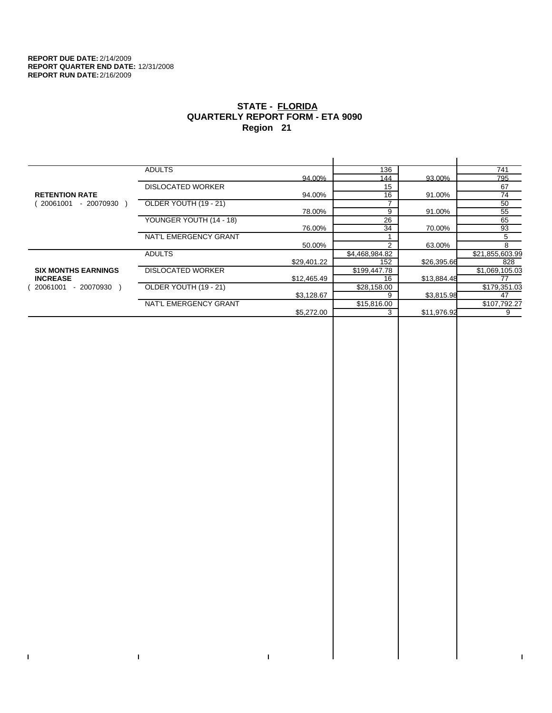$\bar{\Gamma}$ 

 $\Gamma$ 

# **STATE - FLORIDA QUARTERLY REPORT FORM - ETA 9090 Region 21**

|                            | <b>ADULTS</b>            |             | 136            |             | 741             |
|----------------------------|--------------------------|-------------|----------------|-------------|-----------------|
|                            |                          | 94.00%      | 144            | 93.00%      | 795             |
|                            | <b>DISLOCATED WORKER</b> |             | 15             |             | 67              |
| <b>RETENTION RATE</b>      |                          | 94.00%      | 16             | 91.00%      | 74              |
| - 20070930<br>20061001     | OLDER YOUTH (19 - 21)    |             |                |             | 50              |
|                            |                          | 78.00%      | 9              | 91.00%      | 55              |
|                            | YOUNGER YOUTH (14 - 18)  |             | 26             |             | 65              |
|                            |                          | 76.00%      | 34             | 70.00%      | 93              |
|                            | NAT'L EMERGENCY GRANT    |             |                |             | 5               |
|                            |                          | 50.00%      | 2              | 63.00%      | 8               |
|                            | <b>ADULTS</b>            |             | \$4,468,984.82 |             | \$21,855,603.99 |
|                            |                          | \$29,401.22 | 152            | \$26,395.66 | 828             |
| <b>SIX MONTHS EARNINGS</b> | <b>DISLOCATED WORKER</b> |             | \$199,447.78   |             | \$1,069,105.03  |
| <b>INCREASE</b>            |                          | \$12,465.49 | 16             | \$13,884.48 | 77              |
| $-20070930$<br>20061001    | OLDER YOUTH (19 - 21)    |             | \$28,158.00    |             | \$179,351.03    |
|                            |                          | \$3,128.67  | 9              | \$3,815.98  | 47              |
|                            | NAT'L EMERGENCY GRANT    |             | \$15,816.00    |             | \$107,792.27    |
|                            |                          | \$5,272.00  | 3              | \$11,976.92 | 9               |
|                            |                          |             |                |             |                 |

 $\bar{\Gamma}$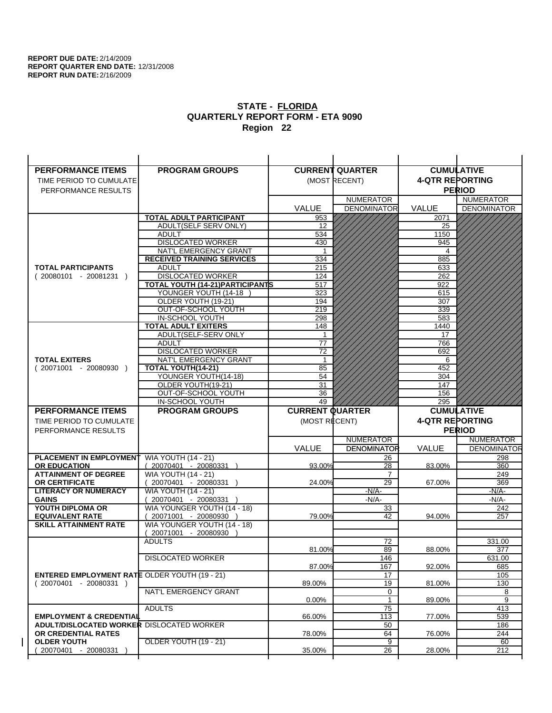| <b>PERFORMANCE ITEMS</b>                                                        | <b>PROGRAM GROUPS</b>                              |                        | <b>CURRENT QUARTER</b> |                        | <b>CUMULATIVE</b>         |
|---------------------------------------------------------------------------------|----------------------------------------------------|------------------------|------------------------|------------------------|---------------------------|
| TIME PERIOD TO CUMULATE                                                         |                                                    |                        | (MOST RECENT)          | <b>4-QTR REPORTING</b> |                           |
| PERFORMANCE RESULTS                                                             |                                                    |                        |                        |                        | <b>PERIOD</b>             |
|                                                                                 |                                                    |                        | <b>NUMERATOR</b>       |                        | <b>NUMERATOR</b>          |
|                                                                                 |                                                    | <b>VALUE</b>           | <b>DENOMINATOR</b>     | VALUE                  | <b>DENOMINATOR</b>        |
|                                                                                 | <b>TOTAL ADULT PARTICIPANT</b>                     | 953                    |                        | 2071                   |                           |
|                                                                                 | ADULT(SELF SERV ONLY)                              | 12                     |                        | 25                     |                           |
|                                                                                 | <b>ADULT</b>                                       | 534                    |                        | 1150                   |                           |
|                                                                                 | <b>DISLOCATED WORKER</b>                           | 430                    |                        | 945                    |                           |
|                                                                                 | NAT'L EMERGENCY GRANT                              |                        |                        | 4                      |                           |
|                                                                                 | <b>RECEIVED TRAINING SERVICES</b><br><b>ADULT</b>  | 334                    |                        | 885                    |                           |
| <b>TOTAL PARTICIPANTS</b><br>$(20080101 - 20081231)$                            | <b>DISLOCATED WORKER</b>                           | 215<br>124             |                        | 633<br>262             |                           |
|                                                                                 | TOTAL YOUTH (14-21) PARTICIPANTS                   | 517                    |                        | 922                    |                           |
|                                                                                 | YOUNGER YOUTH (14-18                               | 323                    |                        | 615                    |                           |
|                                                                                 | OLDER YOUTH (19-21)                                | 194                    |                        | 307                    |                           |
|                                                                                 | OUT-OF-SCHOOL YOUTH                                | 219                    |                        | 339                    |                           |
|                                                                                 | IN-SCHOOL YOUTH                                    | 298                    |                        | 583                    |                           |
|                                                                                 | <b>TOTAL ADULT EXITERS</b>                         | 148                    |                        | 1440                   |                           |
|                                                                                 | ADULT(SELF-SERV ONLY                               | 1                      |                        | 17                     |                           |
|                                                                                 | <b>ADULT</b>                                       | 77                     |                        | 766                    |                           |
| <b>TOTAL EXITERS</b>                                                            | <b>DISLOCATED WORKER</b><br>NAT'L EMERGENCY GRANT  | $\overline{72}$<br>-1  |                        | 692                    |                           |
| $(20071001 - 20080930)$                                                         | TOTAL YOUTH(14-21)                                 | 85                     |                        | 6<br>452               |                           |
|                                                                                 | YOUNGER YOUTH(14-18)                               | 54                     |                        | 304                    |                           |
|                                                                                 | OLDER YOUTH(19-21)                                 | $\overline{31}$        |                        | 147                    |                           |
|                                                                                 | OUT-OF-SCHOOL YOUTH                                | 36                     |                        | 156                    |                           |
|                                                                                 | IN-SCHOOL YOUTH                                    | 49                     |                        | 295                    |                           |
|                                                                                 |                                                    |                        |                        |                        |                           |
| <b>PERFORMANCE ITEMS</b>                                                        | <b>PROGRAM GROUPS</b>                              | <b>CURRENT QUARTER</b> |                        |                        | <b>CUMULATIVE</b>         |
| TIME PERIOD TO CUMULATE                                                         |                                                    | (MOST RECENT)          |                        | <b>4-QTR REPORTING</b> |                           |
| PERFORMANCE RESULTS                                                             |                                                    |                        |                        |                        | <b>PERIOD</b>             |
|                                                                                 |                                                    |                        | <b>NUMERATOR</b>       |                        | <b>NUMERATOR</b>          |
|                                                                                 |                                                    | <b>VALUE</b>           | <b>DENOMINATOR</b>     | <b>VALUE</b>           |                           |
| <b>PLACEMENT IN EMPLOYMENT</b>                                                  | <b>WIA YOUTH (14 - 21)</b>                         |                        | 26                     |                        | 298                       |
| <b>OR EDUCATION</b>                                                             | $(20070401 - 20080331)$                            | 93.00%                 | 28                     | 83.00%                 | 360                       |
| <b>ATTAINMENT OF DEGREE</b>                                                     | <b>WIA YOUTH (14 - 21)</b>                         |                        | 7                      |                        | 249                       |
| OR CERTIFICATE                                                                  | $(20070401 - 20080331)$                            | 24.00%                 | 29                     | 67.00%                 | 369                       |
| <b>LITERACY OR NUMERACY</b><br><b>GAINS</b>                                     | <b>WIA YOUTH (14 - 21)</b>                         |                        | $-N/A$ -               |                        | -N/A-                     |
| YOUTH DIPLOMA OR                                                                | 20070401 - 20080331<br>WIA YOUNGER YOUTH (14 - 18) |                        | $-N/A-$<br>33          |                        | $-N/A-$<br>242            |
| <b>EQUIVALENT RATE</b>                                                          | 20071001 - 20080930 )                              | 79.00%                 | 42                     | 94.00%                 | <b>DENOMINATOR</b><br>257 |
| <b>SKILL ATTAINMENT RATE</b>                                                    | WIA YOUNGER YOUTH (14 - 18)                        |                        |                        |                        |                           |
|                                                                                 | (20071001 - 20080930                               |                        |                        |                        |                           |
|                                                                                 | <b>ADULTS</b>                                      |                        | 72                     |                        | 331.00                    |
|                                                                                 |                                                    | 81.00%                 | 89                     | 88.00%                 | 377                       |
|                                                                                 | <b>DISLOCATED WORKER</b>                           |                        | 146                    |                        | 631.00                    |
|                                                                                 |                                                    | 87.00%                 | 167                    | 92.00%                 | 685                       |
| <b>ENTERED EMPLOYMENT RATE OLDER YOUTH (19 - 21)</b><br>$(20070401 - 20080331)$ |                                                    | 89.00%                 | 17                     |                        | 105<br>130                |
|                                                                                 | NAT'L EMERGENCY GRANT                              |                        | 19<br>0                | 81.00%                 | 8                         |
|                                                                                 |                                                    | 0.00%                  | $\mathbf{1}$           | 89.00%                 | 9                         |
|                                                                                 | <b>ADULTS</b>                                      |                        | 75                     |                        | 413                       |
| <b>EMPLOYMENT &amp; CREDENTIAL</b>                                              |                                                    | 66.00%                 | 113                    | 77.00%                 | 539                       |
| <b>ADULT/DISLOCATED WORKER DISLOCATED WORKER</b>                                |                                                    |                        | 50                     |                        | 186                       |
| OR CREDENTIAL RATES                                                             |                                                    | 78.00%                 | 64                     | 76.00%                 | 244                       |
| <b>OLDER YOUTH</b><br>20070401 - 20080331                                       | OLDER YOUTH (19 - 21)                              | 35.00%                 | 9<br>26                | 28.00%                 | 60<br>212                 |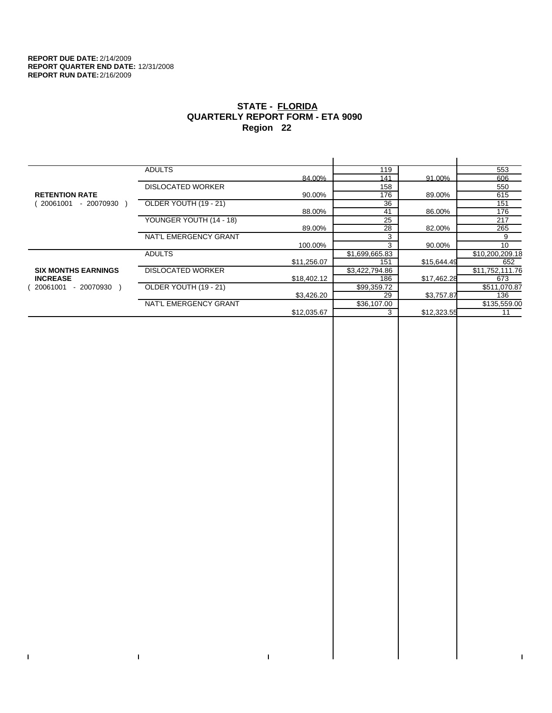$\mathbf I$ 

 $\Gamma$ 

# **STATE - FLORIDA QUARTERLY REPORT FORM - ETA 9090 Region 22**

|                            | <b>ADULTS</b>            |             | 119            |             | 553             |
|----------------------------|--------------------------|-------------|----------------|-------------|-----------------|
|                            |                          | 84.00%      | 141            | 91.00%      | 606             |
|                            | <b>DISLOCATED WORKER</b> |             | 158            |             | 550             |
| <b>RETENTION RATE</b>      |                          | 90.00%      | 176            | 89.00%      | 615             |
| - 20070930<br>20061001     | OLDER YOUTH (19 - 21)    |             | 36             |             | 151             |
|                            |                          | 88.00%      | 41             | 86.00%      | 176             |
|                            | YOUNGER YOUTH (14 - 18)  |             | 25             |             | 217             |
|                            |                          | 89.00%      | 28             | 82.00%      | 265             |
|                            | NAT'L EMERGENCY GRANT    |             | 3              |             | 9               |
|                            |                          | 100.00%     | 3              | 90.00%      | 10              |
|                            | <b>ADULTS</b>            |             | \$1,699,665.83 |             | \$10,200,209.18 |
|                            |                          | \$11,256.07 | 151            | \$15,644.49 | 652             |
| <b>SIX MONTHS EARNINGS</b> | <b>DISLOCATED WORKER</b> |             | \$3,422,794.86 |             | \$11,752,111.76 |
| <b>INCREASE</b>            |                          | \$18,402.12 | 186            | \$17,462.28 | 673             |
| - 20070930<br>20061001     | OLDER YOUTH (19 - 21)    |             | \$99,359.72    |             | \$511,070.87    |
|                            |                          | \$3,426.20  | 29             | \$3,757.87  | 136             |
|                            | NAT'L EMERGENCY GRANT    |             | \$36,107.00    |             | \$135,559.00    |
|                            |                          | \$12,035.67 | 3              | \$12,323.55 | 11              |
|                            |                          |             |                |             |                 |

 $\bar{\Gamma}$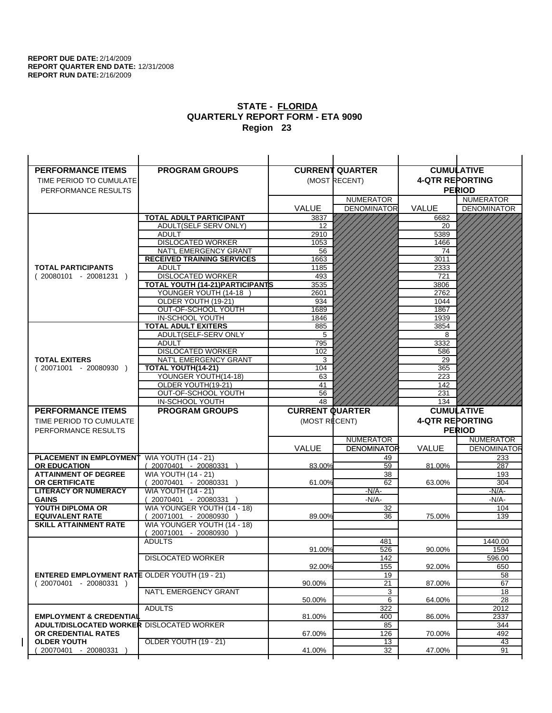| <b>PERFORMANCE ITEMS</b>                             | <b>PROGRAM GROUPS</b>                              |                        | <b>CURRENT QUARTER</b> |                        | <b>CUMULATIVE</b>           |
|------------------------------------------------------|----------------------------------------------------|------------------------|------------------------|------------------------|-----------------------------|
| TIME PERIOD TO CUMULATE                              |                                                    |                        | (MOST RECENT)          | <b>4-QTR REPORTING</b> |                             |
| PERFORMANCE RESULTS                                  |                                                    |                        |                        |                        | <b>PERIOD</b>               |
|                                                      |                                                    |                        | <b>NUMERATOR</b>       |                        | <b>NUMERATOR</b>            |
|                                                      |                                                    | <b>VALUE</b>           | <b>DENOMINATOR</b>     | VALUE                  | <b>DENOMINATOR</b>          |
|                                                      | <b>TOTAL ADULT PARTICIPANT</b>                     | 3837                   |                        | 6682                   |                             |
|                                                      | ADULT(SELF SERV ONLY)                              | 12                     |                        | 20                     |                             |
|                                                      | <b>ADULT</b>                                       | 2910                   |                        | 5389                   |                             |
|                                                      | <b>DISLOCATED WORKER</b>                           | 1053                   |                        | 1466                   |                             |
|                                                      | NAT'L EMERGENCY GRANT                              | 56                     |                        | 74                     |                             |
|                                                      | <b>RECEIVED TRAINING SERVICES</b><br><b>ADULT</b>  | 1663                   |                        | 3011                   |                             |
| <b>TOTAL PARTICIPANTS</b><br>$(20080101 - 20081231)$ | <b>DISLOCATED WORKER</b>                           | 1185<br>493            |                        | 2333<br>721            |                             |
|                                                      | TOTAL YOUTH (14-21) PARTICIPANTS                   | 3535                   |                        | 3806                   |                             |
|                                                      | YOUNGER YOUTH (14-18                               | 2601                   |                        | 2762                   |                             |
|                                                      | OLDER YOUTH (19-21)                                | 934                    |                        | 1044                   |                             |
|                                                      | OUT-OF-SCHOOL YOUTH                                | 1689                   |                        | 1867                   |                             |
|                                                      | IN-SCHOOL YOUTH                                    | 1846                   |                        | 1939                   |                             |
|                                                      | <b>TOTAL ADULT EXITERS</b>                         | 885                    |                        | 3854                   |                             |
|                                                      | ADULT(SELF-SERV ONLY                               | 5                      |                        | 8                      |                             |
|                                                      | <b>ADULT</b>                                       | 795                    |                        | 3332                   |                             |
| <b>TOTAL EXITERS</b>                                 | <b>DISLOCATED WORKER</b><br>NAT'L EMERGENCY GRANT  | 102                    |                        | 586<br>29              |                             |
| $(20071001 - 20080930)$                              | TOTAL YOUTH(14-21)                                 | 3<br>104               |                        | 365                    |                             |
|                                                      | YOUNGER YOUTH(14-18)                               | 63                     |                        | 223                    |                             |
|                                                      | OLDER YOUTH(19-21)                                 | 41                     |                        | 142                    |                             |
|                                                      | OUT-OF-SCHOOL YOUTH                                | 56                     |                        | 231                    |                             |
|                                                      | IN-SCHOOL YOUTH                                    | 48                     |                        | 134                    |                             |
|                                                      |                                                    |                        |                        |                        |                             |
| <b>PERFORMANCE ITEMS</b>                             | <b>PROGRAM GROUPS</b>                              | <b>CURRENT QUARTER</b> |                        |                        | <b>CUMULATIVE</b>           |
| TIME PERIOD TO CUMULATE                              |                                                    | (MOST RECENT)          |                        | <b>4-QTR REPORTING</b> |                             |
| PERFORMANCE RESULTS                                  |                                                    |                        |                        |                        | <b>PERIOD</b>               |
|                                                      |                                                    |                        | <b>NUMERATOR</b>       |                        | <b>NUMERATOR</b>            |
|                                                      |                                                    | <b>VALUE</b>           | <b>DENOMINATOR</b>     | <b>VALUE</b>           |                             |
| <b>PLACEMENT IN EMPLOYMENT</b>                       | <b>WIA YOUTH (14 - 21)</b>                         |                        | 49                     |                        | 233                         |
| <b>OR EDUCATION</b>                                  | $(20070401 - 20080331)$                            | 83.00%                 | 59                     | 81.00%                 | 287                         |
| <b>ATTAINMENT OF DEGREE</b>                          | <b>WIA YOUTH (14 - 21)</b>                         |                        | 38                     |                        | 193                         |
| OR CERTIFICATE                                       | 20070401 - 20080331 )                              | 61.00%                 | 62                     | 63.00%                 | 304                         |
| <b>LITERACY OR NUMERACY</b>                          | <b>WIA YOUTH (14 - 21)</b>                         |                        | $-N/A$ -               |                        | <b>DENOMINATOR</b><br>-N/A- |
| <b>GAINS</b><br>YOUTH DIPLOMA OR                     | 20070401 - 20080331<br>WIA YOUNGER YOUTH (14 - 18) |                        | $-N/A-$<br>32          |                        | $-N/A-$<br>104              |
| <b>EQUIVALENT RATE</b>                               | 20071001 - 20080930 )                              | 89.00%                 | 36                     | 75.00%                 | 139                         |
| <b>SKILL ATTAINMENT RATE</b>                         | WIA YOUNGER YOUTH (14 - 18)                        |                        |                        |                        |                             |
|                                                      | (20071001 - 20080930                               |                        |                        |                        |                             |
|                                                      | <b>ADULTS</b>                                      |                        | 481                    |                        | 1440.00                     |
|                                                      |                                                    | 91.00%                 | 526                    | 90.00%                 | 1594                        |
|                                                      | <b>DISLOCATED WORKER</b>                           |                        | 142                    |                        | 596.00                      |
|                                                      |                                                    | 92.00%                 | 155                    | 92.00%                 | 650                         |
| <b>ENTERED EMPLOYMENT RATE OLDER YOUTH (19 - 21)</b> |                                                    |                        | 19                     |                        | 58                          |
| $(20070401 - 20080331)$                              | NAT'L EMERGENCY GRANT                              | 90.00%                 | 21<br>3                | 87.00%                 | 67<br>18                    |
|                                                      |                                                    | 50.00%                 | 6                      | 64.00%                 | 28                          |
|                                                      | <b>ADULTS</b>                                      |                        | 322                    |                        | 2012                        |
| <b>EMPLOYMENT &amp; CREDENTIAL</b>                   |                                                    | 81.00%                 | 400                    | 86.00%                 | 2337                        |
| <b>ADULT/DISLOCATED WORKER DISLOCATED WORKER</b>     |                                                    |                        | 85                     |                        | 344                         |
| OR CREDENTIAL RATES                                  |                                                    | 67.00%                 | 126                    | 70.00%                 | 492                         |
| <b>OLDER YOUTH</b><br>20070401 - 20080331            | OLDER YOUTH (19 - 21)                              | 41.00%                 | $\overline{13}$<br>32  | 47.00%                 | 43<br>91                    |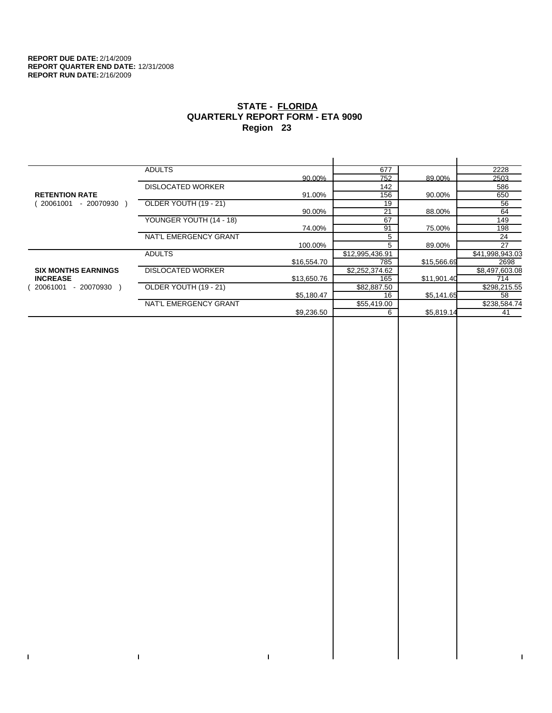$\bar{\Gamma}$ 

 $\Gamma$ 

# **STATE - FLORIDA QUARTERLY REPORT FORM - ETA 9090 Region 23**

|                            | <b>ADULTS</b>            |             | 677             |             | 2228            |
|----------------------------|--------------------------|-------------|-----------------|-------------|-----------------|
|                            |                          | 90.00%      | 752             | 89.00%      | 2503            |
|                            | <b>DISLOCATED WORKER</b> |             | 142             |             | 586             |
| <b>RETENTION RATE</b>      |                          | 91.00%      | 156             | 90.00%      | 650             |
| 20061001<br>- 20070930     | OLDER YOUTH (19 - 21)    |             | 19              |             | 56              |
|                            |                          | 90.00%      | 21              | 88.00%      | 64              |
|                            | YOUNGER YOUTH (14 - 18)  |             | 67              |             | 149             |
|                            |                          | 74.00%      | 91              | 75.00%      | 198             |
|                            | NAT'L EMERGENCY GRANT    |             | 5               |             | 24              |
|                            |                          | 100.00%     | 5               | 89.00%      | 27              |
|                            | <b>ADULTS</b>            |             | \$12,995,436.91 |             | \$41,998,943.03 |
|                            |                          | \$16,554.70 | 785             | \$15,566.69 | 2698            |
| <b>SIX MONTHS EARNINGS</b> | <b>DISLOCATED WORKER</b> |             | \$2,252,374.62  |             | \$8,497,603.08  |
| <b>INCREASE</b>            |                          | \$13,650.76 | 165             | \$11,901.40 | 714             |
| - 20070930<br>20061001     | OLDER YOUTH (19 - 21)    |             | \$82,887.50     |             | \$298,215.55    |
|                            |                          | \$5,180.47  | 16              | \$5,141.65  | 58              |
|                            | NAT'L EMERGENCY GRANT    |             | \$55,419.00     |             | \$238,584.74    |
|                            |                          | \$9,236.50  | 6               | \$5,819.14  | 41              |
|                            |                          |             |                 |             |                 |

 $\bar{\Gamma}$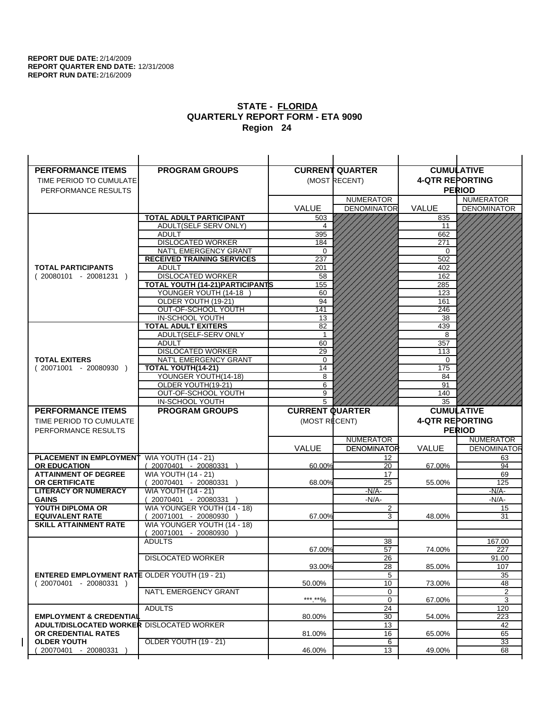| <b>PERFORMANCE ITEMS</b>                             | <b>PROGRAM GROUPS</b>                                |                        | <b>CURRENT QUARTER</b> |                        | <b>CUMULATIVE</b>  |
|------------------------------------------------------|------------------------------------------------------|------------------------|------------------------|------------------------|--------------------|
| TIME PERIOD TO CUMULATE                              |                                                      |                        | (MOST RECENT)          | <b>4-QTR REPORTING</b> |                    |
| PERFORMANCE RESULTS                                  |                                                      |                        |                        |                        | <b>PERIOD</b>      |
|                                                      |                                                      |                        | <b>NUMERATOR</b>       |                        | <b>NUMERATOR</b>   |
|                                                      |                                                      | <b>VALUE</b>           | <b>DENOMINATOR</b>     | VALUE                  | <b>DENOMINATOR</b> |
|                                                      | TOTAL ADULT PARTICIPANT                              | 503                    |                        | 835                    |                    |
|                                                      | <b>ADULT(SELF SERV ONLY)</b>                         | 4                      |                        | 11                     |                    |
|                                                      | <b>ADULT</b>                                         | 395                    |                        | 662                    |                    |
|                                                      | <b>DISLOCATED WORKER</b>                             | 184                    |                        | 271                    |                    |
|                                                      | NAT'L EMERGENCY GRANT                                | $\Omega$               |                        | $\Omega$               |                    |
|                                                      | <b>RECEIVED TRAINING SERVICES</b>                    | 237                    |                        | 502                    |                    |
| <b>TOTAL PARTICIPANTS</b>                            | <b>ADULT</b>                                         | 201                    |                        | 402                    |                    |
| $(20080101 - 20081231)$                              | <b>DISLOCATED WORKER</b>                             | 58                     |                        | 162                    |                    |
|                                                      | TOTAL YOUTH (14-21) PARTICIPANTS                     | 155                    |                        | 285                    |                    |
|                                                      | YOUNGER YOUTH (14-18                                 | 60                     |                        | 123                    |                    |
|                                                      | OLDER YOUTH (19-21)                                  | 94<br>141              |                        | 161<br>246             |                    |
|                                                      | OUT-OF-SCHOOL YOUTH<br>IN-SCHOOL YOUTH               | 13                     |                        | 38                     |                    |
|                                                      | <b>TOTAL ADULT EXITERS</b>                           | 82                     |                        | 439                    |                    |
|                                                      | ADULT(SELF-SERV ONLY                                 |                        |                        | 8                      |                    |
|                                                      | <b>ADULT</b>                                         | 60                     |                        | 357                    |                    |
|                                                      | <b>DISLOCATED WORKER</b>                             | $\overline{29}$        |                        | 113                    |                    |
| <b>TOTAL EXITERS</b>                                 | NAT'L EMERGENCY GRANT                                | $\mathbf 0$            |                        | 0                      |                    |
| $(20071001 - 20080930)$                              | TOTAL YOUTH(14-21)                                   | 14                     |                        | 175                    |                    |
|                                                      | YOUNGER YOUTH(14-18)                                 | 8                      |                        | 84                     |                    |
|                                                      | OLDER YOUTH(19-21)                                   | 6                      |                        | 91                     |                    |
|                                                      | OUT-OF-SCHOOL YOUTH                                  | 9                      |                        | 140                    |                    |
|                                                      | IN-SCHOOL YOUTH                                      | 5                      |                        | 35                     |                    |
|                                                      |                                                      |                        |                        |                        |                    |
| <b>PERFORMANCE ITEMS</b>                             | <b>PROGRAM GROUPS</b>                                | <b>CURRENT QUARTER</b> |                        |                        | <b>CUMULATIVE</b>  |
| TIME PERIOD TO CUMULATE                              |                                                      | (MOST RECENT)          |                        | <b>4-QTR REPORTING</b> |                    |
| PERFORMANCE RESULTS                                  |                                                      |                        |                        |                        | <b>PERIOD</b>      |
|                                                      |                                                      |                        | <b>NUMERATOR</b>       |                        | <b>NUMERATOR</b>   |
|                                                      |                                                      | <b>VALUE</b>           | <b>DENOMINATOR</b>     | <b>VALUE</b>           | <b>DENOMINATOR</b> |
| <b>PLACEMENT IN EMPLOYMENT</b>                       | <b>WIA YOUTH (14 - 21)</b>                           |                        | 12                     |                        | 63                 |
| <b>OR EDUCATION</b>                                  | $(20070401 - 20080331)$                              | 60.00%                 | 20                     | 67.00%                 | 94                 |
| <b>ATTAINMENT OF DEGREE</b>                          | <b>WIA YOUTH (14 - 21)</b>                           |                        | 17                     |                        | 69                 |
| <b>OR CERTIFICATE</b>                                | $(20070401 - 20080331)$                              | 68.00%                 | 25                     | 55.00%                 | 125                |
| <b>LITERACY OR NUMERACY</b>                          | <b>WIA YOUTH (14 - 21)</b>                           |                        | $-N/A-$                |                        | -N/A-              |
| <b>GAINS</b>                                         | 20070401 - 20080331                                  |                        | $-N/A-$                |                        | $-N/A-$            |
| YOUTH DIPLOMA OR<br><b>EQUIVALENT RATE</b>           | WIA YOUNGER YOUTH (14 - 18)<br>20071001 - 20080930 ) | 67.00%                 | $\overline{2}$<br>3    | 48.00%                 | 15<br>31           |
| <b>SKILL ATTAINMENT RATE</b>                         | WIA YOUNGER YOUTH (14 - 18)                          |                        |                        |                        |                    |
|                                                      | (20071001 - 20080930                                 |                        |                        |                        |                    |
|                                                      | <b>ADULTS</b>                                        |                        | 38                     |                        | 167.00             |
|                                                      |                                                      | 67.00%                 | 57                     | 74.00%                 | 227                |
|                                                      | <b>DISLOCATED WORKER</b>                             |                        | $\overline{26}$        |                        | 91.00              |
|                                                      |                                                      | 93.00%                 | 28                     | 85.00%                 | 107                |
| <b>ENTERED EMPLOYMENT RATE OLDER YOUTH (19 - 21)</b> |                                                      |                        | 5                      |                        | 35                 |
| $(20070401 - 20080331)$                              |                                                      | 50.00%                 | 10                     | 73.00%                 | 48                 |
|                                                      | NAT'L EMERGENCY GRANT                                |                        | 0                      |                        | 2                  |
|                                                      |                                                      | ***.**%                | 0                      | 67.00%                 | 3                  |
| <b>EMPLOYMENT &amp; CREDENTIAL</b>                   | <b>ADULTS</b>                                        | 80.00%                 | 24                     | 54.00%                 | 120                |
| <b>ADULT/DISLOCATED WORKER DISLOCATED WORKER</b>     |                                                      |                        | 30<br>13               |                        | 223<br>42          |
| OR CREDENTIAL RATES                                  |                                                      | 81.00%                 | 16                     | 65.00%                 | 65                 |
| <b>OLDER YOUTH</b>                                   | OLDER YOUTH (19 - 21)                                |                        | 6                      |                        | 33                 |
| 20070401 - 20080331                                  |                                                      | 46.00%                 | 13                     | 49.00%                 | 68                 |